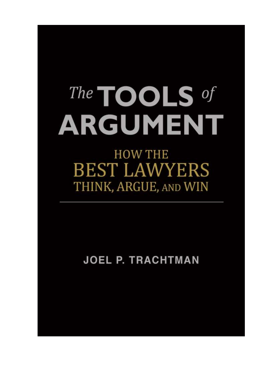# The TOOLS of **ARGUMENT**

**HOW THE BEST LAWYERS** THINK, ARGUE, AND WIN

**JOEL P. TRACHTMAN**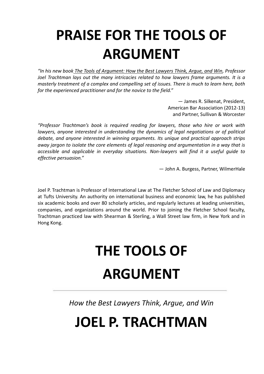### **PRAISE FOR THE TOOLS OF ARGUMENT**

*"In his new book The Tools of Argument: How the Best Lawyers Think, Argue, and Win, Professor Joel Trachtman lays out the many intricacies related to how lawyers frame arguments. It is a masterly treatment of a complex and compelling set of issues. There is much to learn here, both for the experienced practitioner and for the novice to the field."*

> — James R. Silkenat, President, American Bar Association (2012-13) and Partner, Sullivan & Worcester

*"Professor Trachtman's book is required reading for lawyers, those who hire or work with lawyers, anyone interested in understanding the dynamics of legal negotiations or of political debate, and anyone interested in winning arguments. Its unique and practical approach strips away jargon to isolate the core elements of legal reasoning and argumentation in a way that is accessible and applicable in everyday situations. Non-lawyers will find it a useful guide to effective persuasion."*

— John A. Burgess, Partner, WilmerHale

Joel P. Trachtman is Professor of International Law at The Fletcher School of Law and Diplomacy at Tufts University. An authority on international business and economic law, he has published six academic books and over 80 scholarly articles, and regularly lectures at leading universities, companies, and organizations around the world. Prior to joining the Fletcher School faculty, Trachtman practiced law with Shearman & Sterling, a Wall Street law firm, in New York and in Hong Kong.

# **THE TOOLS OF ARGUMENT**

*How the Best Lawyers Think, Argue, and Win*

### **JOEL P. TRACHTMAN**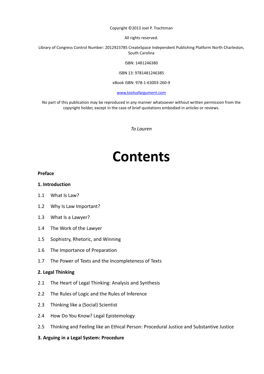#### Copyright ©2013 Joel P. Trachtman

All rights reserved.

Library of Congress Control Number: 2012923785 CreateSpace Independent Publishing Platform North Charleston, South Carolina

ISBN: 1481246380

ISBN 13: 9781481246385

eBook ISBN: 978-1-63003-260-9

[www.toolsofargument.com](http://www.toolsofargument.com/)

No part of this publication may be reproduced in any manner whatsoever without written permission from the copyright holder, except in the case of brief quotations embodied in articles or reviews.

*To Lauren*

### **Contents**

#### **Preface**

#### **1. Introduction**

- 1.1 What Is Law?
- 1.2 Why Is Law Important?
- 1.3 What Is a Lawyer?
- 1.4 The Work of the Lawyer
- 1.5 Sophistry, Rhetoric, and Winning
- 1.6 The Importance of Preparation
- 1.7 The Power of Texts and the Incompleteness of Texts

#### **2. Legal Thinking**

- 2.1 The Heart of Legal Thinking: Analysis and Synthesis
- 2.2 The Rules of Logic and the Rules of Inference
- 2.3 Thinking like a (Social) Scientist
- 2.4 How Do You Know? Legal Epistemology
- 2.5 Thinking and Feeling like an Ethical Person: Procedural Justice and Substantive Justice

#### **3. Arguing in a Legal System: Procedure**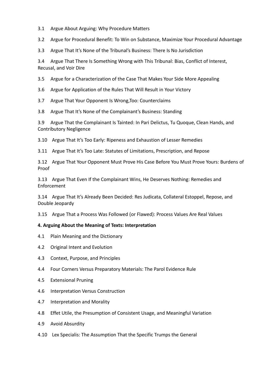3.1 Argue About Arguing: Why Procedure Matters

3.2 Argue for Procedural Benefit: To Win on Substance, Maximize Your Procedural Advantage

3.3 Argue That It's None of the Tribunal's Business: There Is No Jurisdiction

3.4 Argue That There Is Something Wrong with This Tribunal: Bias, Conflict of Interest, Recusal, and Voir Dire

3.5 Argue for a Characterization of the Case That Makes Your Side More Appealing

3.6 Argue for Application of the Rules That Will Result in Your Victory

3.7 Argue That Your Opponent Is Wrong,Too: Counterclaims

3.8 Argue That It's None of the Complainant's Business: Standing

3.9 Argue That the Complainant Is Tainted: In Pari Delictus, Tu Quoque, Clean Hands, and Contributory Negligence

3.10 Argue That It's Too Early: Ripeness and Exhaustion of Lesser Remedies

3.11 Argue That It's Too Late: Statutes of Limitations, Prescription, and Repose

3.12 Argue That Your Opponent Must Prove His Case Before You Must Prove Yours: Burdens of Proof

3.13 Argue That Even If the Complainant Wins, He Deserves Nothing: Remedies and Enforcement

3.14 Argue That It's Already Been Decided: Res Judicata, Collateral Estoppel, Repose, and Double Jeopardy

3.15 Argue That a Process Was Followed (or Flawed): Process Values Are Real Values

### **4. Arguing About the Meaning of Texts: Interpretation**

- 4.1 Plain Meaning and the Dictionary
- 4.2 Original Intent and Evolution
- 4.3 Context, Purpose, and Principles
- 4.4 Four Corners Versus Preparatory Materials: The Parol Evidence Rule
- 4.5 Extensional Pruning
- 4.6 Interpretation Versus Construction
- 4.7 Interpretation and Morality
- 4.8 Effet Utile, the Presumption of Consistent Usage, and Meaningful Variation
- 4.9 Avoid Absurdity
- 4.10 Lex Specialis: The Assumption That the Specific Trumps the General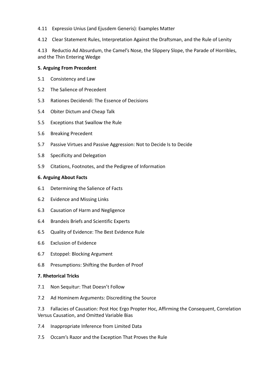- 4.11 Expressio Unius (and Ejusdem Generis): Examples Matter
- 4.12 Clear Statement Rules, Interpretation Against the Draftsman, and the Rule of Lenity

4.13 Reductio Ad Absurdum, the Camel's Nose, the Slippery Slope, the Parade of Horribles, and the Thin Entering Wedge

#### **5. Arguing From Precedent**

- 5.1 Consistency and Law
- 5.2 The Salience of Precedent
- 5.3 Rationes Decidendi: The Essence of Decisions
- 5.4 Obiter Dictum and Cheap Talk
- 5.5 Exceptions that Swallow the Rule
- 5.6 Breaking Precedent
- 5.7 Passive Virtues and Passive Aggression: Not to Decide Is to Decide
- 5.8 Specificity and Delegation
- 5.9 Citations, Footnotes, and the Pedigree of Information

### **6. Arguing About Facts**

- 6.1 Determining the Salience of Facts
- 6.2 Evidence and Missing Links
- 6.3 Causation of Harm and Negligence
- 6.4 Brandeis Briefs and Scientific Experts
- 6.5 Quality of Evidence: The Best Evidence Rule
- 6.6 Exclusion of Evidence
- 6.7 Estoppel: Blocking Argument
- 6.8 Presumptions: Shifting the Burden of Proof

#### **7. Rhetorical Tricks**

- 7.1 Non Sequitur: That Doesn't Follow
- 7.2 Ad Hominem Arguments: Discrediting the Source

7.3 Fallacies of Causation: Post Hoc Ergo Propter Hoc, Affirming the Consequent, Correlation Versus Causation, and Omitted Variable Bias

- 7.4 Inappropriate Inference from Limited Data
- 7.5 Occam's Razor and the Exception That Proves the Rule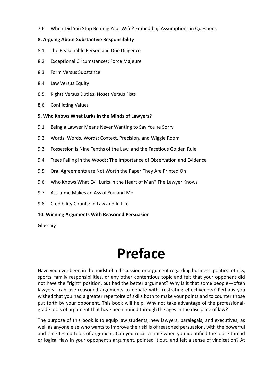7.6 When Did You Stop Beating Your Wife? Embedding Assumptions in Questions

### **8. Arguing About Substantive Responsibility**

- 8.1 The Reasonable Person and Due Diligence
- 8.2 Exceptional Circumstances: Force Majeure
- 8.3 Form Versus Substance
- 8.4 Law Versus Equity
- 8.5 Rights Versus Duties: Noses Versus Fists
- 8.6 Conflicting Values

### **9. Who Knows What Lurks in the Minds of Lawyers?**

- 9.1 Being a Lawyer Means Never Wanting to Say You're Sorry
- 9.2 Words, Words, Words: Context, Precision, and Wiggle Room
- 9.3 Possession is Nine Tenths of the Law, and the Facetious Golden Rule
- 9.4 Trees Falling in the Woods: The Importance of Observation and Evidence
- 9.5 Oral Agreements are Not Worth the Paper They Are Printed On
- 9.6 Who Knows What Evil Lurks in the Heart of Man? The Lawyer Knows
- 9.7 Ass-u-me Makes an Ass of You and Me
- 9.8 Credibility Counts: In Law and In Life
- **10. Winning Arguments With Reasoned Persuasion**

Glossary

### **Preface**

Have you ever been in the midst of a discussion or argument regarding business, politics, ethics, sports, family responsibilities, or any other contentious topic and felt that your opponent did not have the "right" position, but had the better argument? Why is it that some people—often lawyers—can use reasoned arguments to debate with frustrating effectiveness? Perhaps you wished that you had a greater repertoire of skills both to make your points and to counter those put forth by your opponent. This book will help. Why not take advantage of the professionalgrade tools of argument that have been honed through the ages in the discipline of law?

The purpose of this book is to equip law students, new lawyers, paralegals, and executives, as well as anyone else who wants to improve their skills of reasoned persuasion, with the powerful and time-tested tools of argument. Can you recall a time when you identified the loose thread or logical flaw in your opponent's argument, pointed it out, and felt a sense of vindication? At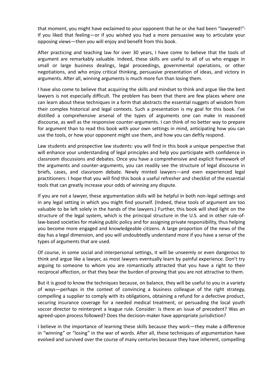that moment, you might have exclaimed to your opponent that he or she had been ["](file:///C:/Users/Piet/AppData/Local/Temp/AVSEbookTemp24496/XXXXXXXXXXXXXXXXXXXXXXXXXXXXXXXXXX)lawyered!" $1$ If you liked that feeling—or if you wished you had a more persuasive way to articulate your opposing views—then you will enjoy and benefit from this book.

After practicing and teaching law for over 30 years, I have come to believe that the tools of argument are remarkably valuable. Indeed, these skills are useful to all of us who engage in small or large business dealings, legal proceedings, governmental operations, or other negotiations, and who enjoy critical thinking, persuasive presentation of ideas, and victory in arguments. After all, winning arguments is much more fun than losing them.

I have also come to believe that acquiring the skills and mindset to think and argue like the best lawyers is not especially difficult. The problem has been that there are few places where one can learn about these techniques in a form that abstracts the essential nuggets of wisdom from their complex historical and legal contexts. Such a presentation is my goal for this book. I've distilled a comprehensive arsenal of the types of arguments one can make in reasoned discourse, as well as the responsive counter-arguments. I can think of no better way to prepare for argument than to read this book with your own settings in mind, anticipating how you can use the tools, or how your opponent might use them, and how you can deftly respond.

Law students and prospective law students: you will find in this book a unique perspective that will enhance your understanding of legal principles and help you participate with confidence in classroom discussions and debates. Once you have a comprehensive and explicit framework of the arguments and counter-arguments, you can readily see the structure of legal discourse in briefs, cases, and classroom debate. Newly minted lawyers—and even experienced legal practitioners: I hope that you will find this book a useful refresher and checklist of the essential tools that can greatly increase your odds of winning any dispute.

If you are not a lawyer, these argumentation skills will be helpful in both non-legal settings and in any legal setting in which you might find yourself. (Indeed, these tools of argument are too valuable to be left solely in the hands of the lawyers.) Further, this book will shed light on the structure of the legal system, which is the principal structure in the U.S. and in other rule-oflaw-based societies for making public policy and for assigning private responsibility, thus helping you become more engaged and knowledgeable citizens. A large proportion of the news of the day has a legal dimension, and you will undoubtedly understand more if you have a sense of the types of arguments that are used.

Of course, in some social and interpersonal settings, it will be unseemly or even dangerous to think and argue like a lawyer, as most lawyers eventually learn by painful experience. Don't try arguing to someone to whom you are romantically attracted that you have a right to their reciprocal affection, or that they bear the burden of proving that you are not attractive to them.

But it is good to know the techniques because, on balance, they will be useful to you in a variety of ways—perhaps in the context of convincing a business colleague of the right strategy, compelling a supplier to comply with its obligations, obtaining a refund for a defective product, securing insurance coverage for a needed medical treatment, or persuading the local youth soccer director to reinterpret a league rule. Consider: is there an issue of precedent? Was an agreed-upon process followed? Does the decision-maker have appropriate jurisdiction?

I believe in the importance of learning these skills because they work—they make a difference in "winning" or "losing" in the war of words. After all, these techniques of argumentation have evolved and survived over the course of many centuries because they have inherent, compelling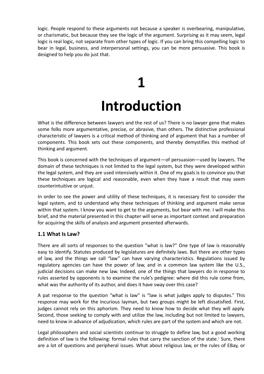logic. People respond to these arguments not because a speaker is overbearing, manipulative, or charismatic, but because they see the logic of the argument. Surprising as it may seem, legal logic is real logic, not separate from other types of logic. If you can bring this compelling logic to bear in legal, business, and interpersonal settings, you can be more persuasive. This book is designed to help you do just that.

## **1 Introduction**

What is the difference between lawyers and the rest of us? There is no lawyer gene that makes some folks more argumentative, precise, or abrasive, than others. The distinctive professional characteristic of lawyers is a critical method of thinking and of argument that has a number of components. This book sets out these components, and thereby demystifies this method of thinking and argument.

This book is concerned with the techniques of argument—of persuasion—used by lawyers. The domain of these techniques is not limited to the legal system, but they were developed within the legal system, and they are used intensively within it. One of my goals is to convince you that these techniques are logical and reasonable, even when they have a result that may seem counterintuitive or unjust.

In order to see the power and utility of these techniques, it is necessary first to consider the legal system, and to understand why these techniques of thinking and argument make sense within that system. I know you want to get to the arguments, but bear with me. I will make this brief, and the material presented in this chapter will serve as important context and preparation for acquiring the skills of analysis and argument presented afterwards.

### **1.1 What Is Law?**

There are all sorts of responses to the question "what is law?" One type of law is reasonably easy to identify. Statutes produced by legislatures are definitely laws. But there are other types of law, and the things we call "law" can have varying characteristics. Regulations issued by regulatory agencies can have the power of law, and in a common law system like the U.S., judicial decisions can make new law. Indeed, one of the things that lawyers do in response to rules asserted by opponents is to examine the rule's pedigree: where did this rule come from, what was the authority of its author, and does it have sway over this case?

A pat response to the question "what is law" is "law is what judges apply to disputes." This response may work for the incurious layman, but two groups might be left dissatisfied. First, judges cannot rely on this aphorism. They need to know how to decide what they will apply. Second, those seeking to comply with and utilize the law, including but not limited to lawyers, need to know in advance of adjudication, which rules are part of the system and which are not.

Legal philosophers and social scientists continue to struggle to define law, but a good working definition of law is the following: formal rules that carry the sanction of the state.<sup>2</sup> Sure, there are a lot of questions and peripheral issues. What about religious law, or the rules of EBay, or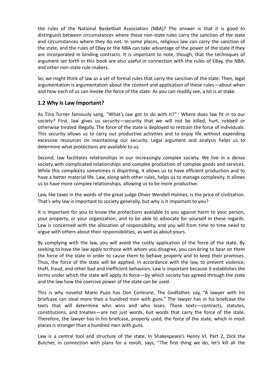the rules of the National Basketball Association (NBA)? The answer is that it is good to distinguish between circumstances where these non-state rules carry the sanction of the state and circumstances where they do not. In some places, religious law can carry the sanction of the state, and the rules of EBay or the NBA can take advantage of the power of the state if they are incorporated in binding contracts. It is important to note, though, that the techniques of argument set forth in this book are also useful in connection with the rules of EBay, the NBA, and other non-state rule-makers.

So, we might think of law as a set of formal rules that carry the sanction of the state. Then, legal argumentation is argumentation about the content and application of these rules—about when and how each of us can invoke the force of the state. As you can readily see, a lot is at stake.

### **1.2 Why Is Law Important?**

As Tina Turner famously sang, "What's law got to do with it?" 3 Where does law fit in to our society? First, law gives us security—security that we will not be killed, hurt, robbed or otherwise treated illegally. The force of the state is deployed to restrain the force of individuals. This security allows us to carry out productive activities and to enjoy life without expending excessive resources on maintaining our security. Legal argument and analysis helps us to determine what protections are available to us.

Second, law facilitates relationships in our increasingly complex society. We live in a dense society with complicated relationships and complex production of complex goods and services. While this complexity sometimes is dispiriting, it allows us to have efficient production and to have a better material life. Law, along with other rules, helps us to manage complexity. It allows us to have more complex relationships, allowing us to be more productive.

Law, like taxes in the words of the great judge Oliver Wendell Holmes, is the price of civilization. That's why law is important to society generally, but why is it important to you?

It is important for you to know the protections available to you against harm to your person, your property, or your organization, and to be able to advocate for yourself in these regards. Law is concerned with the allocation of responsibility, and you will from time to time need to argue with others about their responsibilities, as well as about yours.

By complying with the law, you will avoid the costly application of the force of the state. By seeking to have the law apply to those with whom you disagree, you can bring to bear on them the force of the state in order to cause them to behave properly and to keep their promises. Thus, the force of the state will be applied, in accordance with the law, to prevent violence, theft, fraud, and other bad and inefficient behaviors. Law is important because it establishes the terms under which the state will apply its force—by which society has agreed through the state and the law how the coercive power of the state can be used.

This is why novelist Mario Puzo has Don Corleone, The Godfather, say, "A lawyer with his briefcase can steal more than a hundred men with guns." The lawyer has in his briefcase the texts that will determine who wins and who loses. These texts—contracts, statutes, constitutions, and treaties—are not just words, but words that carry the force of the state. Therefore, the lawyer has in his briefcase, properly used, the force of the state, which in most places is stronger than a hundred men with guns.

Law is a central tool and structure of the state. In Shakespeare's Henry VI, Part 2, Dick the Butcher, in connection with plans for a revolt, says, "The first thing we do, let's kill all the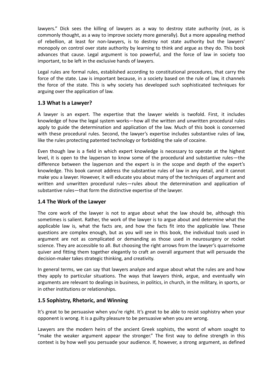lawyers." Dick sees the killing of lawyers as a way to destroy state authority (not, as is commonly thought, as a way to improve society more generally). But a more appealing method of rebellion, at least for non-lawyers, is to destroy not state authority but the lawyers' monopoly on control over state authority by learning to think and argue as they do. This book advances that cause. Legal argument is too powerful, and the force of law in society too important, to be left in the exclusive hands of lawyers.

Legal rules are formal rules, established according to constitutional procedures, that carry the force of the state. Law is important because, in a society based on the rule of law, it channels the force of the state. This is why society has developed such sophisticated techniques for arguing over the application of law.

### **1.3 What Is a Lawyer?**

A lawyer is an expert. The expertise that the lawyer wields is twofold. First, it includes knowledge of how the legal system works—how all the written and unwritten procedural rules apply to guide the determination and application of the law. Much of this book is concerned with these procedural rules. Second, the lawyer's expertise includes substantive rules of law, like the rules protecting patented technology or forbidding the sale of cocaine.

Even though law is a field in which expert knowledge is necessary to operate at the highest level, it is open to the layperson to know some of the procedural and substantive rules—the difference between the layperson and the expert is in the scope and depth of the expert's knowledge. This book cannot address the substantive rules of law in any detail, and it cannot make you a lawyer. However, it will educate you about many of the techniques of argument and written and unwritten procedural rules—rules about the determination and application of substantive rules—that form the distinctive expertise of the lawyer.

### **1.4 The Work of the Lawyer**

The core work of the lawyer is not to argue about what the law should be, although this sometimes is salient. Rather, the work of the lawyer is to argue about and determine what the applicable law is, what the facts are, and how the facts fit into the applicable law. These questions are complex enough, but as you will see in this book, the individual tools used in argument are not as complicated or demanding as those used in neurosurgery or rocket science. They are accessible to all. But choosing the right arrows from the lawyer's quarrelsome quiver and fitting them together elegantly to craft an overall argument that will persuade the decision-maker takes strategic thinking, and creativity.

In general terms, we can say that lawyers analyze and argue about what the rules are and how they apply to particular situations. The ways that lawyers think, argue, and eventually win arguments are relevant to dealings in business, in politics, in church, in the military, in sports, or in other institutions or relationships.

### **1.5 Sophistry, Rhetoric, and Winning**

It's great to be persuasive when you're right. It's great to be able to resist sophistry when your opponent is wrong. It is a guilty pleasure to be persuasive when you are wrong.

Lawyers are the modern heirs of the ancient Greek sophists, the worst of whom sought to "make the weaker argument appear the stronger." The first way to define strength in this context is by how well you persuade your audience. If, however, a strong argument, as defined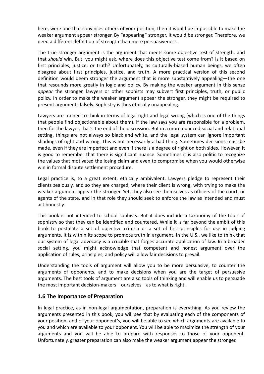here, were one that convinces others of your position, then it would be impossible to make the weaker argument appear stronger. By "appearing" stronger, it would be stronger. Therefore, we need a different definition of strength than mere persuasiveness.

The true stronger argument is the argument that meets some objective test of strength, and that *should* win. But, you might ask, where does this objective test come from? Is it based on first principles, justice, or truth? Unfortunately, as culturally-biased human beings, we often disagree about first principles, justice, and truth. A more practical version of this second definition would deem stronger the argument that is more substantively appealing—the one that resounds more greatly in logic and policy. By making the weaker argument in this sense *appear* the stronger, lawyers or other sophists may subvert first principles, truth, or public policy. In order to make the weaker argument appear the stronger, they might be required to present arguments falsely. Sophistry is thus ethically unappealing.

Lawyers are trained to think in terms of legal right and legal wrong (which is one of the things that people find objectionable about them). If the law says you are responsible for a problem, then for the lawyer, that's the end of the discussion. But in a more nuanced social and relational setting, things are not always so black and white, and the legal system can ignore important shadings of right and wrong. This is not necessarily a bad thing. Sometimes decisions must be made, even if they are imperfect and even if there is a degree of right on both sides. However, it is good to remember that there is significant nuance. Sometimes it is also politic to recognize the values that motivated the losing claim and even to compromise when you would otherwise win in formal dispute settlement procedure.

Legal practice is, to a great extent, ethically ambivalent. Lawyers pledge to represent their clients zealously, and so they are charged, where their client is wrong, with trying to make the weaker argument appear the stronger. Yet, they also see themselves as officers of the court, or agents of the state, and in that role they should seek to enforce the law as intended and must act honestly.

This book is not intended to school sophists. But it does include a taxonomy of the tools of sophistry so that they can be identified and countered. While it is far beyond the ambit of this book to postulate a set of objective criteria or a set of first principles for use in judging arguments, it is within its scope to promote truth in argument. In the U.S., we like to think that our system of legal advocacy is a crucible that forges accurate application of law. In a broader social setting, you might acknowledge that competent and honest argument over the application of rules, principles, and policy will allow fair decisions to prevail.

Understanding the tools of argument will allow you to be more persuasive, to counter the arguments of opponents, and to make decisions when you are the target of persuasive arguments. The best tools of argument are also tools of thinking and will enable us to persuade the most important decision-makers—ourselves—as to what is right.

### **1.6 The Importance of Preparation**

In legal practice, as in non-legal argumentation, preparation is everything. As you review the arguments presented in this book, you will see that by evaluating each of the components of your position, and of your opponent's, you will be able to see which arguments are available to you and which are available to your opponent. You will be able to maximize the strength of your arguments and you will be able to prepare with responses to those of your opponent. Unfortunately, greater preparation can also make the weaker argument appear the stronger.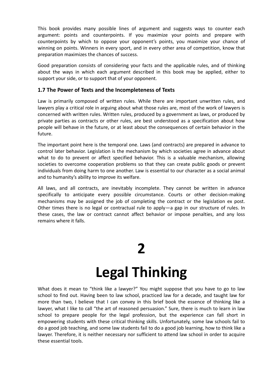This book provides many possible lines of argument and suggests ways to counter each argument: points and counterpoints. If you maximize your points and prepare with counterpoints by which to oppose your opponent's points, you maximize your chance of winning on points. Winners in every sport, and in every other area of competition, know that preparation maximizes the chances of success.

Good preparation consists of considering your facts and the applicable rules, and of thinking about the ways in which each argument described in this book may be applied, either to support your side, or to support that of your opponent.

### **1.7 The Power of Texts and the Incompleteness of Texts**

Law is primarily composed of written rules. While there are important unwritten rules, and lawyers play a critical role in arguing about what those rules are, most of the work of lawyers is concerned with written rules. Written rules, produced by a government as laws, or produced by private parties as contracts or other rules, are best understood as a specification about how people will behave in the future, or at least about the consequences of certain behavior in the future.

The important point here is the temporal one. Laws (and contracts) are prepared in advance to control later behavior. Legislation is the mechanism by which societies agree in advance about what to do to prevent or affect specified behavior. This is a valuable mechanism, allowing societies to overcome cooperation problems so that they can create public goods or prevent individuals from doing harm to one another. Law is essential to our character as a social animal and to humanity's ability to improve its welfare.

All laws, and all contracts, are inevitably incomplete. They cannot be written in advance specifically to anticipate every possible circumstance. Courts or other decision-making mechanisms may be assigned the job of completing the contract or the legislation ex post. Other times there is no legal or contractual rule to apply—a gap in our structure of rules. In these cases, the law or contract cannot affect behavior or impose penalties, and any loss remains where it falls.

## **2 Legal Thinking**

What does it mean to "think like a lawyer?" You might suppose that you have to go to law school to find out. Having been to law school, practiced law for a decade, and taught law for more than two, I believe that I can convey in this brief book the essence of thinking like a lawyer, what I like to call "the art of reasoned persuasion." Sure, there is much to learn in law school to prepare people for the legal profession, but the experience can fall short in empowering students with these critical thinking skills. Unfortunately, some law schools fail to do a good job teaching, and some law students fail to do a good job learning, how to think like a lawyer. Therefore, it is neither necessary nor sufficient to attend law school in order to acquire these essential tools.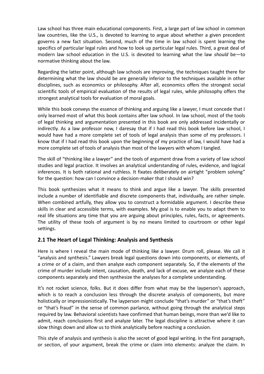Law school has three main educational components. First, a large part of law school in common law countries, like the U.S., is devoted to learning to argue about whether a given precedent governs a new fact situation. Second, much of the time in law school is spent learning the specifics of particular legal rules and how to look up particular legal rules. Third, a great deal of modern law school education in the U.S. is devoted to learning what the law *should* be—to normative thinking about the law.

Regarding the latter point, although law schools are improving, the techniques taught there for determining what the law should be are generally inferior to the techniques available in other disciplines, such as economics or philosophy. After all, economics offers the strongest social scientific tools of empirical evaluation of the results of legal rules, while philosophy offers the strongest analytical tools for evaluation of moral goals.

While this book conveys the essence of thinking and arguing like a lawyer, I must concede that I only learned most of what this book contains after law school. In law school, most of the tools of legal thinking and argumentation presented in this book are only addressed incidentally or indirectly. As a law professor now, I daresay that if I had read this book before law school, I would have had a more complete set of tools of legal analysis than some of my professors. I know that if I had read this book upon the beginning of my practice of law, I would have had a more complete set of tools of analysis than most of the lawyers with whom I tangled.

The skill of "thinking like a lawyer" and the tools of argument draw from a variety of law school studies and legal practice. It involves an analytical understanding of rules, evidence, and logical inferences. It is both rational and ruthless. It fixates deliberately on airtight "problem solving" for the question: how can I convince a decision-maker that I should win?

This book synthesizes what it means to think and argue like a lawyer. The skills presented include a number of identifiable and discrete components that, individually, are rather simple. When combined artfully, they allow you to construct a formidable argument. I describe these skills in clear and accessible terms, with examples. My goal is to enable you to adapt them to real life situations any time that you are arguing about principles, rules, facts, or agreements. The utility of these tools of argument is by no means limited to courtroom or other legal settings.

### **2.1 The Heart of Legal Thinking: Analysis and Synthesis**

Here is where I reveal the main mode of thinking like a lawyer. Drum roll, please. We call it "analysis and synthesis." Lawyers break legal questions down into components, or elements, of a crime or of a claim, and then analyze each component separately. So, if the elements of the crime of murder include intent, causation, death, and lack of excuse, we analyze each of these components separately and then synthesize the analyses for a complete understanding.

It's not rocket science, folks. But it does differ from what may be the layperson's approach, which is to reach a conclusion less through the discrete analysis of components, but more holistically or impressionistically. The layperson might conclude "that's murder" or "that's theft" or "that's fraud" in the sense of common parlance, without going through the analytical steps required by law. Behavioral scientists have confirmed that human beings, more than we'd like to admit, reach conclusions first and analyze later. The legal discipline is attractive where it can slow things down and allow us to think analytically before reaching a conclusion.

This style of analysis and synthesis is also the secret of good legal writing. In the first paragraph, or section, of your argument, break the crime or claim into elements: analyze the claim. In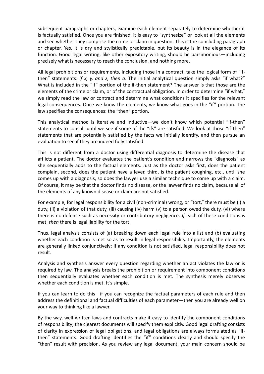subsequent paragraphs or chapters, examine each element separately to determine whether it is factually satisfied. Once you are finished, it is easy to "synthesize" or look at all the elements and see whether they comprise the crime or claim in question. This is the concluding paragraph or chapter. Yes, it is dry and stylistically predictable, but its beauty is in the elegance of its function. Good legal writing, like other expository writing, should be parsimonious—including precisely what is necessary to reach the conclusion, and nothing more.

All legal prohibitions or requirements, including those in a contract, take the logical form of "ifthen" statements: *if x, y, and z, then a*. The initial analytical question simply asks "if what?" What is included in the "if" portion of the if-then statement? The answer is that those are the elements of the crime or claim, or of the contractual obligation. In order to determine "if what," we simply read the law or contract and determine what conditions it specifies for the relevant legal consequences. Once we know the elements, we know what goes in the "if" portion. The law specifies the consequences: the "then" portion.

This analytical method is iterative and inductive—we don't know which potential "if-then" statements to consult until we see if some of the "ifs" are satisfied. We look at those "if-then" statements that are potentially satisfied by the facts we initially identify, and then pursue an evaluation to see if they are indeed fully satisfied.

This is not different from a doctor using differential diagnosis to determine the disease that afflicts a patient. The doctor evaluates the patient's condition and narrows the "diagnosis" as she sequentially adds to the factual elements. Just as the doctor asks first, does the patient complain, second, does the patient have a fever, third, is the patient coughing, etc., until she comes up with a diagnosis, so does the lawyer use a similar technique to come up with a claim. Of course, it may be that the doctor finds no disease, or the lawyer finds no claim, because all of the elements of any known disease or claim are not satisfied.

For example, for legal responsibility for a civil (non-criminal) wrong, or "tort," there must be (i) a duty, (ii) a violation of that duty, (iii) causing (iv) harm (v) to a person owed the duty, (vi) where there is no defense such as necessity or contributory negligence. *If* each of these conditions is met, *then* there is legal liability for the tort.

Thus, legal analysis consists of (a) breaking down each legal rule into a list and (b) evaluating whether each condition is met so as to result in legal responsibility. Importantly, the elements are generally linked conjunctively; if any condition is not satisfied, legal responsibility does not result.

Analysis and synthesis answer every question regarding whether an act violates the law or is required by law. The analysis breaks the prohibition or requirement into component conditions then sequentially evaluates whether each condition is met. The synthesis merely observes whether each condition is met. It's simple.

If you can learn to do this—if you can recognize the factual parameters of each rule and then address the definitional and factual difficulties of each parameter—then you are already well on your way to thinking like a lawyer.

By the way, well-written laws and contracts make it easy to identify the component conditions of responsibility; the clearest documents will specify them explicitly. Good legal drafting consists of clarity in expression of legal obligations, and legal obligations are always formulated as "ifthen" statements. Good drafting identifies the "if" conditions clearly and should specify the "then" result with precision. As you review any legal document, your main concern should be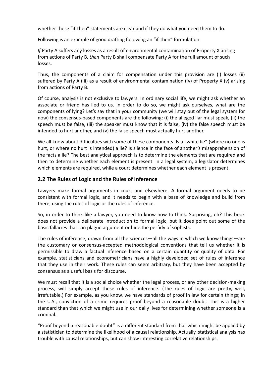whether these "if-then" statements are clear and if they do what you need them to do.

Following is an example of good drafting following an "if-then" formulation:

*If* Party A suffers any losses as a result of environmental contamination of Property X arising from actions of Party B, *then* Party B shall compensate Party A for the full amount of such losses.

Thus, the components of a claim for compensation under this provision are (i) losses (ii) suffered by Party A (iii) as a result of environmental contamination (iv) of Property X (v) arising from actions of Party B.

Of course, analysis is not exclusive to lawyers. In ordinary social life, we might ask whether an associate or friend has lied to us. In order to do so, we might ask ourselves, what are the components of lying? Let's say that in your community (we will stay out of the legal system for now) the consensus-based components are the following: (i) the alleged liar must speak, (ii) the speech must be false, (iii) the speaker must know that it is false, (iv) the false speech must be intended to hurt another, and (v) the false speech must actually hurt another.

We all know about difficulties with some of these components. Is a "white lie" (where no one is hurt, or where no hurt is intended) a lie? Is silence in the face of another's misapprehension of the facts a lie? The best analytical approach is to determine the elements that are required and then to determine whether each element is present. In a legal system, a legislator determines which elements are required, while a court determines whether each element is present.

### **2.2 The Rules of Logic and the Rules of Inference**

Lawyers make formal arguments in court and elsewhere. A formal argument needs to be consistent with formal logic, and it needs to begin with a base of knowledge and build from there, using the rules of logic or the rules of inference.

So, in order to think like a lawyer, you need to know how to think. Surprising, eh? This book does not provide a deliberate introduction to formal logic, but it does point out some of the basic fallacies that can plague argument or hide the perfidy of sophists.

The rules of inference, drawn from all the sciences—all the ways in which we know things—are the customary or consensus-accepted methodological conventions that tell us whether it is permissible to draw a factual inference based on a certain quantity or quality of data. For example, statisticians and econometricians have a highly developed set of rules of inference that they use in their work. These rules can seem arbitrary, but they have been accepted by consensus as a useful basis for discourse.

We must recall that it is a social choice whether the legal process, or any other decision-making process, will simply accept these rules of inference. (The rules of logic are pretty, well, irrefutable.) For example, as you know, we have standards of proof in law for certain things; in the U.S., conviction of a crime requires proof beyond a reasonable doubt. This is a higher standard than that which we might use in our daily lives for determining whether someone is a criminal.

"Proof beyond a reasonable doubt" is a different standard from that which might be applied by a statistician to determine the likelihood of a causal relationship. Actually, statistical analysis has trouble with causal relationships, but can show interesting correlative relationships.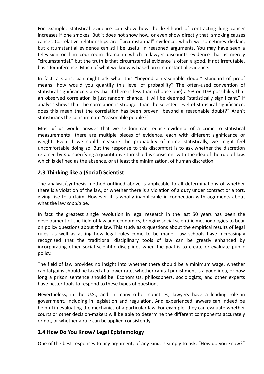For example, statistical evidence can show how the likelihood of contracting lung cancer increases if one smokes. But it does not show how, or even show directly that, smoking causes cancer. Correlative relationships are "circumstantial" evidence, which we sometimes disdain, but circumstantial evidence can still be useful in reasoned arguments. You may have seen a television or film courtroom drama in which a lawyer discounts evidence that is merely "circumstantial," but the truth is that circumstantial evidence is often a good, if not irrefutable, basis for inference. Much of what we know is based on circumstantial evidence.

In fact, a statistician might ask what this "beyond a reasonable doubt" standard of proof means—how would you quantify this level of probability? The often-used convention of statistical significance states that if there is less than (choose one) a 5% or 10% possibility that an observed correlation is just random chance, it will be deemed "statistically significant." If analysis shows that the correlation is stronger than the selected level of statistical significance, does this mean that the correlation has been proven "beyond a reasonable doubt?" Aren't statisticians the consummate "reasonable people?"

Most of us would answer that we seldom can reduce evidence of a crime to statistical measurements—there are multiple pieces of evidence, each with different significance or weight. Even if we could measure the probability of crime statistically, we might feel uncomfortable doing so. But the response to this discomfort is to ask whether the discretion retained by *not* specifying a quantitative threshold is consistent with the idea of the rule of law, which is defined as the absence, or at least the minimization, of human discretion.

### **2.3 Thinking like a (Social) Scientist**

The analysis/synthesis method outlined above is applicable to all determinations of whether there is a violation of the law, or whether there is a violation of a duty under contract or a tort, giving rise to a claim. However, it is wholly inapplicable in connection with arguments about what the law *should* be.

In fact, the greatest single revolution in legal research in the last 50 years has been the development of the field of law and economics, bringing social scientific methodologies to bear on policy questions about the law. This study asks questions about the empirical results of legal rules, as well as asking how legal rules come to be made. Law schools have increasingly recognized that the traditional disciplinary tools of law can be greatly enhanced by incorporating other social scientific disciplines when the goal is to create or evaluate public policy.

The field of law provides no insight into whether there should be a minimum wage, whether capital gains should be taxed at a lower rate, whether capital punishment is a good idea, or how long a prison sentence should be. Economists, philosophers, sociologists, and other experts have better tools to respond to these types of questions.

Nevertheless, in the U.S., and in many other countries, lawyers have a leading role in government, including in legislation and regulation. And experienced lawyers can indeed be helpful in evaluating the mechanics of a particular law. For example, they can evaluate whether courts or other decision-makers will be able to determine the different components accurately or not, or whether a rule can be applied consistently.

### **2.4 How Do You Know? Legal Epistemology**

One of the best responses to any argument, of any kind, is simply to ask, "How do you know?"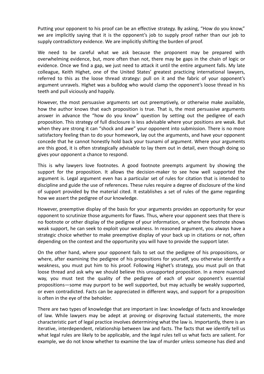Putting your opponent to his proof can be an effective strategy. By asking, "How do you know," we are implicitly saying that it is the opponent's job to supply proof rather than our job to supply contradictory evidence. We are implicitly shifting the burden of proof.

We need to be careful what we ask because the proponent may be prepared with overwhelming evidence, but, more often than not, there may be gaps in the chain of logic or evidence. Once we find a gap, we just need to attack it until the entire argument falls. My late colleague, Keith Highet, one of the United States' greatest practicing international lawyers, referred to this as the loose thread strategy: pull on it and the fabric of your opponent's argument unravels. Highet was a bulldog who would clamp the opponent's loose thread in his teeth and pull viciously and happily.

However, the most persuasive arguments set out preemptively, or otherwise make available, how the author knows that each proposition is true. That is, the most persuasive arguments answer in advance the "how do you know" question by setting out the pedigree of each proposition. This strategy of full disclosure is less advisable where your positions are weak. But when they are strong it can "shock and awe" your opponent into submission. There is no more satisfactory feeling than to do your homework, lay out the arguments, and have your opponent concede that he cannot honestly hold back your tsunami of argument. Where your arguments are this good, it is often strategically advisable to lay them out in detail, even though doing so gives your opponent a chance to respond.

This is why lawyers love footnotes. A good footnote preempts argument by showing the support for the proposition. It allows the decision-maker to see how well supported the argument is. Legal argument even has a particular set of rules for citation that is intended to discipline and guide the use of references. These rules require a degree of disclosure of the kind of support provided by the material cited. It establishes a set of rules of the game regarding how we assert the pedigree of our knowledge.

However, preemptive display of the basis for your arguments provides an opportunity for your opponent to scrutinize those arguments for flaws. Thus, where your opponent sees that there is no footnote or other display of the pedigree of your information, or where the footnote shows weak support, he can seek to exploit your weakness. In reasoned argument, you always have a strategic choice whether to make preemptive display of your back up in citations or not, often depending on the context and the opportunity you will have to provide the support later.

On the other hand, where your opponent fails to set out the pedigree of his propositions, or where, after examining the pedigree of his propositions for yourself, you otherwise identify a weakness, you must put him to his proof. Following Highet's strategy, you must pull on that loose thread and ask why we should believe this unsupported proposition. In a more nuanced way, you must test the quality of the pedigree of each of your opponent's essential propositions—some may purport to be well supported, but may actually be weakly supported, or even contradicted. Facts can be appreciated in different ways, and support for a proposition is often in the eye of the beholder.

There are two types of knowledge that are important in law: knowledge of facts and knowledge of law. While lawyers may be adept at proving or disproving factual statements, the more characteristic part of legal practice involves determining what the law is. Importantly, there is an iterative, interdependent, relationship between law and facts. The facts that we identify tell us what legal rules are likely to be applicable, and the legal rules tell us what facts are salient. For example, we do not know whether to examine the law of murder unless someone has died and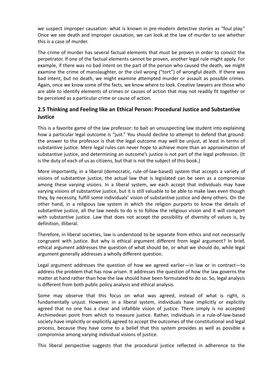we suspect improper causation: what is known in pre-modern detective stories as "foul play." Once we see death and improper causation, we can look at the law of murder to see whether this is a case of murder.

The crime of murder has several factual elements that must be proven in order to convict the perpetrator. If one of the factual elements cannot be proven, another legal rule might apply. For example, if there was no bad intent on the part of the person who caused the death, we might examine the crime of manslaughter, or the civil wrong ("tort") of wrongful death. If there was bad intent, but no death, we might examine attempted murder or assault as possible crimes. Again, once we know some of the facts, we know where to look. Creative lawyers are those who are able to identify elements of crimes or causes of action that may not readily fit together or be perceived as a particular crime or cause of action.

### **2.5 Thinking and Feeling like an Ethical Person: Procedural Justice and Substantive Justice**

This is a favorite game of the law professor: to bait an unsuspecting law student into explaining how a particular legal outcome is "just." You should decline to attempt to defend that ground: the answer to the professor is that the legal outcome may well be unjust, at least in terms of substantive justice. Mere legal rules can never hope to achieve more than an approximation of substantive justice, and determining an outcome's justice is not part of the legal profession. (It is the duty of each of us as citizens, but that is not the subject of this book.)

More importantly, in a liberal (democratic, rule-of-law-based) system that accepts a variety of visions of substantive justice, the actual law that is legislated can be seen as a compromise among these varying visions. In a liberal system, we each accept that individuals may have varying visions of substantive justice, but it is still valuable to be able to make laws even though they, by necessity, fulfill some individuals' vision of substantive justice and deny others. On the other hand, in a religious law system in which the religion purports to know the details of substantive justice, all the law needs to do is to follow the religious vision and it will comport with substantive justice. Law that does not accept the possibility of diversity of values is, by definition, illiberal.

Therefore, in liberal societies, law is understood to be separate from ethics and not necessarily congruent with justice. But why is ethical argument different from legal argument? In brief, ethical argument addresses the question of what should be, or what we should do, while legal argument generally addresses a wholly different question.

Legal argument addresses the question of how we agreed earlier—in law or in contract—to address the problem that has now arisen. It addresses the question of how the law governs the matter at hand rather than how the law should have been formulated to do so. So, legal analysis is different from both public policy analysis and ethical analysis.

Some may observe that this focus on what was agreed, instead of what is right, is fundamentally unjust. However, in a liberal system, individuals have implicitly or explicitly agreed that no one has a clear and infallible vision of justice. There simply is no accepted Archimedean point from which to measure justice. Rather, individuals in a rule-of-law-based society have implicitly or explicitly agreed to accept the outcomes of the constitutional and legal process, because they have come to a belief that this system provides as well as possible a compromise among varying individual visions of justice.

This liberal perspective suggests that the procedural justice reflected in adherence to the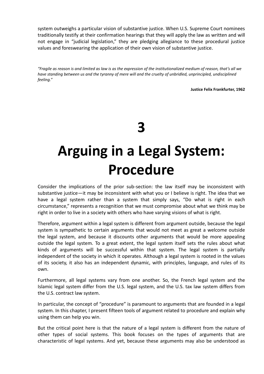system outweighs a particular vision of substantive justice. When U.S. Supreme Court nominees traditionally testify at their confirmation hearings that they will apply the law as written and will not engage in "judicial legislation," they are pledging allegiance to these procedural justice values and foreswearing the application of their own vision of substantive justice.

*"Fragile as reason is and limited as law is as the expression of the institutionalized medium of reason, that's all we*  have standing between us and the tyranny of mere will and the cruelty of unbridled, unprincipled, undisciplined *feeling."*

**Justice Felix Frankfurter, 1962**

### **3**

### **Arguing in a Legal System: Procedure**

Consider the implications of the prior sub-section: the law itself may be inconsistent with substantive justice—it may be inconsistent with what you or I believe is right. The idea that we have a legal system rather than a system that simply says, "Do what is right in each circumstance," represents a recognition that we must compromise about what we think may be right in order to live in a society with others who have varying visions of what is right.

Therefore, argument within a legal system is different from argument outside, because the legal system is sympathetic to certain arguments that would not meet as great a welcome outside the legal system, and because it discounts other arguments that would be more appealing outside the legal system. To a great extent, the legal system itself sets the rules about what kinds of arguments will be successful within that system. The legal system is partially independent of the society in which it operates. Although a legal system is rooted in the values of its society, it also has an independent dynamic, with principles, language, and rules of its own.

Furthermore, all legal systems vary from one another. So, the French legal system and the Islamic legal system differ from the U.S. legal system, and the U.S. tax law system differs from the U.S. contract law system.

In particular, the concept of "procedure" is paramount to arguments that are founded in a legal system. In this chapter, I present fifteen tools of argument related to procedure and explain why using them can help you win.

But the critical point here is that the nature of a legal system is different from the nature of other types of social systems. This book focuses on the types of arguments that are characteristic of legal systems. And yet, because these arguments may also be understood as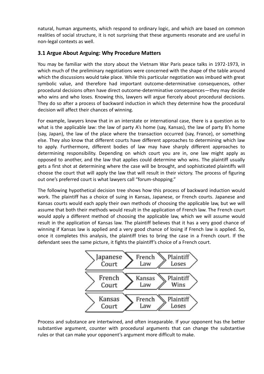natural, human arguments, which respond to ordinary logic, and which are based on common realities of social structure, it is not surprising that these arguments resonate and are useful in non-legal contexts as well.

### **3.1 Argue About Arguing: Why Procedure Matters**

You may be familiar with the story about the Vietnam War Paris peace talks in 1972-1973, in which much of the preliminary negotiations were concerned with the shape of the table around which the discussions would take place. While this particular negotiation was imbued with great symbolic value, and therefore had important outcome-determinative consequences, other procedural decisions often have direct outcome-determinative consequences—they may decide who wins and who loses. Knowing this, lawyers will argue fiercely about procedural decisions. They do so after a process of backward induction in which they determine how the procedural decision will affect their chances of winning.

For example, lawyers know that in an interstate or international case, there is a question as to what is the applicable law: the law of party A's home (say, Kansas), the law of party B's home (say, Japan), the law of the place where the transaction occurred (say, France), or something else. They also know that different courts have different approaches to determining which law to apply. Furthermore, different bodies of law may have sharply different approaches to determining responsibility. Depending on which court you are in, one law might apply as opposed to another, and the law that applies could determine who wins. The plaintiff usually gets a first shot at determining where the case will be brought, and sophisticated plaintiffs will choose the court that will apply the law that will result in their victory. The process of figuring out one's preferred court is what lawyers call "forum-shopping."

The following hypothetical decision tree shows how this process of backward induction would work. The plaintiff has a choice of suing in Kansas, Japanese, or French courts. Japanese and Kansas courts would each apply their own methods of choosing the applicable law, but we will assume that both their methods would result in the application of French law. The French court would apply a different method of choosing the applicable law, which we will assume would result in the application of Kansas law. The plaintiff believes that it has a very good chance of winning if Kansas law is applied and a very good chance of losing if French law is applied. So, once it completes this analysis, the plaintiff tries to bring the case in a French court. If the defendant sees the same picture, it fights the plaintiff's choice of a French court.



Process and substance are intertwined, and often inseparable. If your opponent has the better substantive argument, counter with procedural arguments that can change the substantive rules or that can make your opponent's argument more difficult to make.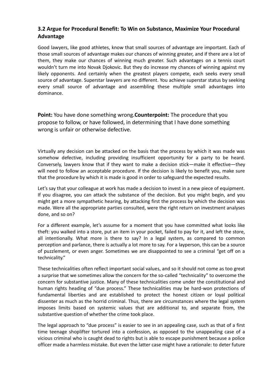### **3.2 Argue for Procedural Benefit: To Win on Substance, Maximize Your Procedural Advantage**

Good lawyers, like good athletes, know that small sources of advantage are important. Each of those small sources of advantage makes our chances of winning greater, and if there are a lot of them, they make our chances of winning much greater. Such advantages on a tennis court wouldn't turn me into Novak Djokovic. But they do increase my chances of winning against my likely opponents. And certainly when the greatest players compete, each seeks every small source of advantage. Superstar lawyers are no different. You achieve superstar status by seeking every small source of advantage and assembling these multiple small advantages into dominance.

**Point:** You have done something wrong.**Counterpoint:** The procedure that you propose to follow, or have followed, in determining that I have done something wrong is unfair or otherwise defective.

Virtually any decision can be attacked on the basis that the process by which it was made was somehow defective, including providing insufficient opportunity for a party to be heard. Conversely, lawyers know that if they want to make a decision stick—make it effective—they will need to follow an acceptable procedure. If the decision is likely to benefit you, make sure that the procedure by which it is made is good in order to safeguard the expected results.

Let's say that your colleague at work has made a decision to invest in a new piece of equipment. If you disagree, you can attack the substance of the decision. But you might begin, and you might get a more sympathetic hearing, by attacking first the process by which the decision was made. Were all the appropriate parties consulted, were the right return on investment analyses done, and so on?

For a different example, let's assume for a moment that you have committed what looks like theft: you walked into a store, put an item in your pocket, failed to pay for it, and left the store, all intentionally. What more is there to say? In a legal system, as compared to common perception and parlance, there is actually a lot more to say. For a layperson, this can be a source of puzzlement, or even anger. Sometimes we are disappointed to see a criminal "get off on a technicality."

These technicalities often reflect important social values, and so it should not come as too great a surprise that we sometimes allow the concern for the so-called "technicality" to overcome the concern for substantive justice. Many of these technicalities come under the constitutional and human rights heading of "due process." These technicalities may be hard-won protections of fundamental liberties and are established to protect the honest citizen or loyal political dissenter as much as the horrid criminal. Thus, there are circumstances where the legal system imposes limits based on systemic values that are additional to, and separate from, the substantive question of whether the crime took place.

The legal approach to "due process" is easier to see in an appealing case, such as that of a first time teenage shoplifter tortured into a confession, as opposed to the unappealing case of a vicious criminal who is caught dead to rights but is able to escape punishment because a police officer made a harmless mistake. But even the latter case might have a rationale: to deter future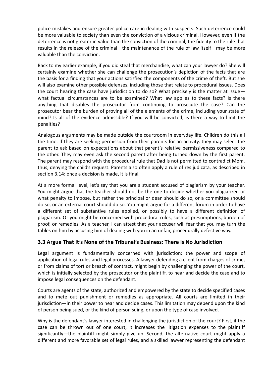police mistakes and ensure greater police care in dealing with suspects. Such deterrence could be more valuable to society than even the conviction of a vicious criminal. However, even if the deterrence is not greater in value than the conviction of the criminal, the fidelity to the rule that results in the release of the criminal—the maintenance of the rule of law itself—may be more valuable than the conviction.

Back to my earlier example, if you did steal that merchandise, what can your lawyer do? She will certainly examine whether she can challenge the prosecution's depiction of the facts that are the basis for a finding that your actions satisfied the components of the crime of theft. But she will also examine other possible defenses, including those that relate to procedural issues. Does the court hearing the case have jurisdiction to do so? What precisely is the matter at issue what factual circumstances are to be examined? What law applies to these facts? Is there anything that disables the prosecutor from continuing to prosecute the case? Can the prosecutor bear the burden of proving all of the elements of the crime, including your state of mind? Is all of the evidence admissible? If you will be convicted, is there a way to limit the penalties?

Analogous arguments may be made outside the courtroom in everyday life. Children do this all the time. If they are seeking permission from their parents for an activity, they may select the parent to ask based on expectations about that parent's relative permissiveness compared to the other. They may even ask the second parent after being turned down by the first parent. The parent may respond with the procedural rule that Dad is not permitted to contradict Mom, thus, denying the child's request. Parents also often apply a rule of res judicata, as described in section 3.14: once a decision is made, it is final.

At a more formal level, let's say that you are a student accused of plagiarism by your teacher. You might argue that the teacher should not be the one to decide whether you plagiarized or what penalty to impose, but rather the principal or dean should do so, or a committee should do so, or an external court should do so. You might argue for a different forum in order to have a different set of substantive rules applied, or possibly to have a different definition of plagiarism. Or you might be concerned with procedural rules, such as presumptions, burden of proof, or remedies. As a teacher, I can attest that your accuser will fear that you may turn the tables on him by accusing him of dealing with you in an unfair, procedurally defective way.

### **3.3 Argue That It's None of the Tribunal's Business: There Is No Jurisdiction**

Legal argument is fundamentally concerned with jurisdiction: the power and scope of application of legal rules and legal processes. A lawyer defending a client from charges of crime, or from claims of tort or breach of contract, might begin by challenging the power of the court, which is initially selected by the prosecutor or the plaintiff, to hear and decide the case and to impose legal consequences on the defendant.

Courts are agents of the state, authorized and empowered by the state to decide specified cases and to mete out punishment or remedies as appropriate. All courts are limited in their jurisdiction—in their power to hear and decide cases. This limitation may depend upon the kind of person being sued, or the kind of person suing, or upon the type of case involved.

Why is the defendant's lawyer interested in challenging the jurisdiction of the court? First, if the case can be thrown out of one court, it increases the litigation expenses to the plaintiff significantly—the plaintiff might simply give up. Second, the alternative court might apply a different and more favorable set of legal rules, and a skilled lawyer representing the defendant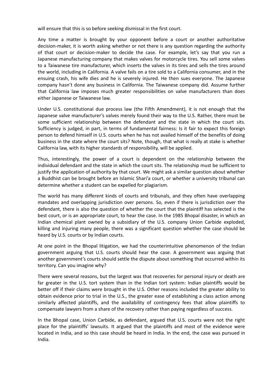will ensure that this is so before seeking dismissal in the first court.

Any time a matter is brought by your opponent before a court or another authoritative decision-maker, it is worth asking whether or not there is any question regarding the authority of that court or decision-maker to decide the case. For example, let's say that you run a Japanese manufacturing company that makes valves for motorcycle tires. You sell some valves to a Taiwanese tire manufacturer, which inserts the valves in its tires and sells the tires around the world, including in California. A valve fails on a tire sold to a California consumer, and in the ensuing crash, his wife dies and he is severely injured. He then sues everyone. The Japanese company hasn't done any business in California. The Taiwanese company did. Assume further that California law imposes much greater responsibilities on valve manufacturers than does either Japanese or Taiwanese law.

Under U.S. constitutional due process law (the Fifth Amendment), it is not enough that the Japanese valve manufacturer's valves merely found their way to the U.S. Rather, there must be some sufficient relationship between the defendant and the state in which the court sits. Sufficiency is judged, in part, in terms of fundamental fairness: Is it fair to expect this foreign person to defend himself in U.S. courts when he has not availed himself of the benefits of doing business in the state where the court sits? Note, though, that what is really at stake is whether California law, with its higher standards of responsibility, will be applied.

Thus, interestingly, the power of a court is dependent on the relationship between the individual defendant and the state in which the court sits. The relationship must be sufficient to justify the application of authority by that court. We might ask a similar question about whether a Buddhist can be brought before an Islamic Shari'a court, or whether a university tribunal can determine whether a student can be expelled for plagiarism.

The world has many different kinds of courts and tribunals, and they often have overlapping mandates and overlapping jurisdiction over persons. So, even if there is jurisdiction over the defendant, there is also the question of whether the court that the plaintiff has selected is the best court, or is an appropriate court, to hear the case. In the 1985 Bhopal disaster, in which an Indian chemical plant owned by a subsidiary of the U.S. company Union Carbide exploded, killing and injuring many people, there was a significant question whether the case should be heard by U.S. courts or by Indian courts.

At one point in the Bhopal litigation, we had the counterintuitive phenomenon of the Indian government arguing that U.S. courts should hear the case. A government was arguing that another government's courts should settle the dispute about something that occurred within its territory. Can you imagine why?

There were several reasons, but the largest was that recoveries for personal injury or death are far greater in the U.S. tort system than in the Indian tort system: Indian plaintiffs would be better off if their claims were brought in the U.S. Other reasons included the greater ability to obtain evidence prior to trial in the U.S., the greater ease of establishing a class action among similarly affected plaintiffs, and the availability of contingency fees that allow plaintiffs to compensate lawyers from a share of the recovery rather than paying regardless of success.

In the Bhopal case, Union Carbide, as defendant, argued that U.S. courts were not the right place for the plaintiffs' lawsuits. It argued that the plaintiffs and most of the evidence were located in India, and so this case should be heard in India. In the end, the case was pursued in India.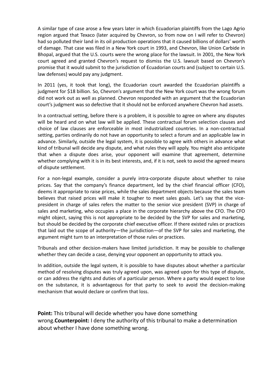A similar type of case arose a few years later in which Ecuadorian plaintiffs from the Lago Agrio region argued that Texaco (later acquired by Chevron, so from now on I will refer to Chevron) had so polluted their land in its oil production operations that it caused billions of dollars' worth of damage. That case was filed in a New York court in 1993, and Chevron, like Union Carbide in Bhopal, argued that the U.S. courts were the wrong place for the lawsuit. In 2001, the New York court agreed and granted Chevron's request to dismiss the U.S. lawsuit based on Chevron's promise that it would submit to the jurisdiction of Ecuadorian courts and (subject to certain U.S. law defenses) would pay any judgment.

In 2011 (yes, it took that long), the Ecuadorian court awarded the Ecuadorian plaintiffs a judgment for \$18 billion. So, Chevron's argument that the New York court was the wrong forum did not work out as well as planned. Chevron responded with an argument that the Ecuadorian court's judgment was so defective that it should not be enforced anywhere Chevron had assets.

In a contractual setting, before there is a problem, it is possible to agree on where any disputes will be heard and on what law will be applied. These contractual forum selection clauses and choice of law clauses are enforceable in most industrialized countries. In a non-contractual setting, parties ordinarily do not have an opportunity to select a forum and an applicable law in advance. Similarly, outside the legal system, it is possible to agree with others in advance what kind of tribunal will decide any dispute, and what rules they will apply. You might also anticipate that when a dispute does arise, your opponent will examine that agreement, determine whether complying with it is in its best interests, and, if it is not, seek to avoid the agreed means of dispute settlement.

For a non-legal example, consider a purely intra-corporate dispute about whether to raise prices. Say that the company's finance department, led by the chief financial officer (CFO), deems it appropriate to raise prices, while the sales department objects because the sales team believes that raised prices will make it tougher to meet sales goals. Let's say that the vicepresident in charge of sales refers the matter to the senior vice president (SVP) in charge of sales and marketing, who occupies a place in the corporate hierarchy above the CFO. The CFO might object, saying this is not appropriate to be decided by the SVP for sales and marketing, but should be decided by the corporate chief executive officer. If there existed rules or practices that laid out the scope of authority—the jurisdiction—of the SVP for sales and marketing, the argument might turn to an interpretation of those rules or practices.

Tribunals and other decision-makers have limited jurisdiction. It may be possible to challenge whether they can decide a case, denying your opponent an opportunity to attack you.

In addition, outside the legal system, it is possible to have disputes about whether a particular method of resolving disputes was truly agreed upon, was agreed upon for this type of dispute, or can address the rights and duties of a particular person. Where a party would expect to lose on the substance, it is advantageous for that party to seek to avoid the decision-making mechanism that would declare or confirm that loss.

**Point:** This tribunal will decide whether you have done something wrong.**Counterpoint:** I deny the authority of this tribunal to make a determination about whether I have done something wrong.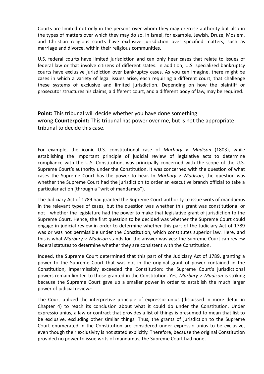Courts are limited not only in the persons over whom they may exercise authority but also in the types of matters over which they may do so. In Israel, for example, Jewish, Druze, Moslem, and Christian religious courts have exclusive jurisdiction over specified matters, such as marriage and divorce, within their religious communities.

U.S. federal courts have limited jurisdiction and can only hear cases that relate to issues of federal law or that involve citizens of different states. In addition, U.S. specialized bankruptcy courts have exclusive jurisdiction over bankruptcy cases. As you can imagine, there might be cases in which a variety of legal issues arise, each requiring a different court, that challenge these systems of exclusive and limited jurisdiction. Depending on how the plaintiff or prosecutor structures his claims, a different court, and a different body of law, may be required.

**Point:** This tribunal will decide whether you have done something wrong.**Counterpoint:** This tribunal has power over me, but is not the appropriate tribunal to decide this case.

For example, the iconic U.S. constitutional case of *Marbury v. Madison* (1803), while establishing the important principle of judicial review of legislative acts to determine compliance with the U.S. Constitution, was principally concerned with the scope of the U.S. Supreme Court's authority under the Constitution. It was concerned with the question of what cases the Supreme Court has the power to hear. In *Marbury v. Madison*, the question was whether the Supreme Court had the jurisdiction to order an executive branch official to take a particular action (through a "writ of mandamus").

The Judiciary Act of 1789 had granted the Supreme Court authority to issue writs of mandamus in the relevant types of cases, but the question was whether this grant was constitutional or not—whether the legislature had the power to make that legislative grant of jurisdiction to the Supreme Court. Hence, the first question to be decided was whether the Supreme Court could engage in judicial review in order to determine whether this part of the Judiciary Act of 1789 was or was not permissible under the Constitution, which constitutes superior law. Here, and this is what *Marbury v. Madison* stands for, the answer was yes: the Supreme Court can review federal statutes to determine whether they are consistent with the Constitution.

Indeed, the Supreme Court determined that this part of the Judiciary Act of 1789, granting a power to the Supreme Court that was not in the original grant of power contained in the Constitution, impermissibly exceeded the Constitution: the Supreme Court's jurisdictional powers remain limited to those granted in the Constitution. Yes, *Marbury v. Madison* is striking because the Supreme Court gave up a smaller power in order to establish the much larger power of judicial review.<sup>4</sup>

The Court utilized the interpretive principle of expressio unius (discussed in more detail in Chapter 4) to reach its conclusion about what it could do under the Constitution. Under expressio unius, a law or contract that provides a list of things is presumed to mean that list to be exclusive, excluding other similar things. Thus, the grants of jurisdiction to the Supreme Court enumerated in the Constitution are considered under expressio unius to be exclusive, even though their exclusivity is not stated explicitly. Therefore, because the original Constitution provided no power to issue writs of mandamus, the Supreme Court had none.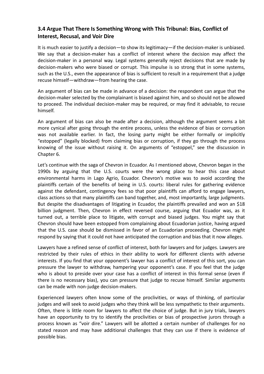### **3.4 Argue That There Is Something Wrong with This Tribunal: Bias, Conflict of Interest, Recusal, and Voir Dire**

It is much easier to justify a decision—to show its legitimacy—if the decision-maker is unbiased. We say that a decision-maker has a conflict of interest where the decision may affect the decision-maker in a personal way. Legal systems generally reject decisions that are made by decision-makers who were biased or corrupt. This impulse is so strong that in some systems, such as the U.S., even the appearance of bias is sufficient to result in a requirement that a judge recuse himself—withdraw—from hearing the case.

An argument of bias can be made in advance of a decision: the respondent can argue that the decision-maker selected by the complainant is biased against him, and so should not be allowed to proceed. The individual decision-maker may be required, or may find it advisable, to recuse himself.

An argument of bias can also be made after a decision, although the argument seems a bit more cynical after going through the entire process, unless the evidence of bias or corruption was not available earlier. In fact, the losing party might be either formally or implicitly "estopped" (legally blocked) from claiming bias or corruption, if they go through the process knowing of the issue without raising it. On arguments of "estoppel," see the discussion in Chapter 6.

Let's continue with the saga of Chevron in Ecuador. As I mentioned above, Chevron began in the 1990s by arguing that the U.S. courts were the wrong place to hear this case about environmental harms in Lago Agrio, Ecuador. Chevron's motive was to avoid according the plaintiffs certain of the benefits of being in U.S. courts: liberal rules for gathering evidence against the defendant, contingency fees so that poor plaintiffs can afford to engage lawyers, class actions so that many plaintiffs can band together, and, most importantly, large judgments. But despite the disadvantages of litigating in Ecuador, the plaintiffs prevailed and won an \$18 billion judgment. Then, Chevron in effect reversed course, arguing that Ecuador was, as it turned out, a terrible place to litigate, with corrupt and biased judges. You might say that Chevron should have been estopped from complaining about Ecuadorian justice, having argued that the U.S. case should be dismissed in favor of an Ecuadorian proceeding. Chevron might respond by saying that it could not have anticipated the corruption and bias that it now alleges.

Lawyers have a refined sense of conflict of interest, both for lawyers and for judges. Lawyers are restricted by their rules of ethics in their ability to work for different clients with adverse interests. If you find that your opponent's lawyer has a conflict of interest of this sort, you can pressure the lawyer to withdraw, hampering your opponent's case. If you feel that the judge who is about to preside over your case has a conflict of interest in this formal sense (even if there is no necessary bias), you can pressure that judge to recuse himself. Similar arguments can be made with non-judge decision-makers.

Experienced lawyers often know some of the proclivities, or ways of thinking, of particular judges and will seek to avoid judges who they think will be less sympathetic to their arguments. Often, there is little room for lawyers to affect the choice of judge. But in jury trials, lawyers have an opportunity to try to identify the proclivities or bias of prospective jurors through a process known as "voir dire." Lawyers will be allotted a certain number of challenges for no stated reason and may have additional challenges that they can use if there is evidence of possible bias.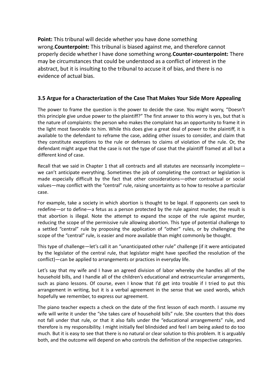**Point:** This tribunal will decide whether you have done something wrong.**Counterpoint:** This tribunal is biased against me, and therefore cannot properly decide whether I have done something wrong.**Counter-counterpoint:** There may be circumstances that could be understood as a conflict of interest in the abstract, but it is insulting to the tribunal to accuse it of bias, and there is no evidence of actual bias.

### **3.5 Argue for a Characterization of the Case That Makes Your Side More Appealing**

The power to frame the question is the power to decide the case. You might worry, "Doesn't this principle give undue power to the plaintiff?" The first answer to this worry is yes, but that is the nature of complaints: the person who makes the complaint has an opportunity to frame it in the light most favorable to him. While this does give a great deal of power to the plaintiff, it is available to the defendant to reframe the case, adding other issues to consider, and claim that they constitute exceptions to the rule or defenses to claims of violation of the rule. Or, the defendant might argue that the case is not the type of case that the plaintiff framed at all but a different kind of case.

Recall that we said in Chapter 1 that all contracts and all statutes are necessarily incomplete we can't anticipate everything. Sometimes the job of completing the contract or legislation is made especially difficult by the fact that other considerations—other contractual or social values—may conflict with the "central" rule, raising uncertainty as to how to resolve a particular case.

For example, take a society in which abortion is thought to be legal. If opponents can seek to redefine—or to define—a fetus as a person protected by the rule against murder, the result is that abortion is illegal. Note the attempt to expand the scope of the rule against murder, reducing the scope of the permissive rule allowing abortion. This type of potential challenge to a settled "central" rule by proposing the application of "other" rules, or by challenging the scope of the "central" rule, is easier and more available than might commonly be thought.

This type of challenge—let's call it an "unanticipated other rule" challenge (if it were anticipated by the legislator of the central rule, that legislator might have specified the resolution of the conflict)—can be applied to arrangements or practices in everyday life.

Let's say that my wife and I have an agreed division of labor whereby she handles all of the household bills, and I handle all of the children's educational and extracurricular arrangements, such as piano lessons. Of course, even I know that I'd get into trouble if I tried to put this arrangement in writing, but it is a verbal agreement in the sense that we used words, which hopefully we remember, to express our agreement.

The piano teacher expects a check on the date of the first lesson of each month. I assume my wife will write it under the "she takes care of household bills" rule. She counters that this does not fall under that rule, or that it also falls under the "educational arrangements" rule, and therefore is my responsibility. I might initially feel blindsided and feel I am being asked to do too much. But it is easy to see that there is no natural or clear solution to this problem. It is arguably both, and the outcome will depend on who controls the definition of the respective categories.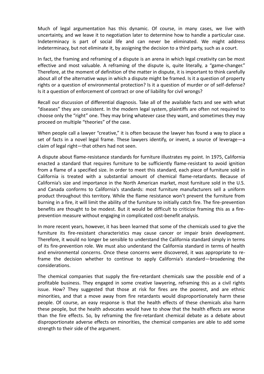Much of legal argumentation has this dynamic. Of course, in many cases, we live with uncertainty, and we leave it to negotiation later to determine how to handle a particular case. Indeterminacy is part of social life and can never be eliminated. We might address indeterminacy, but not eliminate it, by assigning the decision to a third party, such as a court.

In fact, the framing and reframing of a dispute is an arena in which legal creativity can be most effective and most valuable. A reframing of the dispute is, quite literally, a "game-changer." Therefore, at the moment of definition of the matter in dispute, it is important to think carefully about all of the alternative ways in which a dispute might be framed. Is it a question of property rights or a question of environmental protection? Is it a question of murder or of self-defense? Is it a question of enforcement of contract or one of liability for civil wrongs?

Recall our discussion of differential diagnosis. Take all of the available facts and see with what "diseases" they are consistent. In the modern legal system, plaintiffs are often not required to choose only the "right" one. They may bring whatever case they want, and sometimes they may proceed on multiple "theories" of the case.

When people call a lawyer "creative," it is often because the lawyer has found a way to place a set of facts in a novel legal frame. These lawyers identify, or invent, a source of leverage—a claim of legal right—that others had not seen.

A dispute about flame-resistance standards for furniture illustrates my point. In 1975, California enacted a standard that requires furniture to be sufficiently flame-resistant to avoid ignition from a flame of a specified size. In order to meet this standard, each piece of furniture sold in California is treated with a substantial amount of chemical flame-retardants. Because of California's size and importance in the North American market, most furniture sold in the U.S. and Canada conforms to California's standards: most furniture manufacturers sell a uniform product throughout this territory. While the flame resistance won't prevent the furniture from burning in a fire, it will limit the ability of the furniture to initially catch fire. The fire-prevention benefits are thought to be modest. But it would be difficult to criticize framing this as a fireprevention measure without engaging in complicated cost-benefit analysis.

In more recent years, however, it has been learned that some of the chemicals used to give the furniture its fire-resistant characteristics may cause cancer or impair brain development. Therefore, it would no longer be sensible to understand the California standard simply in terms of its fire-prevention role. We must also understand the California standard in terms of health and environmental concerns. Once these concerns were discovered, it was appropriate to reframe the decision whether to continue to apply California's standard—broadening the considerations.

The chemical companies that supply the fire-retardant chemicals saw the possible end of a profitable business. They engaged in some creative lawyering, reframing this as a civil rights issue. How? They suggested that those at risk for fires are the poorest, and are ethnic minorities, and that a move away from fire retardants would disproportionately harm these people. Of course, an easy response is that the health effects of these chemicals also harm these people, but the health advocates would have to show that the health effects are worse than the fire effects. So, by reframing the fire-retardant chemical debate as a debate about disproportionate adverse effects on minorities, the chemical companies are able to add some strength to their side of the argument.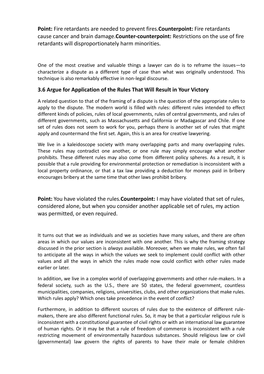**Point:** Fire retardants are needed to prevent fires.**Counterpoint:** Fire retardants cause cancer and brain damage.**Counter-counterpoint:** Restrictions on the use of fire retardants will disproportionately harm minorities.

One of the most creative and valuable things a lawyer can do is to reframe the issues—to characterize a dispute as a different type of case than what was originally understood. This technique is also remarkably effective in non-legal discourse.

### **3.6 Argue for Application of the Rules That Will Result in Your Victory**

A related question to that of the framing of a dispute is the question of the appropriate rules to apply to the dispute. The modern world is filled with rules: different rules intended to effect different kinds of policies, rules of local governments, rules of central governments, and rules of different governments, such as Massachusetts and California or Madagascar and Chile. If one set of rules does not seem to work for you, perhaps there is another set of rules that might apply and countermand the first set. Again, this is an area for creative lawyering.

We live in a kaleidoscope society with many overlapping parts and many overlapping rules. These rules may contradict one another, or one rule may simply encourage what another prohibits. These different rules may also come from different policy spheres. As a result, it is possible that a rule providing for environmental protection or remediation is inconsistent with a local property ordinance, or that a tax law providing a deduction for moneys paid in bribery encourages bribery at the same time that other laws prohibit bribery.

**Point:** You have violated the rules.**Counterpoint:** I may have violated that set of rules, considered alone, but when you consider another applicable set of rules, my action was permitted, or even required.

It turns out that we as individuals and we as societies have many values, and there are often areas in which our values are inconsistent with one another. This is why the framing strategy discussed in the prior section is *always* available. Moreover, when we make rules, we often fail to anticipate all the ways in which the values we seek to implement could conflict with other values and all the ways in which the rules made now could conflict with other rules made earlier or later.

In addition, we live in a complex world of overlapping governments and other rule-makers. In a federal society, such as the U.S., there are 50 states, the federal government, countless municipalities, companies, religions, universities, clubs, and other organizations that make rules. Which rules apply? Which ones take precedence in the event of conflict?

Furthermore, in addition to different sources of rules due to the existence of different rulemakers, there are also different functional rules. So, it may be that a particular religious rule is inconsistent with a constitutional guarantee of civil rights or with an international law guarantee of human rights. Or it may be that a rule of freedom of commerce is inconsistent with a rule restricting movement of environmentally hazardous substances. Should religious law or civil (governmental) law govern the rights of parents to have their male or female children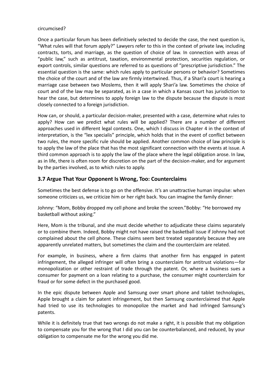### circumcised?

Once a particular forum has been definitively selected to decide the case, the next question is, "What rules will that forum apply?" Lawyers refer to this in the context of private law, including contracts, torts, and marriage, as the question of choice of law. In connection with areas of "public law," such as antitrust, taxation, environmental protection, securities regulation, or export controls, similar questions are referred to as questions of "prescriptive jurisdiction." The essential question is the same: which rules apply to particular persons or behavior? Sometimes the choice of the court and of the law are firmly intertwined. Thus, if a Shari'a court is hearing a marriage case between two Moslems, then it will apply Shari'a law. Sometimes the choice of court and of the law may be separated, as in a case in which a Kansas court has jurisdiction to hear the case, but determines to apply foreign law to the dispute because the dispute is most closely connected to a foreign jurisdiction.

How can, or should, a particular decision-maker, presented with a case, determine what rules to apply? How can we predict what rules will be applied? There are a number of different approaches used in different legal contexts. One, which I discuss in Chapter 4 in the context of interpretation, is the "lex specialis" principle, which holds that in the event of conflict between two rules, the more specific rule should be applied. Another common choice of law principle is to apply the law of the place that has the most significant connection with the events at issue. A third common approach is to apply the law of the place where the legal obligation arose. In law, as in life, there is often room for discretion on the part of the decision-maker, and for argument by the parties involved, as to which rules to apply.

### **3.7 Argue That Your Opponent Is Wrong, Too: Counterclaims**

Sometimes the best defense is to go on the offensive. It's an unattractive human impulse: when someone criticizes us, we criticize him or her right back. You can imagine the family dinner:

Johnny: "Mom, Bobby dropped my cell phone and broke the screen."Bobby: "He borrowed my basketball without asking."

Here, Mom is the tribunal, and she must decide whether to adjudicate these claims separately or to combine them. Indeed, Bobby might not have raised the basketball issue if Johnny had not complained about the cell phone. These claims seem best treated separately because they are apparently unrelated matters, but sometimes the claim and the counterclaim are related.

For example, in business, where a firm claims that another firm has engaged in patent infringement, the alleged infringer will often bring a counterclaim for antitrust violations—for monopolization or other restraint of trade through the patent. Or, where a business sues a consumer for payment on a loan relating to a purchase, the consumer might counterclaim for fraud or for some defect in the purchased good.

In the epic dispute between Apple and Samsung over smart phone and tablet technologies, Apple brought a claim for patent infringement, but then Samsung counterclaimed that Apple had tried to use its technologies to monopolize the market and had infringed Samsung's patents.

While it is definitely true that two wrongs do not make a right, it is possible that my obligation to compensate you for the wrong that I did you can be counterbalanced, and reduced, by your obligation to compensate me for the wrong you did me.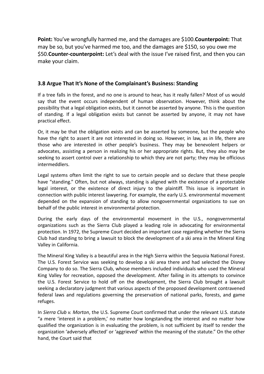**Point:** You've wrongfully harmed me, and the damages are \$100.**Counterpoint:** That may be so, but you've harmed me too, and the damages are \$150, so you owe me \$50.**Counter-counterpoint:** Let's deal with the issue I've raised first, and then you can make your claim.

### **3.8 Argue That It's None of the Complainant's Business: Standing**

If a tree falls in the forest, and no one is around to hear, has it really fallen? Most of us would say that the event occurs independent of human observation. However, think about the possibility that a legal obligation exists, but it cannot be asserted by anyone. This is the question of standing. If a legal obligation exists but cannot be asserted by anyone, it may not have practical effect.

Or, it may be that the obligation exists and can be asserted by someone, but the people who have the right to assert it are not interested in doing so. However, in law, as in life, there are those who are interested in other people's business. They may be benevolent helpers or advocates, assisting a person in realizing his or her appropriate rights. But, they also may be seeking to assert control over a relationship to which they are not party; they may be officious intermeddlers.

Legal systems often limit the right to sue to certain people and so declare that these people have "standing." Often, but not always, standing is aligned with the existence of a protectable legal interest, or the existence of direct injury to the plaintiff. This issue is important in connection with public interest lawyering. For example, the early U.S. environmental movement depended on the expansion of standing to allow nongovernmental organizations to sue on behalf of the public interest in environmental protection.

During the early days of the environmental movement in the U.S., nongovernmental organizations such as the Sierra Club played a leading role in advocating for environmental protection. In 1972, the Supreme Court decided an important case regarding whether the Sierra Club had standing to bring a lawsuit to block the development of a ski area in the Mineral King Valley in California.

The Mineral King Valley is a beautiful area in the High Sierra within the Sequoia National Forest. The U.S. Forest Service was seeking to develop a ski area there and had selected the Disney Company to do so. The Sierra Club, whose members included individuals who used the Mineral King Valley for recreation, opposed the development. After failing in its attempts to convince the U.S. Forest Service to hold off on the development, the Sierra Club brought a lawsuit seeking a declaratory judgment that various aspects of the proposed development contravened federal laws and regulations governing the preservation of national parks, forests, and game refuges.

In *Sierra Club v. Morton*, the U.S. Supreme Court confirmed that under the relevant U.S. statute "a mere 'interest in a problem,' no matter how longstanding the interest and no matter how qualified the organization is in evaluating the problem, is not sufficient by itself to render the organization 'adversely affected' or 'aggrieved' within the meaning of the statute." On the other hand, the Court said that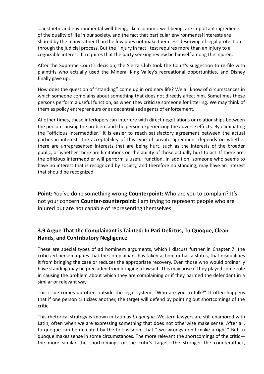…aesthetic and environmental well-being, like economic well-being, are important ingredients of the quality of life in our society, and the fact that particular environmental interests are shared by the many rather than the few does not make them less deserving of legal protection through the judicial process. But the "injury in fact" test requires more than an injury to a cognizable interest. It requires that the party seeking review be himself among the injured.

After the Supreme Court's decision, the Sierra Club took the Court's suggestion to re-file with plaintiffs who actually used the Mineral King Valley's recreational opportunities, and Disney finally gave up.

How does the question of "standing" come up in ordinary life? We all know of circumstances in which someone complains about something that does not directly affect him. Sometimes these persons perform a useful function, as when they criticize someone for littering. We may think of them as policy entrepreneurs or as decentralized agents of enforcement.

At other times, these interlopers can interfere with direct negotiations or relationships between the person causing the problem and the person experiencing the adverse effects. By eliminating the "officious intermeddler," it is easier to reach satisfactory agreement between the actual parties in interest. The acceptability of this type of private agreement depends on whether there are unrepresented interests that are being hurt, such as the interests of the broader public, or whether there are limitations on the ability of those actually hurt to act. If there are, the officious intermeddler will perform a useful function. In addition, someone who seems to have no interest that is recognized by society, and therefore no standing, may have an interest that should be recognized.

**Point:** You've done something wrong.**Counterpoint:** Who are you to complain? It's not your concern.**Counter-counterpoint:** I am trying to represent people who are injured but are not capable of representing themselves.

### **3.9 Argue That the Complainant is Tainted: In Pari Delictus, Tu Quoque, Clean Hands, and Contributory Negligence**

These are special types of ad hominem arguments, which I discuss further in Chapter 7: the criticized person argues that the complainant has taken action, or has a status, that disqualifies it from bringing the case or reduces the appropriate recovery. Even those who would ordinarily have standing may be precluded from bringing a lawsuit. This may arise if they played some role in causing the problem about which they are complaining or if they harmed the defendant in a similar or relevant way.

This issue comes up often outside the legal system. "Who are you to talk?" It often happens that if one person criticizes another, the target will defend by pointing out shortcomings of the critic.

This rhetorical strategy is known in Latin as *tu quoque*. Western lawyers are still enamored with Latin, often when we are expressing something that does not otherwise make sense. After all, tu quoque can be defeated by the folk wisdom that "two wrongs don't make a right." But tu quoque makes sense in some circumstances. The more relevant the shortcomings of the critic the more similar the shortcomings of the critic's target—the stronger the counterattack,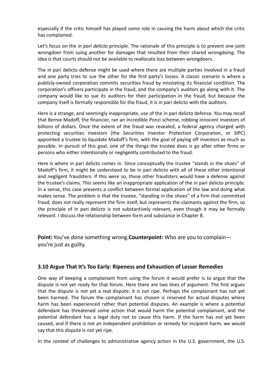especially if the critic himself has played some role in causing the harm about which the critic has complained.

Let's focus on the *in pari delicto* principle. The rationale of this principle is to prevent one joint wrongdoer from suing another for damages that resulted from their shared wrongdoing. The idea is that courts should not be available to reallocate loss between wrongdoers.

The in pari delicto defense might be used where there are multiple parties involved in a fraud and one party tries to sue the other for the first party's losses. A classic scenario is where a publicly-owned corporation commits securities fraud by misstating its financial condition. The corporation's officers participate in the fraud, and the company's auditors go along with it. The company would like to sue its auditors for their participation in the fraud, but because the company itself is formally responsible for the fraud, it is in pari delicto with the auditors.

Here is a strange, and seemingly inappropriate, use of the in pari delicto defense. You may recall that Bernie Madoff, the financier, ran an incredible Ponzi scheme, robbing innocent investors of billions of dollars. Once the extent of the fraud was revealed, a federal agency charged with protecting securities investors (the Securities Investor Protection Corporation, or SIPC) appointed a trustee to liquidate Madoff's firm, with the goal of paying off investors as much as possible. In pursuit of this goal, one of the things the trustee does is go after other firms or persons who either intentionally or negligently contributed to the fraud.

Here is where in pari delicto comes in. Since conceptually the trustee "stands in the shoes" of Madoff's firm, it might be understood to be in pari delicto with all of these other intentional and negligent fraudsters. If this were so, these other fraudsters would have a defense against the trustee's claims. This seems like an inappropriate application of the in pari delicto principle. In a sense, this case presents a conflict between formal application of the law and doing what makes sense. The problem is that the trustee, "standing in the shoes" of a firm that committed fraud, does not really represent the firm itself, but represents the claimants against the firm, so the principle of in pari delicto is not substantively relevant, even though it may be formally relevant. I discuss the relationship between form and substance in Chapter 8.

**Point:** You've done something wrong.**Counterpoint:** Who are you to complain you're just as guilty.

### **3.10 Argue That It's Too Early: Ripeness and Exhaustion of Lesser Remedies**

One way of keeping a complainant from using the forum it would prefer is to argue that the dispute is not yet ready for that forum. Here there are two lines of argument. The first argues that the dispute is not yet a real dispute: it is not ripe. Perhaps the complainant has not yet been harmed. The forum the complainant has chosen is reserved for actual disputes where harm has been experienced rather than potential disputes. An example is where a potential defendant has threatened some action that would harm the potential complainant, and the potential defendant has a legal duty not to cause this harm. If the harm has not yet been caused, and if there is not an independent prohibition or remedy for incipient harm, we would say that this dispute is not yet ripe.

In the context of challenges to administrative agency action in the U.S. government, the U.S.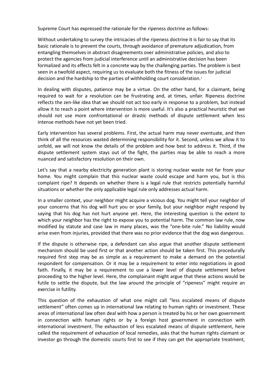Supreme Court has expressed the rationale for the ripeness doctrine as follows:

Without undertaking to survey the intricacies of the ripeness doctrine it is fair to say that its basic rationale is to prevent the courts, through avoidance of premature adjudication, from entangling themselves in abstract disagreements over administrative policies, and also to protect the agencies from judicial interference until an administrative decision has been formalized and its effects felt in a concrete way by the challenging parties. The problem is best seen in a twofold aspect, requiring us to evaluate both the fitness of the issues for judicial decision and the hardship to the parties of withholding court consideration.<sup>5</sup>

In dealing with disputes, patience may be a virtue. On the other hand, for a claimant, being required to wait for a resolution can be frustrating and, at times, unfair. Ripeness doctrine reflects the zen-like idea that we should not act too early in response to a problem, but instead allow it to reach a point where intervention is more useful. It's also a practical heuristic that we should not use more confrontational or drastic methods of dispute settlement when less intense methods have not yet been tried.

Early intervention has several problems. First, the actual harm may never eventuate, and then think of all the resources wasted determining responsibility for it. Second, unless we allow it to unfold, we will not know the details of the problem and how best to address it. Third, if the dispute settlement system stays out of the fight, the parties may be able to reach a more nuanced and satisfactory resolution on their own.

Let's say that a nearby electricity generation plant is storing nuclear waste not far from your home. You might complain that this nuclear waste could escape and harm you, but is this complaint ripe? It depends on whether there is a legal rule that restricts potentially harmful situations or whether the only applicable legal rule only addresses actual harm.

In a smaller context, your neighbor might acquire a vicious dog. You might tell your neighbor of your concerns that his dog will hurt you or your family, but your neighbor might respond by saying that his dog has not hurt anyone yet. Here, the interesting question is the extent to which your neighbor has the right to expose you to potential harm. The common law rule, now modified by statute and case law in many places, was the "one-bite rule." No liability would arise even from injuries, provided that there was no prior evidence that the dog was dangerous.

If the dispute is otherwise ripe, a defendant can also argue that another dispute settlement mechanism should be used first or that another action should be taken first. This procedurally required first step may be as simple as a requirement to make a demand on the potential respondent for compensation. Or it may be a requirement to enter into negotiations in good faith. Finally, it may be a requirement to use a lower level of dispute settlement before proceeding to the higher level. Here, the complainant might argue that these actions would be futile to settle the dispute, but the law around the principle of "ripeness" might require an exercise in futility.

This question of the exhaustion of what one might call "less escalated means of dispute settlement" often comes up in international law relating to human rights or investment. These areas of international law often deal with how a person is treated by his or her own government in connection with human rights or by a foreign host government in connection with international investment. The exhaustion of less escalated means of dispute settlement, here called the requirement of exhaustion of local remedies, asks that the human rights claimant or investor go through the domestic courts first to see if they can get the appropriate treatment,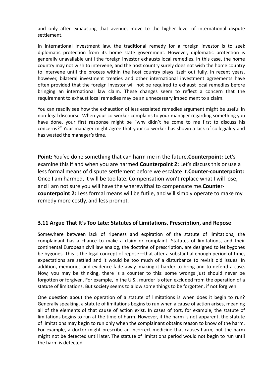and only after exhausting that avenue, move to the higher level of international dispute settlement.

In international investment law, the traditional remedy for a foreign investor is to seek diplomatic protection from its home state government. However, diplomatic protection is generally unavailable until the foreign investor exhausts local remedies. In this case, the home country may not wish to intervene, and the host country surely does not wish the home country to intervene until the process within the host country plays itself out fully. In recent years, however, bilateral investment treaties and other international investment agreements have often provided that the foreign investor will not be required to exhaust local remedies before bringing an international law claim. These changes seem to reflect a concern that the requirement to exhaust local remedies may be an unnecessary impediment to a claim.

You can readily see how the exhaustion of less escalated remedies argument might be useful in non-legal discourse. When your co-worker complains to your manager regarding something you have done, your first response might be "why didn't he come to me first to discuss his concerns?" Your manager might agree that your co-worker has shown a lack of collegiality and has wasted the manager's time.

**Point:** You've done something that can harm me in the future.**Counterpoint:** Let's examine this if and when you are harmed.**Counterpoint 2:** Let's discuss this or use a less formal means of dispute settlement before we escalate it.**Counter-counterpoint:** Once I am harmed, it will be too late. Compensation won't replace what I will lose, and I am not sure you will have the wherewithal to compensate me.**Countercounterpoint 2:** Less formal means will be futile, and will simply operate to make my remedy more costly, and less prompt.

### **3.11 Argue That It's Too Late: Statutes of Limitations, Prescription, and Repose**

Somewhere between lack of ripeness and expiration of the statute of limitations, the complainant has a chance to make a claim or complaint. Statutes of limitations, and their continental European civil law analog, the doctrine of prescription, are designed to let bygones be bygones. This is the legal concept of repose—that after a substantial enough period of time, expectations are settled and it would be too much of a disturbance to revisit old issues. In addition, memories and evidence fade away, making it harder to bring and to defend a case. Now, you may be thinking, there is a counter to this: some wrongs just should never be forgotten or forgiven. For example, in the U.S., murder is often excluded from the operation of a statute of limitations. But society seems to allow some things to be forgotten, if not forgiven.

One question about the operation of a statute of limitations is when does it begin to run? Generally speaking, a statute of limitations begins to run when a cause of action arises, meaning all of the elements of that cause of action exist. In cases of tort, for example, the statute of limitations begins to run at the time of harm. However, if the harm is not apparent, the statute of limitations may begin to run only when the complainant obtains reason to know of the harm. For example, a doctor might prescribe an incorrect medicine that causes harm, but the harm might not be detected until later. The statute of limitations period would not begin to run until the harm is detected.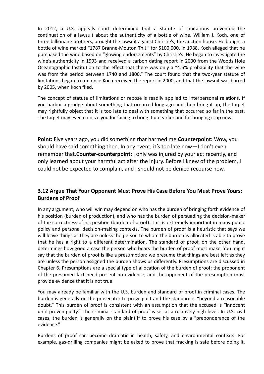In 2012, a U.S. appeals court determined that a statute of limitations prevented the continuation of a lawsuit about the authenticity of a bottle of wine. William I. Koch, one of three billionaire brothers, brought the lawsuit against Christie's, the auction house. He bought a bottle of wine marked "1787 Branne-Mouton Th.J." for \$100,000, in 1988. Koch alleged that he purchased the wine based on "glowing endorsements" by Christie's. He began to investigate the wine's authenticity in 1993 and received a carbon dating report in 2000 from the Woods Hole Oceanographic Institution to the effect that there was only a "4.6% probability that the wine was from the period between 1740 and 1800." The court found that the two-year statute of limitations began to run once Koch received the report in 2000, and that the lawsuit was barred by 2005, when Koch filed.

The concept of statute of limitations or repose is readily applied to interpersonal relations. If you harbor a grudge about something that occurred long ago and then bring it up, the target may rightfully object that it is too late to deal with something that occurred so far in the past. The target may even criticize you for failing to bring it up earlier and for bringing it up now.

**Point:** Five years ago, you did something that harmed me.**Counterpoint:** Wow, you should have said something then. In any event, it's too late now—I don't even remember that.**Counter-counterpoint:** I only was injured by your act recently, and only learned about your harmful act after the injury. Before I knew of the problem, I could not be expected to complain, and I should not be denied recourse now.

### **3.12 Argue That Your Opponent Must Prove His Case Before You Must Prove Yours: Burdens of Proof**

In any argument, who will win may depend on who has the burden of bringing forth evidence of his position (burden of production), and who has the burden of persuading the decision-maker of the correctness of his position (burden of proof). This is extremely important in many public policy and personal decision-making contexts. The burden of proof is a heuristic that says we will leave things as they are unless the person to whom the burden is allocated is able to prove that he has a right to a different determination. The standard of proof, on the other hand, determines how good a case the person who bears the burden of proof must make. You might say that the burden of proof is like a presumption: we presume that things are best left as they are unless the person assigned the burden shows us differently. Presumptions are discussed in Chapter 6. Presumptions are a special type of allocation of the burden of proof; the proponent of the presumed fact need present no evidence, and the opponent of the presumption must provide evidence that it is not true.

You may already be familiar with the U.S. burden and standard of proof in criminal cases. The burden is generally on the prosecutor to prove guilt and the standard is "beyond a reasonable doubt." This burden of proof is consistent with an assumption that the accused is "innocent until proven guilty." The criminal standard of proof is set at a relatively high level. In U.S. civil cases, the burden is generally on the plaintiff to prove his case by a "preponderance of the evidence."

Burdens of proof can become dramatic in health, safety, and environmental contexts. For example, gas-drilling companies might be asked to prove that fracking is safe before doing it.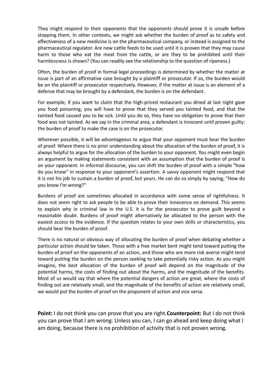They might respond to their opponents that the opponents should prove it is unsafe before stopping them. In other contexts, we might ask whether the burden of proof as to safety and effectiveness of a new medicine is on the pharmaceutical company, or instead is assigned to the pharmaceutical regulator. Are new cattle feeds to be used until it is proven that they may cause harm to those who eat the meat from the cattle, or are they to be prohibited until their harmlessness is shown? (You can readily see the relationship to the question of ripeness.)

Often, the burden of proof in formal legal proceedings is determined by whether the matter at issue is part of an affirmative case brought by a plaintiff or prosecutor. If so, the burden would be on the plaintiff or prosecutor respectively. However, if the matter at issue is an element of a defense that may be brought by a defendant, the burden is on the defendant.

For example, if you want to claim that the high-priced restaurant you dined at last night gave you food poisoning, you will have to prove that they served you tainted food, and that the tainted food caused you to be sick. Until you do so, they have no obligation to prove that their food was not tainted. As we say in the criminal area, a defendant is innocent until proven guilty: the burden of proof to make the case is on the prosecutor.

Wherever possible, it will be advantageous to argue that your opponent must bear the burden of proof. Where there is no prior understanding about the allocation of the burden of proof, it is always helpful to argue for the allocation of the burden to your opponent. You might even begin an argument by making statements consistent with an assumption that the burden of proof is on your opponent. In informal discourse, you can shift the burden of proof with a simple "how do you know" in response to your opponent's assertion. A savvy opponent might respond that it is not his job to sustain a burden of proof, but yours. He can do so simply by saying, "How do you know I'm wrong?"

Burdens of proof are sometimes allocated in accordance with some sense of rightfulness. It does not seem right to ask people to be able to prove their innocence on demand. This seems to explain why in criminal law in the U.S. it is for the prosecutor to prove guilt beyond a reasonable doubt. Burdens of proof might alternatively be allocated to the person with the easiest access to the evidence. If the question relates to your own skills or characteristics, you should bear the burden of proof.

There is no natural or obvious way of allocating the burden of proof when debating whether a particular action should be taken. Those with a free market bent might tend toward putting the burden of proof on the opponents of an action, and those who are more risk averse might tend toward putting the burden on the person seeking to take potentially risky action. As you might imagine, the best allocation of the burden of proof will depend on the magnitude of the potential harms, the costs of finding out about the harms, and the magnitude of the benefits. Most of us would say that where the potential dangers of action are great, where the costs of finding out are relatively small, and the magnitude of the benefits of action are relatively small, we would put the burden of proof on the proponent of action and vice versa.

**Point:** I do not think you can prove that you are right.**Counterpoint:** But I do not think you can prove that I am wrong. Unless you can, I can go ahead and keep doing what I am doing, because there is no prohibition of activity that is not proven wrong.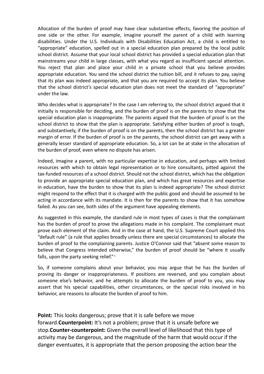Allocation of the burden of proof may have clear substantive effects, favoring the position of one side or the other. For example, imagine yourself the parent of a child with learning disabilities. Under the U.S. Individuals with Disabilities Education Act, a child is entitled to "appropriate" education, spelled out in a special education plan prepared by the local public school district. Assume that your local school district has provided a special education plan that mainstreams your child in large classes, with what you regard as insufficient special attention. You reject that plan and place your child in a private school that you believe provides appropriate education. You send the school district the tuition bill, and it refuses to pay, saying that its plan was indeed appropriate, and that you are required to accept its plan. You believe that the school district's special education plan does not meet the standard of "appropriate" under the law.

Who decides what is appropriate? In the case I am referring to, the school district argued that it initially is responsible for deciding, and the burden of proof is on the parents to show that the special education plan is inappropriate. The parents argued that the burden of proof is on the school district to show that the plan is appropriate. Satisfying either burden of proof is tough, and substantively, if the burden of proof is on the parents, then the school district has a greater margin of error. If the burden of proof is on the parents, the school district can get away with a generally lesser standard of appropriate education. So, a lot can be at stake in the allocation of the burden of proof, even where no dispute has arisen.

Indeed, imagine a parent, with no particular expertise in education, and perhaps with limited resources with which to obtain legal representation or to hire consultants, pitted against the tax-funded resources of a school district. Should not the school district, which has the obligation to provide an appropriate special education plan, and which has great resources and expertise in education, have the burden to show that its plan is indeed appropriate? The school district might respond to the effect that it is charged with the public good and should be assumed to be acting in accordance with its mandate. It is then for the parents to show that it has somehow failed. As you can see, both sides of the argument have appealing elements.

As suggested in this example, the standard rule in most types of cases is that the complainant has the burden of proof to prove the allegations made in his complaint. The complainant must prove each element of the claim. And in the case at hand, the U.S. Supreme Court applied this "default rule" (a rule that applies broadly unless there are special circumstances) to allocate the burden of proof to the complaining parents. Justice O'Connor said that "absent some reason to believe that Congress intended otherwise," the burden of proof should be "where it usually falls, upon the party seeking relief." <sup>6</sup>

So, if someone complains about your behavior, you may argue that he has the burden of proving its danger or inappropriateness. If positions are reversed, and you complain about someone else's behavior, and he attempts to allocate the burden of proof to you, you may assert that his special capabilities, other circumstances, or the special risks involved in his behavior, are reasons to allocate the burden of proof to him.

**Point:** This looks dangerous; prove that it is safe before we move forward.**Counterpoint:** It's not a problem; prove that it is unsafe before we stop.**Counter-counterpoint:** Given the overall level of likelihood that this type of activity may be dangerous, and the magnitude of the harm that would occur if the danger eventuates, it is appropriate that the person proposing the action bear the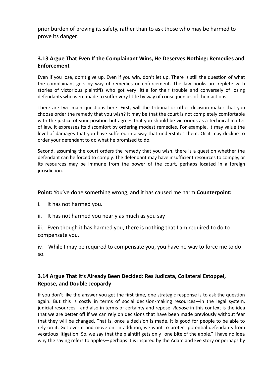prior burden of proving its safety, rather than to ask those who may be harmed to prove its danger.

#### **3.13 Argue That Even If the Complainant Wins, He Deserves Nothing: Remedies and Enforcement**

Even if you lose, don't give up. Even if you win, don't let up. There is still the question of what the complainant gets by way of remedies or enforcement. The law books are replete with stories of victorious plaintiffs who got very little for their trouble and conversely of losing defendants who were made to suffer very little by way of consequences of their actions.

There are two main questions here. First, will the tribunal or other decision-maker that you choose order the remedy that you wish? It may be that the court is not completely comfortable with the justice of your position but agrees that you should be victorious as a technical matter of law. It expresses its discomfort by ordering modest remedies. For example, it may value the level of damages that you have suffered in a way that understates them. Or it may decline to order your defendant to do what he promised to do.

Second, assuming the court orders the remedy that you wish, there is a question whether the defendant can be forced to comply. The defendant may have insufficient resources to comply, or its resources may be immune from the power of the court, perhaps located in a foreign jurisdiction.

**Point:** You've done something wrong, and it has caused me harm.**Counterpoint:**

- i. It has not harmed you.
- ii. It has not harmed you nearly as much as you say

iii. Even though it has harmed you, there is nothing that I am required to do to compensate you.

iv. While I may be required to compensate you, you have no way to force me to do so.

#### **3.14 Argue That It's Already Been Decided: Res Judicata, Collateral Estoppel, Repose, and Double Jeopardy**

If you don't like the answer you get the first time, one strategic response is to ask the question again. But this is costly in terms of social decision-making resources—in the legal system, judicial resources—and also in terms of certainty and repose. *Repose* in this context is the idea that we are better off if we can rely on decisions that have been made previously without fear that they will be changed. That is, once a decision is made, it is good for people to be able to rely on it. Get over it and move on. In addition, we want to protect potential defendants from vexatious litigation. So, we say that the plaintiff gets only "one bite of the apple." I have no idea why the saying refers to apples—perhaps it is inspired by the Adam and Eve story or perhaps by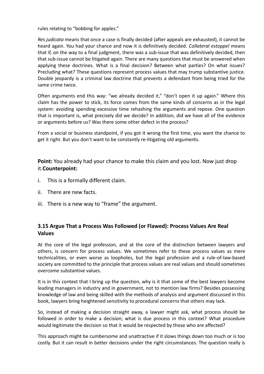rules relating to "bobbing for apples."

*Res judicata* means that once a case is finally decided (after appeals are exhausted), it cannot be heard again. You had your chance and now it is definitively decided. *Collateral estoppel* means that if, on the way to a final judgment, there was a sub-issue that was definitively decided, then that sub-issue cannot be litigated again. There are many questions that must be answered when applying these doctrines. What is a final decision? Between what parties? On what issues? Precluding what? These questions represent process values that may trump substantive justice. Double jeopardy is a criminal law doctrine that prevents a defendant from being tried for the same crime twice.

Often arguments end this way: "we already decided it," "don't open it up again." Where this claim has the power to stick, its force comes from the same kinds of concerns as in the legal system: avoiding spending excessive time rehashing the arguments and repose. One question that is important is, what precisely did we decide? In addition, did we have all of the evidence or arguments before us? Was there some other defect in the process?

From a social or business standpoint, if you got it wrong the first time, you want the chance to get it right. But you don't want to be constantly re-litigating old arguments.

**Point:** You already had your chance to make this claim and you lost. Now just drop it.**Counterpoint:**

- i. This is a formally different claim.
- ii. There are new facts.
- iii. There is a new way to "frame" the argument.

#### **3.15 Argue That a Process Was Followed (or Flawed): Process Values Are Real Values**

At the core of the legal profession, and at the core of the distinction between lawyers and others, is concern for process values. We sometimes refer to these process values as mere technicalities, or even worse as loopholes, but the legal profession and a rule-of-law-based society are committed to the principle that process values are real values and should sometimes overcome substantive values.

It is in this context that I bring up the question, why is it that some of the best lawyers become leading managers in industry and in government, not to mention law firms? Besides possessing knowledge of law and being skilled with the methods of analysis and argument discussed in this book, lawyers bring heightened sensitivity to procedural concerns that others may lack.

So, instead of making a decision straight away, a lawyer might ask, what process should be followed in order to make a decision; what is due process in this context? What procedure would legitimate the decision so that it would be respected by those who are affected?

This approach might be cumbersome and unattractive if it slows things down too much or is too costly. But it can result in better decisions under the right circumstances. The question really is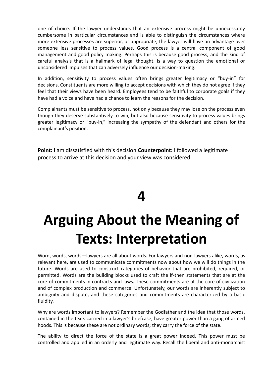one of choice. If the lawyer understands that an extensive process might be unnecessarily cumbersome in particular circumstances and is able to distinguish the circumstances where more extensive processes are superior, or appropriate, the lawyer will have an advantage over someone less sensitive to process values. Good process is a central component of good management and good policy making. Perhaps this is because good process, and the kind of careful analysis that is a hallmark of legal thought, is a way to question the emotional or unconsidered impulses that can adversely influence our decision-making.

In addition, sensitivity to process values often brings greater legitimacy or "buy-in" for decisions. Constituents are more willing to accept decisions with which they do not agree if they feel that their views have been heard. Employees tend to be faithful to corporate goals if they have had a voice and have had a chance to learn the reasons for the decision.

Complainants must be sensitive to process, not only because they may lose on the process even though they deserve substantively to win, but also because sensitivity to process values brings greater legitimacy or "buy-in," increasing the sympathy of the defendant and others for the complainant's position.

**Point:** I am dissatisfied with this decision.**Counterpoint:** I followed a legitimate process to arrive at this decision and your view was considered.

**4**

# **Arguing About the Meaning of Texts: Interpretation**

Word, words, words—lawyers are all about words. For lawyers and non-lawyers alike, words, as relevant here, are used to communicate commitments now about how we will do things in the future. Words are used to construct categories of behavior that are prohibited, required, or permitted. Words are the building blocks used to craft the if-then statements that are at the core of commitments in contracts and laws. These commitments are at the core of civilization and of complex production and commerce. Unfortunately, our words are inherently subject to ambiguity and dispute, and these categories and commitments are characterized by a basic fluidity.

Why are words important to lawyers? Remember the Godfather and the idea that those words, contained in the texts carried in a lawyer's briefcase, have greater power than a gang of armed hoods. This is because these are not ordinary words; they carry the force of the state.

The ability to direct the force of the state is a great power indeed. This power must be controlled and applied in an orderly and legitimate way. Recall the liberal and anti-monarchist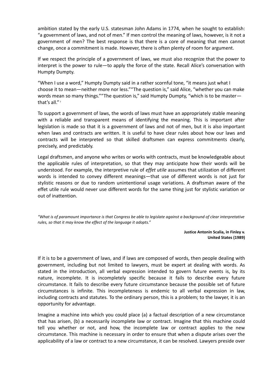ambition stated by the early U.S. statesman John Adams in 1774, when he sought to establish: "a government of laws, and not of men." If men control the meaning of laws, however, is it not a government of men? The best response is that there is a core of meaning that men cannot change, once a commitment is made. However, there is often plenty of room for argument.

If we respect the principle of a government of laws, we must also recognize that the power to interpret is the power to rule—to apply the force of the state. Recall Alice's conversation with Humpty Dumpty.

"When I use a word," Humpty Dumpty said in a rather scornful tone, "it means just what I choose it to mean—neither more nor less.""The question is," said Alice, "whether you can make words mean so many things.""The question is," said Humpty Dumpty, "which is to be masterthat's all. $"$ <sup>7</sup>

To support a government of laws, the words of laws must have an appropriately stable meaning with a reliable and transparent means of identifying the meaning. This is important after legislation is made so that it is a government of laws and not of men, but it is also important when laws and contracts are written. It is useful to have clear rules about how our laws and contracts will be interpreted so that skilled draftsmen can express commitments clearly, precisely, and predictably.

Legal draftsmen, and anyone who writes or works with contracts, must be knowledgeable about the applicable rules of interpretation, so that they may anticipate how their words will be understood. For example, the interpretive rule of *effet utile* assumes that utilization of different words is intended to convey different meanings—that use of different words is not just for stylistic reasons or due to random unintentional usage variations. A draftsman aware of the effet utile rule would never use different words for the same thing just for stylistic variation or out of inattention.

*"What is of paramount importance is that Congress be able to legislate against a background of clear interpretative rules, so that it may know the effect of the language it adopts."*

> **Justice Antonin Scalia, in Finley v. United States (1989)**

If it is to be a government of laws, and if laws are composed of words, then people dealing with government, including but not limited to lawyers, must be expert at dealing with words. As stated in the introduction, all verbal expression intended to govern future events is, by its nature, incomplete. It is incompletely specific because it fails to describe every future circumstance. It fails to describe every future circumstance because the possible set of future circumstances is infinite. This incompleteness is endemic to all verbal expression in law, including contracts and statutes. To the ordinary person, this is a problem; to the lawyer, it is an opportunity for advantage.

Imagine a machine into which you could place (a) a factual description of a new circumstance that has arisen, (b) a necessarily incomplete law or contract. Imagine that this machine could tell you whether or not, and how, the incomplete law or contract applies to the new circumstance. This machine is necessary in order to ensure that when a dispute arises over the applicability of a law or contract to a new circumstance, it can be resolved. Lawyers preside over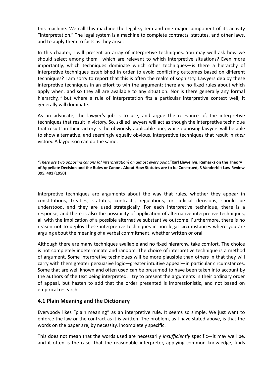this machine. We call this machine the legal system and one major component of its activity "interpretation." The legal system is a machine to complete contracts, statutes, and other laws, and to apply them to facts as they arise.

In this chapter, I will present an array of interpretive techniques. You may well ask how we should select among them—which are relevant to which interpretive situations? Even more importantly, which techniques dominate which other techniques—is there a hierarchy of interpretive techniques established in order to avoid conflicting outcomes based on different techniques? I am sorry to report that this is often the realm of sophistry. Lawyers deploy these interpretive techniques in an effort to win the argument; there are no fixed rules about which apply when, and so they all are available to any situation. Nor is there generally any formal hierarchy,  $\frac{1}{2}$  but where a rule of interpretation fits a particular interpretive context well, it generally will dominate.

As an advocate, the lawyer's job is to use, and argue the relevance of, the interpretive techniques that result in victory. So, skilled lawyers will act as though the interpretive technique that results in their victory is the obviously applicable one, while opposing lawyers will be able to show alternative, and seemingly equally obvious, interpretive techniques that result in *their* victory. A layperson can do the same.

*"There are two opposing canons [of interpretation] on almost every point."***Karl Llewellyn, Remarks on the Theory of Appellate Decision and the Rules or Canons About How Statutes are to be Construed, 3 Vanderbilt Law Review 395, 401 (1950)**

Interpretive techniques are arguments about the way that rules, whether they appear in constitutions, treaties, statutes, contracts, regulations, or judicial decisions, should be understood, and they are used strategically. For each interpretive technique, there is a response, and there is also the possibility of application of alternative interpretive techniques, all with the implication of a possible alternative substantive outcome. Furthermore, there is no reason not to deploy these interpretive techniques in non-legal circumstances where you are arguing about the meaning of a verbal commitment, whether written or oral.

Although there are many techniques available and no fixed hierarchy, take comfort. The choice is not completely indeterminate and random. The choice of interpretive technique is a method of argument. Some interpretive techniques will be more plausible than others in that they will carry with them greater persuasive logic—greater intuitive appeal—in particular circumstances. Some that are well known and often used can be presumed to have been taken into account by the authors of the text being interpreted. I try to present the arguments in their ordinary order of appeal, but hasten to add that the order presented is impressionistic, and not based on empirical research.

#### **4.1 Plain Meaning and the Dictionary**

Everybody likes "plain meaning" as an interpretive rule. It seems so simple. We just want to enforce the law or the contract as it is written. The problem, as I have stated above, is that the words on the paper are, by necessity, incompletely specific.

This does not mean that the words used are necessarily *insufficiently* specific—it may well be, and it often is the case, that the reasonable interpreter, applying common knowledge, finds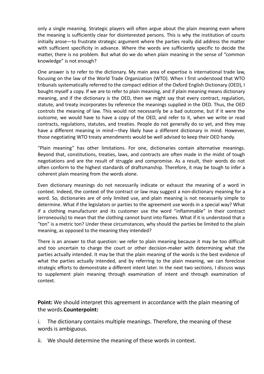only a single meaning. Strategic players will often argue about the plain meaning even where the meaning is sufficiently clear for disinterested persons. This is why the institution of courts initially arose—to frustrate strategic argument where the parties really did address the matter with sufficient specificity in advance. Where the words are sufficiently specific to decide the matter, there is no problem. But what do we do when plain meaning in the sense of "common knowledge" is not enough?

One answer is to refer to the dictionary. My main area of expertise is international trade law, focusing on the law of the World Trade Organization (WTO). When I first understood that WTO tribunals systematically referred to the compact edition of the Oxford English Dictionary (OED), I bought myself a copy. If we are to refer to plain meaning, and if plain meaning means dictionary meaning, and if the dictionary is the OED, then we might say that every contract, regulation, statute, and treaty incorporates by reference the meanings supplied in the OED. Thus, the OED controls the meaning of law. This would not necessarily be a bad outcome, but if it were the outcome, we would have to have a copy of the OED, and refer to it, when we write or read contracts, regulations, statutes, and treaties. People do not generally do so yet, and they may have a different meaning in mind—they likely have a different dictionary in mind. However, those negotiating WTO treaty amendments would be well advised to keep their OED handy.

"Plain meaning" has other limitations. For one, dictionaries contain alternative meanings. Beyond that, constitutions, treaties, laws, and contracts are often made in the midst of tough negotiations and are the result of struggle and compromise. As a result, their words do not often conform to the highest standards of draftsmanship. Therefore, it may be tough to infer a coherent plain meaning from the words alone.

Even dictionary meanings do not necessarily indicate or exhaust the meaning of a word in context. Indeed, the context of the contract or law may suggest a non-dictionary meaning for a word. So, dictionaries are of only limited use, and plain meaning is not necessarily simple to determine. What if the legislators or parties to the agreement use words in a special way? What if a clothing manufacturer and its customer use the word "inflammable" in their contract (erroneously) to mean that the clothing cannot burst into flames. What if it is understood that a "ton" is a metric ton? Under these circumstances, why should the parties be limited to the plain meaning, as opposed to the meaning they intended?

There is an answer to that question: we refer to plain meaning because it may be too difficult and too uncertain to charge the court or other decision-maker with determining what the parties actually intended. It may be that the plain meaning of the words is the best evidence of what the parties actually intended, and by referring to the plain meaning, we can foreclose strategic efforts to demonstrate a different intent later. In the next two sections, I discuss ways to supplement plain meaning through examination of intent and through examination of context.

**Point:** We should interpret this agreement in accordance with the plain meaning of the words.**Counterpoint:**

i. The dictionary contains multiple meanings. Therefore, the meaning of these words is ambiguous.

ii. We should determine the meaning of these words in context.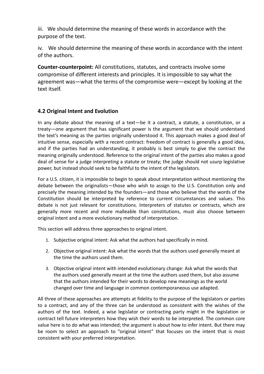iii. We should determine the meaning of these words in accordance with the purpose of the text.

iv. We should determine the meaning of these words in accordance with the intent of the authors.

**Counter-counterpoint:** All constitutions, statutes, and contracts involve some compromise of different interests and principles. It is impossible to say what the agreement was—what the terms of the compromise were—except by looking at the text itself.

#### **4.2 Original Intent and Evolution**

In any debate about the meaning of a text—be it a contract, a statute, a constitution, or a treaty—one argument that has significant power is the argument that we should understand the text's meaning as the parties originally understood it. This approach makes a good deal of intuitive sense, especially with a recent contract: freedom of contract is generally a good idea, and if the parties had an understanding, it probably is best simply to give the contract the meaning originally understood. Reference to the original intent of the parties also makes a good deal of sense for a judge interpreting a statute or treaty; the judge should not usurp legislative power, but instead should seek to be faithful to the intent of the legislators.

For a U.S. citizen, it is impossible to begin to speak about interpretation without mentioning the debate between the originalists—those who wish to assign to the U.S. Constitution only and precisely the meaning intended by the founders—and those who believe that the words of the Constitution should be interpreted by reference to current circumstances and values. This debate is not just relevant for constitutions. Interpreters of statutes or contracts, which are generally more recent and more malleable than constitutions, must also choose between original intent and a more evolutionary method of interpretation.

This section will address three approaches to original intent.

- 1. Subjective original intent: Ask what the authors had specifically in mind.
- 2. Objective original intent: Ask what the words that the authors used generally meant at the time the authors used them.
- 3. Objective original intent with intended evolutionary change: Ask what the words that the authors used generally meant at the time the authors used them, but also assume that the authors intended for their words to develop new meanings as the world changed over time and language in common contemporaneous use adapted.

All three of these approaches are attempts at fidelity to the purpose of the legislators or parties to a contract, and any of the three can be understood as consistent with the wishes of the authors of the text. Indeed, a wise legislator or contracting party might in the legislation or contract tell future interpreters how they wish their words to be interpreted. The common core value here is to do what was intended; the argument is about how to infer intent. But there may be room to select an approach to "original intent" that focuses on the intent that is most consistent with your preferred interpretation.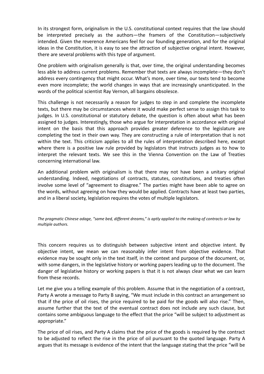In its strongest form, originalism in the U.S. constitutional context requires that the law should be interpreted precisely as the authors—the framers of the Constitution—subjectively intended. Given the reverence Americans feel for our founding generation, and for the original ideas in the Constitution, it is easy to see the attraction of subjective original intent. However, there are several problems with this type of argument.

One problem with originalism generally is that, over time, the original understanding becomes less able to address current problems. Remember that texts are always incomplete—they don't address every contingency that might occur. What's more, over time, our texts tend to become even more incomplete; the world changes in ways that are increasingly unanticipated. In the words of the political scientist Ray Vernon, all bargains obsolesce.

This challenge is not necessarily a reason for judges to step in and complete the incomplete texts, but there may be circumstances where it would make perfect sense to assign this task to judges. In U.S. constitutional or statutory debate, the question is often about what has been assigned to judges. Interestingly, those who argue for interpretation in accordance with original intent on the basis that this approach provides greater deference to the legislature are completing the text in their own way. They are constructing a rule of interpretation that is not within the text. This criticism applies to all the rules of interpretation described here, except where there is a positive law rule provided by legislators that instructs judges as to how to interpret the relevant texts. We see this in the Vienna Convention on the Law of Treaties concerning international law.

An additional problem with originalism is that there may not have been a unitary original understanding. Indeed, negotiations of contracts, statutes, constitutions, and treaties often involve some level of "agreement to disagree." The parties might have been able to agree on the words, without agreeing on how they would be applied. Contracts have at least two parties, and in a liberal society, legislation requires the votes of multiple legislators.

*The pragmatic Chinese adage, "same bed, different dreams," is aptly applied to the making of contracts or law by multiple authors.*

This concern requires us to distinguish between subjective intent and objective intent. By objective intent, we mean we can reasonably infer intent from objective evidence. That evidence may be sought only in the text itself, in the context and purpose of the document, or, with some dangers, in the legislative history or working papers leading up to the document. The danger of legislative history or working papers is that it is not always clear what we can learn from these records.

Let me give you a telling example of this problem. Assume that in the negotiation of a contract, Party A wrote a message to Party B saying, "We must include in this contract an arrangement so that if the price of oil rises, the price required to be paid for the goods will also rise." Then, assume further that the text of the eventual contract does not include any such clause, but contains some ambiguous language to the effect that the price "will be subject to adjustment as appropriate."

The price of oil rises, and Party A claims that the price of the goods is required by the contract to be adjusted to reflect the rise in the price of oil pursuant to the quoted language. Party A argues that its message is evidence of the intent that the language stating that the price "will be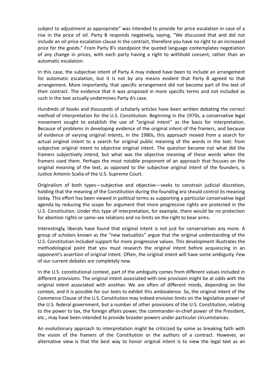subject to adjustment as appropriate" was intended to provide for price escalation in case of a rise in the price of oil. Party B responds negatively, saying, "We discussed that and did not include an oil price escalation clause in the contract, therefore you have no right to an increased price for the goods." From Party B's standpoint the quoted language contemplates negotiation of any change in prices, with each party having a right to withhold consent, rather than an automatic escalation.

In this case, the subjective intent of Party A may indeed have been to include an arrangement for automatic escalation, but it is not by any means evident that Party B agreed to that arrangement. More importantly, that specific arrangement did not become part of the text of their contract. The evidence that it was proposed in more specific terms and not included as such in the text actually undermines Party A's case.

Hundreds of books and thousands of scholarly articles have been written debating the correct method of interpretation for the U.S. Constitution. Beginning in the 1970s, a conservative legal movement sought to establish the use of "original intent" as the basis for interpretation. Because of problems in developing evidence of the original intent of the framers, and because of evidence of varying original intents, in the 1980s, this approach moved from a search for actual original intent to a search for original public meaning of the words in the text: from subjective original intent to objective original intent. The question became not what did the framers subjectively intend, but what was the objective meaning of these words when the framers used them. Perhaps the most notable proponent of an approach that focuses on the original meaning of the text, as opposed to the subjective original intent of the founders, is Justice Antonin Scalia of the U.S. Supreme Court.

Originalism of both types—subjective and objective—seeks to constrain judicial discretion, holding that the meaning of the Constitution during the founding era should control its meaning today. This effort has been viewed in political terms as supporting a particular conservative legal agenda by reducing the scope for argument that more progressive rights are protected in the U.S. Constitution. Under this type of interpretation, for example, there would be no protection for abortion rights or same-sex relations and no limits on the right to bear arms.

Interestingly, liberals have found that original intent is not just for conservatives any more. A group of scholars known as the "new textualists" argue that the original understanding of the U.S. Constitution included support for more progressive values. This development illustrates the methodological point that you must research the original intent before acquiescing in an opponent's assertion of original intent. Often, the original intent will have some ambiguity. Few of our current debates are completely new.

In the U.S. constitutional context, part of the ambiguity comes from different values included in different provisions. The original intent associated with one provision might be at odds with the original intent associated with another. We are often of different minds, depending on the context, and it is possible for our texts to exhibit this ambivalence. So, the original intent of the Commerce Clause of the U.S. Constitution may indeed envision limits on the legislative power of the U.S. federal government, but a number of other provisions of the U.S. Constitution, relating to the power to tax, the foreign affairs power, the commander-in-chief power of the President, etc., may have been intended to provide broader powers under particular circumstances.

An evolutionary approach to interpretation might be criticized by some as breaking faith with the vision of the framers of the Constitution or the authors of a contract. However, an alternative view is that the best way to honor original intent is to view the legal text as an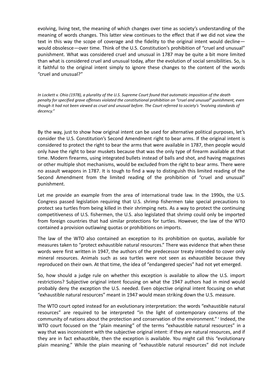evolving, living text, the meaning of which changes over time as society's understanding of the meaning of words changes. This latter view continues to the effect that if we did not view the text in this way the scope of coverage and the fidelity to the original intent would decline would obsolesce—over time. Think of the U.S. Constitution's prohibition of "cruel and unusual" punishment. What was considered cruel and unusual in 1787 may be quite a bit more limited than what is considered cruel and unusual today, after the evolution of social sensibilities. So, is it faithful to the original intent simply to ignore these changes to the content of the words "cruel and unusual?"

*In Lockett v. Ohio (1978), a plurality of the U.S. Supreme Court found that automatic imposition of the death penalty for specified grave offenses violated the constitutional prohibition on "cruel and unusual" punishment, even though it had not been viewed as cruel and unusual before. The Court referred to society's "evolving standards of decency."*

By the way, just to show how original intent can be used for alternative political purposes, let's consider the U.S. Constitution's Second Amendment right to bear arms. If the original intent is considered to protect the right to bear the arms that were available in 1787, then people would only have the right to bear muskets because that was the only type of firearm available at that time. Modern firearms, using integrated bullets instead of balls and shot, and having magazines or other multiple shot mechanisms, would be excluded from the right to bear arms. There were no assault weapons in 1787. It is tough to find a way to distinguish this limited reading of the Second Amendment from the limited reading of the prohibition of "cruel and unusual" punishment.

Let me provide an example from the area of international trade law. In the 1990s, the U.S. Congress passed legislation requiring that U.S. shrimp fishermen take special precautions to protect sea turtles from being killed in their shrimping nets. As a way to protect the continuing competitiveness of U.S. fishermen, the U.S. also legislated that shrimp could only be imported from foreign countries that had similar protections for turtles. However, the law of the WTO contained a provision outlawing quotas or prohibitions on imports.

The law of the WTO also contained an exception to its prohibition on quotas, available for measures taken to "protect exhaustible natural resources." There was evidence that when these words were first written in 1947, the authors of the predecessor treaty intended to cover only mineral resources. Animals such as sea turtles were not seen as exhaustible because they reproduced on their own. At that time, the idea of "endangered species" had not yet emerged.

So, how should a judge rule on whether this exception is available to allow the U.S. import restrictions? Subjective original intent focusing on what the 1947 authors had in mind would probably deny the exception the U.S. needed. Even objective original intent focusing on what "exhaustible natural resources" meant in 1947 would mean striking down the U.S. measure.

The WTO court opted instead for an evolutionary interpretation: the words "exhaustible natural resources" are required to be interpreted "in the light of contemporary concerns of the community of nations about the protection and conservation of the environment." <sup>9</sup> Indeed, the WTO court focused on the "plain meaning" of the terms "exhaustible natural resources" in a way that was inconsistent with the subjective original intent: if they are natural resources, and if they are in fact exhaustible, then the exception is available. You might call this "evolutionary plain meaning." While the plain meaning of "exhaustible natural resources" did not include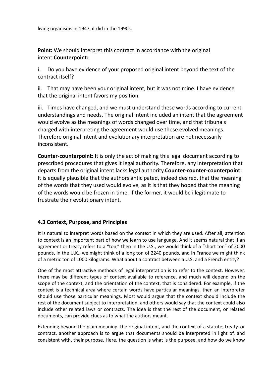living organisms in 1947, it did in the 1990s.

**Point:** We should interpret this contract in accordance with the original intent.**Counterpoint:**

i. Do you have evidence of your proposed original intent beyond the text of the contract itself?

ii. That may have been your original intent, but it was not mine. I have evidence that the original intent favors my position.

iii. Times have changed, and we must understand these words according to current understandings and needs. The original intent included an intent that the agreement would evolve as the meanings of words changed over time, and that tribunals charged with interpreting the agreement would use these evolved meanings. Therefore original intent and evolutionary interpretation are not necessarily inconsistent.

**Counter-counterpoint:** It is only the act of making this legal document according to prescribed procedures that gives it legal authority. Therefore, any interpretation that departs from the original intent lacks legal authority.**Counter-counter-counterpoint:** It is equally plausible that the authors anticipated, indeed desired, that the meaning of the words that they used would evolve, as it is that they hoped that the meaning of the words would be frozen in time. If the former, it would be illegitimate to frustrate their evolutionary intent.

#### **4.3 Context, Purpose, and Principles**

It is natural to interpret words based on the context in which they are used. After all, attention to context is an important part of how we learn to use language. And it seems natural that if an agreement or treaty refers to a "ton," then in the U.S., we would think of a "short ton" of 2000 pounds, in the U.K., we might think of a long ton of 2240 pounds, and in France we might think of a metric ton of 1000 kilograms. What about a contract between a U.S. and a French entity?

One of the most attractive methods of legal interpretation is to refer to the context. However, there may be different types of context available to reference, and much will depend on the scope of the context, and the orientation of the context, that is considered. For example, if the context is a technical area where certain words have particular meanings, then an interpreter should use those particular meanings. Most would argue that the context should include the rest of the document subject to interpretation, and others would say that the context could also include other related laws or contracts. The idea is that the rest of the document, or related documents, can provide clues as to what the authors meant.

Extending beyond the plain meaning, the original intent, and the context of a statute, treaty, or contract, another approach is to argue that documents should be interpreted in light of, and consistent with, their purpose. Here, the question is what is the purpose, and how do we know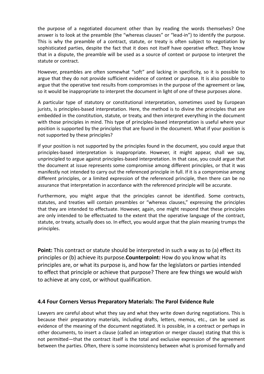the purpose of a negotiated document other than by reading the words themselves? One answer is to look at the preamble (the "whereas clauses" or "lead-in") to identify the purpose. This is why the preamble of a contract, statute, or treaty is often subject to negotiation by sophisticated parties, despite the fact that it does not itself have operative effect. They know that in a dispute, the preamble will be used as a source of context or purpose to interpret the statute or contract.

However, preambles are often somewhat "soft" and lacking in specificity, so it is possible to argue that they do not provide sufficient evidence of context or purpose. It is also possible to argue that the operative text results from compromises in the purpose of the agreement or law, so it would be inappropriate to interpret the document in light of one of these purposes alone.

A particular type of statutory or constitutional interpretation, sometimes used by European jurists, is principles-based interpretation. Here, the method is to divine the principles that are embedded in the constitution, statute, or treaty, and then interpret everything in the document with those principles in mind. This type of principles-based interpretation is useful where your position is supported by the principles that are found in the document. What if your position is not supported by these principles?

If your position is not supported by the principles found in the document, you could argue that principles-based interpretation is inappropriate. However, it might appear, shall we say, unprincipled to argue against principles-based interpretation. In that case, you could argue that the document at issue represents some compromise among different principles, or that it was manifestly not intended to carry out the referenced principle in full. If it is a compromise among different principles, or a limited expression of the referenced principle, then there can be no assurance that interpretation in accordance with the referenced principle will be accurate.

Furthermore, you might argue that the principles cannot be identified. Some contracts, statutes, and treaties will contain preambles or "whereas clauses," expressing the principles that they are intended to effectuate. However, again, one might respond that these principles are only intended to be effectuated to the extent that the operative language of the contract, statute, or treaty, actually does so. In effect, you would argue that the plain meaning trumps the principles.

**Point:** This contract or statute should be interpreted in such a way as to (a) effect its principles or (b) achieve its purpose.**Counterpoint:** How do you know what its principles are, or what its purpose is, and how far the legislators or parties intended to effect that principle or achieve that purpose? There are few things we would wish to achieve at any cost, or without qualification.

#### **4.4 Four Corners Versus Preparatory Materials: The Parol Evidence Rule**

Lawyers are careful about what they say and what they write down during negotiations. This is because their preparatory materials, including drafts, letters, memos, etc., can be used as evidence of the meaning of the document negotiated. It is possible, in a contract or perhaps in other documents, to insert a clause (called an integration or merger clause) stating that this is not permitted—that the contract itself is the total and exclusive expression of the agreement between the parties. Often, there is some inconsistency between what is promised formally and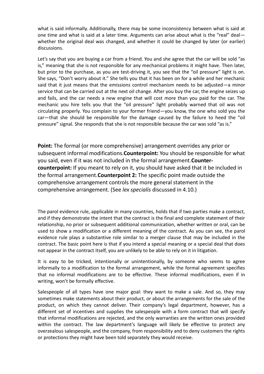what is said informally. Additionally, there may be some inconsistency between what is said at one time and what is said at a later time. Arguments can arise about what is the "real" deal whether the original deal was changed, and whether it could be changed by later (or earlier) discussions.

Let's say that you are buying a car from a friend. You and she agree that the car will be sold "as is," meaning that she is not responsible for any mechanical problems it might have. Then later, but prior to the purchase, as you are test-driving it, you see that the "oil pressure" light is on. She says, "Don't worry about it." She tells you that it has been on for a while and her mechanic said that it just means that the emissions control mechanism needs to be adjusted—a minor service that can be carried out at the next oil change. After you buy the car, the engine seizes up and fails, and the car needs a new engine that will cost more than you paid for the car. The mechanic you hire tells you that the "oil pressure" light probably warned that oil was not circulating properly. You complain to your former friend—you know, the one who sold you the car—that she should be responsible for the damage caused by the failure to heed the "oil pressure" signal. She responds that she is not responsible because the car was sold "as is."

**Point:** The formal (or more comprehensive) arrangement overrides any prior or subsequent informal modifications.**Counterpoint:** You should be responsible for what you said, even if it was not included in the formal arrangement.**Countercounterpoint:** If you meant to rely on it, you should have asked that it be included in the formal arrangement.**Counterpoint 2:** The specific point made outside the comprehensive arrangement controls the more general statement in the comprehensive arrangement. (See *lex specialis* discussed in 4.10.)

The parol evidence rule, applicable in many countries, holds that if two parties make a contract, and if they demonstrate the intent that the contract is the final and complete statement of their relationship, no prior or subsequent additional communication, whether written or oral, can be used to show a modification or a different meaning of the contract. As you can see, the parol evidence rule plays a substantive role similar to a merger clause that may be included in the contract. The basic point here is that if you intend a special meaning or a special deal that does not appear in the contract itself, you are unlikely to be able to rely on it in litigation.

It is easy to be tricked, intentionally or unintentionally, by someone who seems to agree informally to a modification to the formal arrangement, while the formal agreement specifies that no informal modifications are to be effective. These informal modifications, even if in writing, won't be formally effective.

Salespeople of all types have one major goal: they want to make a sale. And so, they may sometimes make statements about their product, or about the arrangements for the sale of the product, on which they cannot deliver. Their company's legal department, however, has a different set of incentives and supplies the salespeople with a form contract that will specify that informal modifications are rejected, and the only warranties are the written ones provided within the contract. The law department's language will likely be effective to protect any overzealous salespeople, and the company, from responsibility and to deny customers the rights or protections they might have been told separately they would receive.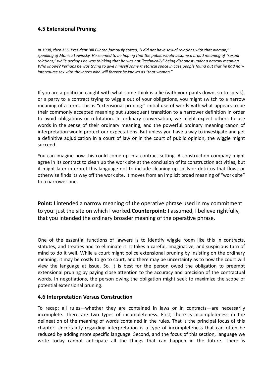#### **4.5 Extensional Pruning**

*In 1998, then-U.S. President Bill Clinton famously stated, "I did not have sexual relations with that woman," speaking of Monica Lewinsky. He seemed to be hoping that the public would assume a broad meaning of "sexual relations," while perhaps he was thinking that he was not "technically" being dishonest under a narrow meaning. Who knows? Perhaps he was trying to give himself some rhetorical space in case people found out that he had nonintercourse sex with the intern who will forever be known as "that woman."*

If you are a politician caught with what some think is a lie (with your pants down, so to speak), or a party to a contract trying to wiggle out of your obligations, you might switch to a narrow meaning of a term. This is "extensional pruning:" initial use of words with what appears to be their commonly accepted meaning but subsequent transition to a narrower definition in order to avoid obligations or refutation. In ordinary conversation, we might expect others to use words in the sense of their ordinary meaning, and the powerful ordinary meaning canon of interpretation would protect our expectations. But unless you have a way to investigate and get a definitive adjudication in a court of law or in the court of public opinion, the wiggle might succeed.

You can imagine how this could come up in a contract setting. A construction company might agree in its contract to clean up the work site at the conclusion of its construction activities, but it might later interpret this language not to include cleaning up spills or detritus that flows or otherwise finds its way off the work site. It moves from an implicit broad meaning of "work site" to a narrower one.

**Point:** I intended a narrow meaning of the operative phrase used in my commitment to you: just the site on which I worked.**Counterpoint:** I assumed, I believe rightfully, that you intended the ordinary broader meaning of the operative phrase.

One of the essential functions of lawyers is to identify wiggle room like this in contracts, statutes, and treaties and to eliminate it. It takes a careful, imaginative, and suspicious turn of mind to do it well. While a court might police extensional pruning by insisting on the ordinary meaning, it may be costly to go to court, and there may be uncertainty as to how the court will view the language at issue. So, it is best for the person owed the obligation to preempt extensional pruning by paying close attention to the accuracy and precision of the contractual words. In negotiations, the person owing the obligation might seek to maximize the scope of potential extensional pruning.

#### **4.6 Interpretation Versus Construction**

To recap: all rules—whether they are contained in laws or in contracts—are necessarily incomplete. There are two types of incompleteness. First, there is incompleteness in the delineation of the meaning of words contained in the rules. That is the principal focus of this chapter. Uncertainty regarding interpretation is a type of incompleteness that can often be reduced by adding more specific language. Second, and the focus of this section, language we write today cannot anticipate all the things that can happen in the future. There is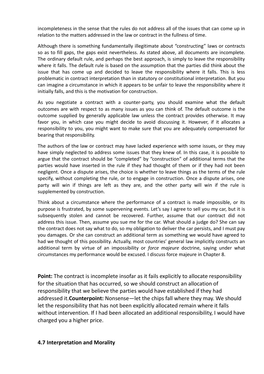incompleteness in the sense that the rules do not address all of the issues that can come up in relation to the matters addressed in the law or contract in the fullness of time.

Although there is something fundamentally illegitimate about "constructing" laws or contracts so as to fill gaps, the gaps exist nevertheless. As stated above, all documents are incomplete. The ordinary default rule, and perhaps the best approach, is simply to leave the responsibility where it falls. The default rule is based on the assumption that the parties did think about the issue that has come up and decided to leave the responsibility where it falls. This is less problematic in contract interpretation than in statutory or constitutional interpretation. But you can imagine a circumstance in which it appears to be unfair to leave the responsibility where it initially falls, and this is the motivation for construction.

As you negotiate a contract with a counter-party, you should examine what the default outcomes are with respect to as many issues as you can think of. The default outcome is the outcome supplied by generally applicable law unless the contract provides otherwise. It may favor you, in which case you might decide to avoid discussing it. However, if it allocates a responsibility to you, you might want to make sure that you are adequately compensated for bearing that responsibility.

The authors of the law or contract may have lacked experience with some issues, or they may have simply neglected to address some issues that they knew of. In this case, it is possible to argue that the contract should be "completed" by "construction" of additional terms that the parties would have inserted in the rule if they had thought of them or if they had not been negligent. Once a dispute arises, the choice is whether to leave things as the terms of the rule specify, without completing the rule, or to engage in construction. Once a dispute arises, one party will win if things are left as they are, and the other party will win if the rule is supplemented by construction.

Think about a circumstance where the performance of a contract is made impossible, or its purpose is frustrated, by some supervening events. Let's say I agree to sell you my car, but it is subsequently stolen and cannot be recovered. Further, assume that our contract did not address this issue. Then, assume you sue me for the car. What should a judge do? She can say the contract does not say what to do, so my obligation to deliver the car persists, and I must pay you damages. Or she can construct an additional term as something we would have agreed to had we thought of this possibility. Actually, most countries' general law implicitly constructs an additional term by virtue of an impossibility or *force majeure* doctrine, saying under what circumstances my performance would be excused. I discuss force majeure in Chapter 8.

**Point:** The contract is incomplete insofar as it fails explicitly to allocate responsibility for the situation that has occurred, so we should construct an allocation of responsibility that we believe the parties would have established if they had addressed it.**Counterpoint:** Nonsense—let the chips fall where they may. We should let the responsibility that has not been explicitly allocated remain where it falls without intervention. If I had been allocated an additional responsibility, I would have charged you a higher price.

#### **4.7 Interpretation and Morality**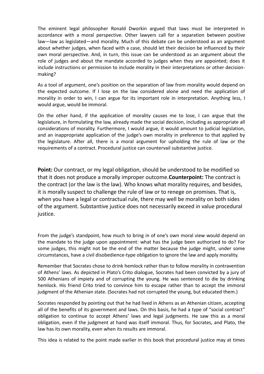The eminent legal philosopher Ronald Dworkin argued that laws must be interpreted in accordance with a moral perspective. Other lawyers call for a separation between positive law—law as legislated—and morality. Much of this debate can be understood as an argument about whether judges, when faced with a case, should let their decision be influenced by their own moral perspective. And, in turn, this issue can be understood as an argument about the role of judges and about the mandate accorded to judges when they are appointed; does it include instructions or permission to include morality in their interpretations or other decisionmaking?

As a tool of argument, one's position on the separation of law from morality would depend on the expected outcome. If I lose on the law considered alone and need the application of morality in order to win, I can argue for its important role in interpretation. Anything less, I would argue, would be immoral.

On the other hand, if the application of morality causes me to lose, I can argue that the legislature, in formulating the law, already made the social decision, including as appropriate all considerations of morality. Furthermore, I would argue, it would amount to judicial legislation, and an inappropriate application of the judge's own morality in preference to that applied by the legislature. After all, there is a moral argument for upholding the rule of law or the requirements of a contract. Procedural justice can countervail substantive justice.

**Point:** Our contract, or my legal obligation, should be understood to be modified so that it does not produce a morally improper outcome.**Counterpoint:** The contract is the contract (or the law is the law). Who knows what morality requires, and besides, it is morally suspect to challenge the rule of law or to renege on promises. That is, when you have a legal or contractual rule, there may well be morality on both sides of the argument. Substantive justice does not necessarily exceed in value procedural justice.

From the judge's standpoint, how much to bring in of one's own moral view would depend on the mandate to the judge upon appointment: what has the judge been authorized to do? For some judges, this might not be the end of the matter because the judge might, under some circumstances, have a civil disobedience-type obligation to ignore the law and apply morality.

Remember that Socrates chose to drink hemlock rather than to follow morality in contravention of Athens' laws. As depicted in Plato's Crito dialogue, Socrates had been convicted by a jury of 500 Athenians of impiety and of corrupting the young. He was sentenced to die by drinking hemlock. His friend Crito tried to convince him to escape rather than to accept the immoral judgment of the Athenian state. (Socrates had not corrupted the young, but educated them.)

Socrates responded by pointing out that he had lived in Athens as an Athenian citizen, accepting all of the benefits of its government and laws. On this basis, he had a type of "social contract" obligation to continue to accept Athens' laws and legal judgments. He saw this as a moral obligation, even if the judgment at hand was itself immoral. Thus, for Socrates, and Plato, the law has its own morality, even when its results are immoral.

This idea is related to the point made earlier in this book that procedural justice may at times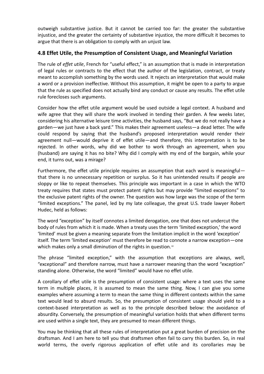outweigh substantive justice. But it cannot be carried too far: the greater the substantive injustice, and the greater the certainty of substantive injustice, the more difficult it becomes to argue that there is an obligation to comply with an unjust law.

#### **4.8 Effet Utile, the Presumption of Consistent Usage, and Meaningful Variation**

The rule of *effet utile*, French for "useful effect," is an assumption that is made in interpretation of legal rules or contracts to the effect that the author of the legislation, contract, or treaty meant to accomplish something by the words used. It rejects an interpretation that would make a word or a provision ineffective. Without this assumption, it might be open to a party to argue that the rule as specified does not actually bind any conduct or cause any results. The effet utile rule forecloses such arguments.

Consider how the effet utile argument would be used outside a legal context. A husband and wife agree that they will share the work involved in tending their garden. A few weeks later, considering his alternative leisure time activities, the husband says, "But we do not really have a garden—we just have a back yard." This makes their agreement useless—a dead letter. The wife could respond by saying that the husband's proposed interpretation would render their agreement null—would deprive it of effet utile—and therefore, this interpretation is to be rejected. In other words, why did we bother to work through an agreement, when you (husband) are saying it has no bite? Why did I comply with my end of the bargain, while your end, it turns out, was a mirage?

Furthermore, the effet utile principle requires an assumption that each word is meaningful that there is no unnecessary repetition or surplus. So it has unintended results if people are sloppy or like to repeat themselves. This principle was important in a case in which the WTO treaty requires that states must protect patent rights but may provide "limited exceptions" to the exclusive patent rights of the owner. The question was how large was the scope of the term "limited exceptions." The panel, led by my late colleague, the great U.S. trade lawyer Robert Hudec, held as follows:

The word "exception" by itself connotes a limited derogation, one that does not undercut the body of rules from which it is made. When a treaty uses the term 'limited exception,' the word 'limited' must be given a meaning separate from the limitation implicit in the word 'exception' itself. The term 'limited exception' must therefore be read to connote a narrow exception—one which makes only a small diminution of the rights in question.<sup>10</sup>

The phrase "limited exception," with the assumption that exceptions are always, well, "exceptional" and therefore narrow, must have a narrower meaning than the word "exception" standing alone. Otherwise, the word "limited" would have no effet utile.

A corollary of effet utile is the presumption of consistent usage: where a text uses the same term in multiple places, it is assumed to mean the same thing. Now, I can give you some examples where assuming a term to mean the same thing in different contexts within the same text would lead to absurd results. So, the presumption of consistent usage should yield to a context-based interpretation as well as to the principle described below: the avoidance of absurdity. Conversely, the presumption of meaningful variation holds that when different terms are used within a single text, they are presumed to mean different things.

You may be thinking that all these rules of interpretation put a great burden of precision on the draftsman. And I am here to tell you that draftsmen often fail to carry this burden. So, in real world terms, the overly rigorous application of effet utile and its corollaries may be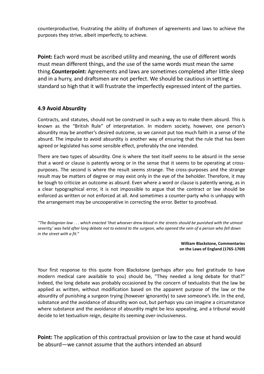counterproductive, frustrating the ability of draftsmen of agreements and laws to achieve the purposes they strive, albeit imperfectly, to achieve.

**Point:** Each word must be ascribed utility and meaning, the use of different words must mean different things, and the use of the same words must mean the same thing.**Counterpoint:** Agreements and laws are sometimes completed after little sleep and in a hurry, and draftsmen are not perfect. We should be cautious in setting a standard so high that it will frustrate the imperfectly expressed intent of the parties.

#### **4.9 Avoid Absurdity**

Contracts, and statutes, should not be construed in such a way as to make them absurd. This is known as the "British Rule" of interpretation. In modern society, however, one person's absurdity may be another's desired outcome, so we cannot put too much faith in a sense of the absurd. The impulse to avoid absurdity is another way of ensuring that the rule that has been agreed or legislated has some sensible effect, preferably the one intended.

There are two types of absurdity. One is where the text itself seems to be absurd in the sense that a word or clause is patently wrong or in the sense that it seems to be operating at crosspurposes. The second is where the result seems strange. The cross-purposes and the strange result may be matters of degree or may exist only in the eye of the beholder. Therefore, it may be tough to criticize an outcome as absurd. Even where a word or clause is patently wrong, as in a clear typographical error, it is not impossible to argue that the contract or law should be enforced as written or not enforced at all. And sometimes a counter-party who is unhappy with the arrangement may be uncooperative in correcting the error. Better to proofread.

*"The Bolognian law . . . which enacted 'that whoever drew blood in the streets should be punished with the utmost severity,' was held after long debate not to extend to the surgeon, who opened the vein of a person who fell down in the street with a fit."*

> **William Blackstone, Commentaries on the Laws of England (1765-1769)**

Your first response to this quote from Blackstone (perhaps after you feel gratitude to have modern medical care available to you) should be, "They needed a long debate for that?" Indeed, the long debate was probably occasioned by the concern of textualists that the law be applied as written, without modification based on the apparent purpose of the law or the absurdity of punishing a surgeon trying (however ignorantly) to save someone's life. In the end, substance and the avoidance of absurdity won out, but perhaps you can imagine a circumstance where substance and the avoidance of absurdity might be less appealing, and a tribunal would decide to let textualism reign, despite its seeming over-inclusiveness.

**Point:** The application of this contractual provision or law to the case at hand would be absurd—we cannot assume that the authors intended an absurd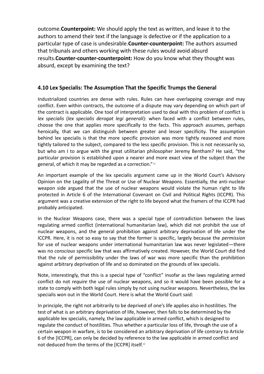outcome.**Counterpoint:** We should apply the text as written, and leave it to the authors to amend their text if the language is defective or if the application to a particular type of case is undesirable.**Counter-counterpoint:** The authors assumed that tribunals and others working with these rules would avoid absurd results.**Counter-counter-counterpoint:** How do you know what they thought was absurd, except by examining the text?

#### **4.10 Lex Specialis: The Assumption That the Specific Trumps the General**

Industrialized countries are dense with rules. Rules can have overlapping coverage and may conflict. Even within contracts, the outcome of a dispute may vary depending on which part of the contract is applicable. One tool of interpretation used to deal with this problem of conflict is *lex specialis* (*lex specialis derogat legi generali*): when faced with a conflict between rules, choose the one that applies more specifically to the facts. This approach assumes, perhaps heroically, that we can distinguish between greater and lesser specificity. The assumption behind lex specialis is that the more specific provision was more tightly reasoned and more tightly tailored to the subject, compared to the less specific provision. This is not necessarily so, but who am I to argue with the great utilitarian philosopher Jeremy Bentham? He said, "the particular provision is established upon a nearer and more exact view of the subject than the general, of which it may be regarded as a correction." <sup>11</sup>

An important example of the lex specialis argument came up in the World Court's Advisory Opinion on the Legality of the Threat or Use of Nuclear Weapons. Essentially, the anti-nuclear weapon side argued that the use of nuclear weapons would violate the human right to life protected in Article 6 of the International Covenant on Civil and Political Rights (ICCPR). This argument was a creative extension of the right to life beyond what the framers of the ICCPR had probably anticipated.

In the Nuclear Weapons case, there was a special type of contradiction between the laws regulating armed conflict (international humanitarian law), which did not prohibit the use of nuclear weapons, and the general prohibition against arbitrary deprivation of life under the ICCPR. Here, it is not so easy to say that the former is specific, largely because the *permission* for use of nuclear weapons under international humanitarian law was never legislated—there was no *conscious* specific law that was affirmatively created. However, the World Court did find that the rule of permissibility under the laws of war was more specific than the prohibition against arbitrary deprivation of life and so dominated on the grounds of lex specialis.

Note, interestingly, that this is a special type of "conflict" insofar as the laws regulating armed conflict do not *require* the use of nuclear weapons, and so it would have been possible for a state to comply with both legal rules simply by not using nuclear weapons. Nevertheless, the lex specialis won out in the World Court. Here is what the World Court said:

In principle, the right not arbitrarily to be deprived of one's life applies also in hostilities. The test of what is an arbitrary deprivation of life, however, then falls to be determined by the applicable lex specialis, namely, the law applicable in armed conflict, which is designed to regulate the conduct of hostilities. Thus whether a particular loss of life, through the use of a certain weapon in warfare, is to be considered an arbitrary deprivation of life contrary to Article 6 of the [ICCPR], can only be decided by reference to the law applicable in armed conflict and not deduced from the terms of the [ICCPR] itself.<sup>12</sup>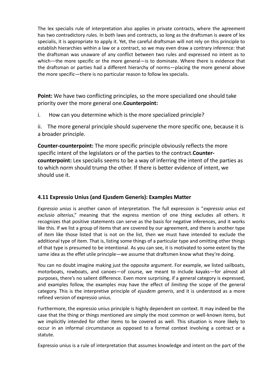The lex specialis rule of interpretation also applies in private contracts, where the agreement has two contradictory rules. In both laws and contracts, so long as the draftsman is aware of lex specialis, it is appropriate to apply it. Yet, the careful draftsman will not rely on this principle to establish hierarchies within a law or a contract, so we may even draw a contrary inference: that the draftsman was unaware of any conflict between two rules and expressed no intent as to which—the more specific or the more general—is to dominate. Where there is evidence that the draftsman or parties had a different hierarchy of norms—placing the more general above the more specific—there is no particular reason to follow lex specialis.

**Point:** We have two conflicting principles, so the more specialized one should take priority over the more general one.**Counterpoint:**

i. How can you determine which is the more specialized principle?

ii. The more general principle should supervene the more specific one, because it is a broader principle.

**Counter-counterpoint:** The more specific principle obviously reflects the more specific intent of the legislators or of the parties to the contract.**Countercounterpoint:** Lex specialis seems to be a way of inferring the intent of the parties as to which norm should trump the other. If there is better evidence of intent, we should use it.

#### **4.11 Expressio Unius (and Ejusdem Generis): Examples Matter**

*Expressio unius* is another canon of interpretation. The full expression is "*expressio unius est exclusio alterius*," meaning that the express mention of one thing excludes all others. It recognizes that positive statements can serve as the basis for negative inferences, and it works like this. If we list a group of items that are covered by our agreement, and there is another type of item like those listed that is not on the list, then we must have intended to exclude the additional type of item. That is, listing some things of a particular type and omitting other things of that type is presumed to be intentional. As you can see, it is motivated to some extent by the same idea as the effet utile principle—we assume that draftsmen know what they're doing.

You can no doubt imagine making just the opposite argument. For example, we listed sailboats, motorboats, rowboats, and canoes—of course, we meant to include kayaks—for almost all purposes, there's no salient difference. Even more surprising, if a general category is expressed, and examples follow, the examples may have the effect of *limiting* the scope of the general category. This is the interpretive principle of *ejusdem generis*, and it is understood as a more refined version of expressio unius.

Furthermore, the expressio unius principle is highly dependent on context. It may indeed be the case that the thing or things mentioned are simply the most common or well-known items, but we implicitly intended for other items to be covered as well. This situation is more likely to occur in an informal circumstance as opposed to a formal context involving a contract or a statute.

Expressio unius is a rule of interpretation that assumes knowledge and intent on the part of the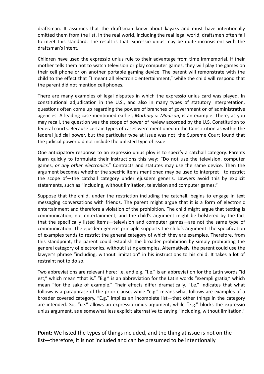draftsman. It assumes that the draftsman knew about kayaks and must have intentionally omitted them from the list. In the real world, including the real legal world, draftsmen often fail to meet this standard. The result is that expressio unius may be quite inconsistent with the draftsman's intent.

Children have used the expressio unius rule to their advantage from time immemorial. If their mother tells them not to watch television or play computer games, they will play the games on their cell phone or on another portable gaming device. The parent will remonstrate with the child to the effect that "I meant all electronic entertainment," while the child will respond that the parent did not mention cell phones.

There are many examples of legal disputes in which the expressio unius card was played. In constitutional adjudication in the U.S., and also in many types of statutory interpretation, questions often come up regarding the powers of branches of government or of administrative agencies. A leading case mentioned earlier, *Marbury v. Madison*, is an example. There, as you may recall, the question was the scope of power of review accorded by the U.S. Constitution to federal courts. Because certain types of cases were mentioned in the Constitution as within the federal judicial power, but the particular type at issue was not, the Supreme Court found that the judicial power did not include the unlisted type of issue.

One anticipatory response to an expressio unius ploy is to specify a catchall category. Parents learn quickly to formulate their instructions this way: "Do not use the television, computer games, *or any other electronics*." Contracts and statutes may use the same device. Then the argument becomes whether the specific items mentioned may be used to interpret—to restrict the scope of—the catchall category under ejusdem generis. Lawyers avoid this by explicit statements, such as "including, without limitation, television and computer games."

Suppose that the child, under the restriction including the catchall, begins to engage in text messaging conversations with friends. The parent might argue that it is a form of electronic entertainment and therefore a violation of the prohibition. The child might argue that texting is communication, not entertainment, and the child's argument might be bolstered by the fact that the specifically listed items—television and computer games—are not the same type of communication. The ejusdem generis principle supports the child's argument: the specification of examples tends to restrict the general category of which they are examples. Therefore, from this standpoint, the parent could establish the broader prohibition by simply prohibiting the general category of electronics, without listing examples. Alternatively, the parent could use the lawyer's phrase "including, without limitation" in his instructions to his child. It takes a lot of restraint not to do so.

Two abbreviations are relevant here: i.e. and e.g. "I.e." is an abbreviation for the Latin words "id est," which mean "that is." "E.g." is an abbreviation for the Latin words "exempli gratia," which mean "for the sake of example." Their effects differ dramatically. "I.e." indicates that what follows is a paraphrase of the prior clause, while "e.g." means what follows are examples of a broader covered category. "E.g." implies an incomplete list—that other things in the category are intended. So, "i.e." allows an expressio unius argument, while "e.g." blocks the expressio unius argument, as a somewhat less explicit alternative to saying "including, without limitation."

**Point:** We listed the types of things included, and the thing at issue is not on the list—therefore, it is not included and can be presumed to be intentionally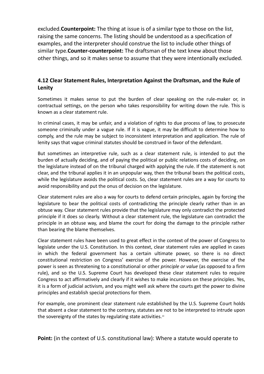excluded.**Counterpoint:** The thing at issue is of a similar type to those on the list, raising the same concerns. The listing should be understood as a specification of examples, and the interpreter should construe the list to include other things of similar type.**Counter-counterpoint:** The draftsman of the text knew about those other things, and so it makes sense to assume that they were intentionally excluded.

#### **4.12 Clear Statement Rules, Interpretation Against the Draftsman, and the Rule of Lenity**

Sometimes it makes sense to put the burden of clear speaking on the rule-maker or, in contractual settings, on the person who takes responsibility for writing down the rule. This is known as a clear statement rule.

In criminal cases, it may be unfair, and a violation of rights to due process of law, to prosecute someone criminally under a vague rule. If it is vague, it may be difficult to determine how to comply, and the rule may be subject to inconsistent interpretation and application. The rule of lenity says that vague criminal statutes should be construed in favor of the defendant.

But sometimes an interpretive rule, such as a clear statement rule, is intended to put the burden of actually deciding, and of paying the political or public relations costs of deciding, on the legislature instead of on the tribunal charged with applying the rule. If the statement is not clear, and the tribunal applies it in an unpopular way, then the tribunal bears the political costs, while the legislature avoids the political costs. So, clear statement rules are a way for courts to avoid responsibility and put the onus of decision on the legislature.

Clear statement rules are also a way for courts to defend certain principles, again by forcing the legislature to bear the political costs of contradicting the principle clearly rather than in an obtuse way. Clear statement rules provide that the legislature may only contradict the protected principle if it does so clearly. Without a clear statement rule, the legislature can contradict the principle in an obtuse way, and blame the court for doing the damage to the principle rather than bearing the blame themselves.

Clear statement rules have been used to great effect in the context of the power of Congress to legislate under the U.S. Constitution. In this context, clear statement rules are applied in cases in which the federal government has a certain ultimate power, so there is no direct constitutional restriction on Congress' exercise of the power. However, the exercise of the power is seen as threatening to a constitutional or other *principle or value* (as opposed to a firm rule), and so the U.S. Supreme Court has developed these clear statement rules to require Congress to act affirmatively and clearly if it wishes to make incursions on these principles. Yes, it is a form of judicial activism, and you might well ask where the courts get the power to divine principles and establish special protections for them.

For example, one prominent clear statement rule established by the U.S. Supreme Court holds that absent a clear statement to the contrary, statutes are not to be interpreted to intrude upon the sovereignty of the states by regulating state activities.<sup>13</sup>

**Point:** (in the context of U.S. constitutional law): Where a statute would operate to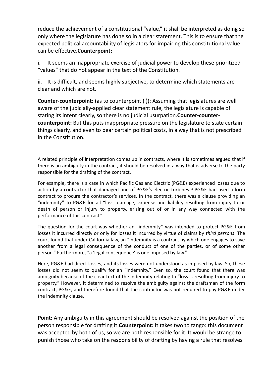reduce the achievement of a constitutional "value," it shall be interpreted as doing so only where the legislature has done so in a clear statement. This is to ensure that the expected political accountability of legislators for impairing this constitutional value can be effective.**Counterpoint:**

i. It seems an inappropriate exercise of judicial power to develop these prioritized "values" that do not appear in the text of the Constitution.

ii. It is difficult, and seems highly subjective, to determine which statements are clear and which are not.

**Counter-counterpoint:** (as to counterpoint (i)): Assuming that legislatures are well aware of the judicially-applied clear statement rule, the legislature is capable of stating its intent clearly, so there is no judicial usurpation.**Counter-countercounterpoint:** But this puts inappropriate pressure on the legislature to state certain things clearly, and even to bear certain political costs, in a way that is not prescribed in the Constitution.

A related principle of interpretation comes up in contracts, where it is sometimes argued that if there is an ambiguity in the contract, it should be resolved in a way that is adverse to the party responsible for the drafting of the contract.

For example, there is a case in which Pacific Gas and Electric (PG&E) experienced losses due to action by a contractor that damaged one of PG&E's electric turbines.<sup>14</sup> PG&E had used a form contract to procure the contractor's services. In the contract, there was a clause providing an "indemnity" to PG&E for all "loss, damage, expense and liability resulting from injury to or death of person or injury to property, arising out of or in any way connected with the performance of this contract."

The question for the court was whether an "indemnity" was intended to protect PG&E from losses it incurred directly or only for losses it incurred by virtue of claims by *third persons*. The court found that under California law, an "indemnity is a contract by which one engages to save another from a legal consequence of the conduct of one of the parties, or of some other person." Furthermore, "a 'legal consequence' is one imposed by law."

Here, PG&E had direct losses, and its losses were not understood as imposed by law. So, these losses did not seem to qualify for an "indemnity." Even so, the court found that there was ambiguity because of the clear text of the indemnity relating to "loss … resulting from injury to property." However, it determined to resolve the ambiguity against the draftsman of the form contract, PG&E, and therefore found that the contractor was not required to pay PG&E under the indemnity clause.

**Point:** Any ambiguity in this agreement should be resolved against the position of the person responsible for drafting it.**Counterpoint:** It takes two to tango: this document was accepted by both of us, so we are both responsible for it. It would be strange to punish those who take on the responsibility of drafting by having a rule that resolves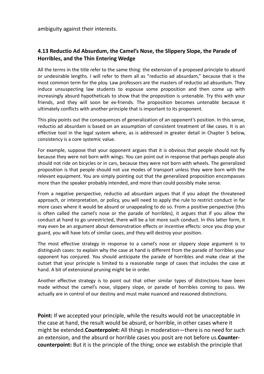ambiguity against their interests.

#### **4.13 Reductio Ad Absurdum, the Camel's Nose, the Slippery Slope, the Parade of Horribles, and the Thin Entering Wedge**

All the terms in the title refer to the same thing: the extension of a proposed principle to absurd or undesirable lengths. I will refer to them all as "reductio ad absurdam," because that is the most common term for the ploy. Law professors are the masters of reductio ad absurdum. They induce unsuspecting law students to espouse some proposition and then come up with increasingly absurd hypotheticals to show that the proposition is untenable. Try this with your friends, and they will soon be ex-friends. The proposition becomes untenable because it ultimately conflicts with another principle that is important to its proponent.

This ploy points out the consequences of generalization of an opponent's position. In this sense, reductio ad absurdam is based on an assumption of consistent treatment of like cases. It is an effective tool in the legal system where, as is addressed in greater detail in Chapter 5 below, consistency is a core systemic value.

For example, suppose that your opponent argues that it is obvious that people should not fly because they were not born with wings. You can point out in response that perhaps people also should not ride on bicycles or in cars, because they were not born with wheels. The generalized proposition is that people should not use modes of transport unless they were born with the relevant equipment. You are simply pointing out that the generalized proposition encompasses more than the speaker probably intended, and more than could possibly make sense.

From a negative perspective, reductio ad absurdam argues that if you adopt the threatened approach, or interpretation, or policy, you will need to apply the rule to restrict conduct in far more cases where it would be absurd or unappealing to do so. From a positive perspective (this is often called the camel's nose or the parade of horribles), it argues that if you allow the conduct at hand to go unrestricted, there will be a lot more such conduct. In this latter form, it may even be an argument about demonstration effects or incentive effects: once you drop your guard, you will have lots of similar cases, and they will destroy your position.

The most effective strategy in response to a camel's nose or slippery slope argument is to distinguish cases: to explain why the case at hand is different from the parade of horribles your opponent has conjured. You should anticipate the parade of horribles and make clear at the outset that your principle is limited to a reasonable range of cases that includes the case at hand. A bit of extensional pruning might be in order.

Another effective strategy is to point out that other similar types of distinctions have been made without the camel's nose, slippery slope, or parade of horribles coming to pass. We actually are in control of our destiny and must make nuanced and reasoned distinctions.

**Point:** If we accepted your principle, while the results would not be unacceptable in the case at hand, the result would be absurd, or horrible, in other cases where it might be extended.**Counterpoint:** All things in moderation—there is no need for such an extension, and the absurd or horrible cases you posit are not before us.**Countercounterpoint:** But it is the principle of the thing; once we establish the principle that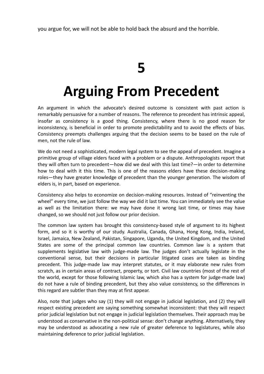you argue for, we will not be able to hold back the absurd and the horrible.

### **5**

## **Arguing From Precedent**

An argument in which the advocate's desired outcome is consistent with past action is remarkably persuasive for a number of reasons. The reference to precedent has intrinsic appeal, insofar as consistency is a good thing. Consistency, where there is no good reason for inconsistency, is beneficial in order to promote predictability and to avoid the effects of bias. Consistency preempts challenges arguing that the decision seems to be based on the rule of men, not the rule of law.

We do not need a sophisticated, modern legal system to see the appeal of precedent. Imagine a primitive group of village elders faced with a problem or a dispute. Anthropologists report that they will often turn to precedent—how did we deal with this last time?—in order to determine how to deal with it this time. This is one of the reasons elders have these decision-making roles—they have greater knowledge of precedent than the younger generation. The wisdom of elders is, in part, based on experience.

Consistency also helps to economize on decision-making resources. Instead of "reinventing the wheel" every time, we just follow the way we did it last time. You can immediately see the value as well as the limitation there: we may have done it wrong last time, or times may have changed, so we should not just follow our prior decision.

The common law system has brought this consistency-based style of argument to its highest form, and so it is worthy of our study. Australia, Canada, Ghana, Hong Kong, India, Ireland, Israel, Jamaica, New Zealand, Pakistan, Singapore, Uganda, the United Kingdom, and the United States are some of the principal common law countries. Common law is a system that supplements legislative law with judge-made law. The judges don't actually legislate in the conventional sense, but their decisions in particular litigated cases are taken as binding precedent. This judge-made law may interpret statutes, or it may elaborate new rules from scratch, as in certain areas of contract, property, or tort. Civil law countries (most of the rest of the world, except for those following Islamic law, which also has a system for judge-made law) do not have a rule of binding precedent, but they also value consistency, so the differences in this regard are subtler than they may at first appear.

Also, note that judges who say (1) they will not engage in judicial legislation, and (2) they will respect existing precedent are saying something somewhat inconsistent: that they will respect prior judicial legislation but not engage in judicial legislation themselves. Their approach may be understood as conservative in the non-political sense: don't change anything. Alternatively, they may be understood as advocating a new rule of greater deference to legislatures, while also maintaining deference to prior judicial legislation.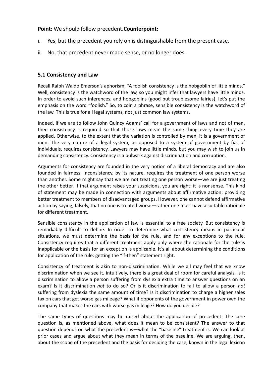#### **Point:** We should follow precedent.**Counterpoint:**

- i. Yes, but the precedent you rely on is distinguishable from the present case.
- ii. No, that precedent never made sense, or no longer does.

#### **5.1 Consistency and Law**

Recall Ralph Waldo Emerson's aphorism, "A foolish consistency is the hobgoblin of little minds." Well, consistency is the watchword of the law, so you might infer that lawyers have little minds. In order to avoid such inferences, and hobgoblins (good but troublesome fairies), let's put the emphasis on the word "foolish." So, to coin a phrase, sensible consistency is the watchword of the law. This is true for all legal systems, not just common law systems.

Indeed, if we are to follow John Quincy Adams' call for a government of laws and not of men, then consistency is required so that those laws mean the same thing every time they are applied. Otherwise, to the extent that the variation is controlled by men, it is a government of men. The very nature of a legal system, as opposed to a system of government by fiat of individuals, requires consistency. Lawyers may have little minds, but you may wish to join us in demanding consistency. Consistency is a bulwark against discrimination and corruption.

Arguments for consistency are founded in the very notion of a liberal democracy and are also founded in fairness. Inconsistency, by its nature, requires the treatment of one person worse than another. Some might say that we are not treating one person worse—we are just treating the other better. If that argument raises your suspicions, you are right: it is nonsense. This kind of statement may be made in connection with arguments about affirmative action: providing better treatment to members of disadvantaged groups. However, one cannot defend affirmative action by saying, falsely, that no one is treated worse—rather one must have a suitable rationale for different treatment.

Sensible consistency in the application of law is essential to a free society. But consistency is remarkably difficult to define. In order to determine what consistency means in particular situations, we must determine the basis for the rule, and for any exceptions to the rule. Consistency requires that a different treatment apply only where the rationale for the rule is inapplicable or the basis for an exception is applicable. It's all about determining the conditions for application of the rule: getting the "if-then" statement right.

Consistency of treatment is akin to non-discrimination. While we all may feel that we know discrimination when we see it, intuitively, there is a great deal of room for careful analysis. Is it discrimination to allow a person suffering from dyslexia extra time to answer questions on an exam? Is it discrimination *not* to do so? Or is it discrimination to fail to allow a person *not* suffering from dyslexia the same amount of time? Is it discrimination to charge a higher sales tax on cars that get worse gas mileage? What if opponents of the government in power own the company that makes the cars with worse gas mileage? How do you decide?

The same types of questions may be raised about the application of precedent. The core question is, as mentioned above, what does it mean to be consistent? The answer to that question depends on what the precedent is—what the "baseline" treatment is. We can look at prior cases and argue about what they mean in terms of the baseline. We are arguing, then, about the scope of the precedent and the basis for deciding the case, known in the legal lexicon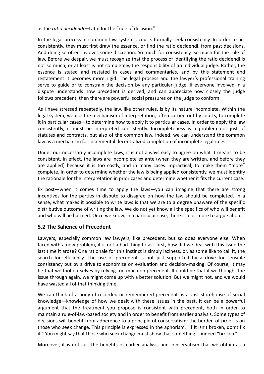as the *ratio decidendi*—Latin for the "rule of decision."

In the legal process in common law systems, courts formally seek consistency. In order to act consistently, they must first draw the essence, or find the ratio decidendi, from past decisions. And doing so often involves some discretion. So much for consistency. So much for the rule of law. Before we despair, we must recognize that the process of identifying the ratio decidendi is not so much, or at least is not completely, the responsibility of an individual judge. Rather, the essence is stated and restated in cases and commentaries, and by this statement and restatement it becomes more rigid. The legal process and the lawyer's professional training serve to guide or to constrain the decision by any particular judge. If everyone involved in a dispute understands how precedent is derived, and can appreciate how closely the judge follows precedent, then there are powerful social pressures on the judge to conform.

As I have stressed repeatedly, the law, like other rules, is by its nature incomplete. Within the legal system, we use the mechanism of interpretation, often carried out by courts, to complete it in particular cases—to determine how to apply it to particular cases. In order to apply the law consistently, it must be interpreted consistently. Incompleteness is a problem not just of statutes and contracts, but also of the common law. Indeed, we can understand the common law as a mechanism for incremental decentralized completion of incomplete legal rules.

Under our necessarily incomplete laws, it is not always easy to agree on what it means to be consistent. In effect, the laws are incomplete ex ante (when they are written, and before they are applied) because it is too costly, and in many cases impractical, to make them "more" complete. In order to determine whether the law is being applied consistently, we must identify the rationale for the interpretation in prior cases and determine whether it fits the current case.

Ex post—when it comes time to apply the laws—you can imagine that there are strong incentives for the parties in dispute to disagree on how the law should be completed. In a sense, what makes it possible to write laws is that we are to a degree unaware of the specific distributive outcome of writing the law. We do not yet know all the specifics of who will benefit and who will be harmed. Once we know, in a particular case, there is a lot more to argue about.

#### **5.2 The Salience of Precedent**

Lawyers, especially common law lawyers, like precedent, but so does everyone else. When faced with a new problem, it is not a bad thing to ask first, how did we deal with this issue the last time it arose? One rationale for this instinct is simply laziness, or, as some like to call it, the search for efficiency. The use of precedent is not just supported by a drive for sensible consistency but by a drive to economize on evaluation and decision-making. Of course, it may be that we fool ourselves by relying too much on precedent. It could be that if we thought the issue through again, we might come up with a better solution. But we might not, and we would have wasted all of that thinking time.

We can think of a body of recorded or remembered precedent as a vast storehouse of social knowledge—knowledge of how we dealt with these issues in the past. It can be a powerful argument that the treatment you propose is consistent with precedent, both in order to maintain a rule-of-law-based society and in order to benefit from earlier analysis. Some types of decisions will benefit from adherence to a principle of conservatism: the burden of proof is on those who seek change. This principle is expressed in the aphorism, "if it isn't broken, don't fix it." You might say that those who seek change must show that something is indeed "broken."

Moreover, it is not just the benefits of earlier analysis and conservatism that we obtain as a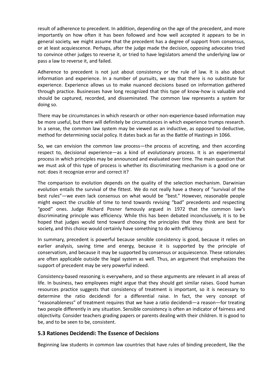result of adherence to precedent. In addition, depending on the age of the precedent, and more importantly on how often it has been followed and how well accepted it appears to be in general society, we might assume that the precedent has a degree of support from consensus, or at least acquiescence. Perhaps, after the judge made the decision, opposing advocates tried to convince other judges to reverse it, or tried to have legislators amend the underlying law or pass a law to reverse it, and failed.

Adherence to precedent is not just about consistency or the rule of law. It is also about information and experience. In a number of pursuits, we say that there is no substitute for experience. Experience allows us to make nuanced decisions based on information gathered through practice. Businesses have long recognized that this type of know-how is valuable and should be captured, recorded, and disseminated. The common law represents a system for doing so.

There may be circumstances in which research or other non-experience-based information may be more useful, but there will definitely be circumstances in which experience trumps research. In a sense, the common law system may be viewed as an inductive, as opposed to deductive, method for determining social policy. It dates back as far as the Battle of Hastings in 1066.

So, we can envision the common law process—the process of accreting, and then according respect to, decisional experience—as a kind of evolutionary process. It is an experimental process in which principles may be announced and evaluated over time. The main question that we must ask of this type of process is whether its discriminating mechanism is a good one or not: does it recognize error and correct it?

The comparison to evolution depends on the quality of the selection mechanism. Darwinian evolution entails the survival of the fittest. We do not really have a theory of "survival of the best rules"—we even lack consensus on what would be "best." However, reasonable people might expect the crucible of time to tend towards revising "bad" precedents and respecting "good" ones. Judge Richard Posner famously argued in 1972 that the common law's discriminating principle was efficiency. While this has been debated inconclusively, it is to be hoped that judges would tend toward choosing the principles that they think are best for society, and this choice would certainly have something to do with efficiency.

In summary, precedent is powerful because sensible consistency is good, because it relies on earlier analysis, saving time and energy, because it is supported by the principle of conservatism, and because it may be supported by consensus or acquiescence. These rationales are often applicable outside the legal system as well. Thus, an argument that emphasizes the support of precedent may be very powerful indeed.

Consistency-based reasoning is everywhere, and so these arguments are relevant in all areas of life. In business, two employees might argue that they should get similar raises. Good human resources practice suggests that consistency of treatment is important, so it is necessary to determine the ratio decidendi for a differential raise. In fact, the very concept of "reasonableness" of treatment requires that we have a ratio decidendi—a reason—for treating two people differently in any situation. Sensible consistency is often an indicator of fairness and objectivity. Consider teachers grading papers or parents dealing with their children. It is good to be, and to be seen to be, consistent.

#### **5.3 Rationes Decidendi: The Essence of Decisions**

Beginning law students in common law countries that have rules of binding precedent, like the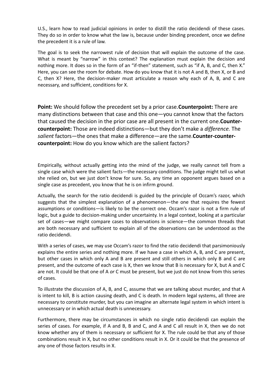U.S., learn how to read judicial opinions in order to distill the ratio decidendi of these cases. They do so in order to know what the law is, because under binding precedent, once we define the precedent it is a rule of law.

The goal is to seek the narrowest rule of decision that will explain the outcome of the case. What is meant by "narrow" in this context? The explanation must explain the decision and nothing more. It does so in the form of an "if-then" statement, such as "if A, B, and C, then X." Here, you can see the room for debate. How do you know that it is not A and B, then X, or B and C, then X? Here, the decision-maker must articulate a reason why each of A, B, and C are necessary, and sufficient, conditions for X.

**Point:** We should follow the precedent set by a prior case.**Counterpoint:** There are many distinctions between that case and this one—you cannot know that the factors that caused the decision in the prior case are all present in the current one.**Countercounterpoint:** Those are indeed distinctions—but they don't make a *difference.* The *salient* factors—the ones that make a difference—are the same.**Counter-countercounterpoint:** How do you know which are the salient factors?

Empirically, without actually getting into the mind of the judge, we really cannot tell from a single case which were the salient facts—the necessary conditions. The judge might tell us what she relied on, but we just don't know for sure. So, any time an opponent argues based on a single case as precedent, you know that he is on infirm ground.

Actually, the search for the ratio decidendi is guided by the principle of Occam's razor, which suggests that the simplest explanation of a phenomenon—the one that requires the fewest assumptions or conditions—is likely to be the correct one. Occam's razor is not a firm rule of logic, but a guide to decision-making under uncertainty. In a legal context, looking at a particular set of cases—we might compare cases to observations in science—the common threads that are both necessary and sufficient to explain all of the observations can be understood as the ratio decidendi.

With a series of cases, we may use Occam's razor to find the ratio decidendi that parsimoniously explains the entire series and nothing more. If we have a case in which A, B, and C are present, but other cases in which only A and B are present and still others in which only B and C are present, and the outcome of each case is X, then we know that B is necessary for X, but A and C are not. It could be that one of A *or* C must be present, but we just do not know from this series of cases.

To illustrate the discussion of A, B, and C, assume that we are talking about murder, and that A is intent to kill, B is action causing death, and C is death. In modern legal systems, all three are necessary to constitute murder, but you can imagine an alternate legal system in which intent is unnecessary or in which actual death is unnecessary.

Furthermore, there may be circumstances in which no single ratio decidendi can explain the series of cases. For example, if A and B, B and C, and A and C all result in X, then we do not know whether any of them is necessary or sufficient for X. The rule could be that any of those combinations result in X, but no other conditions result in X. Or it could be that the presence of any one of those factors results in X.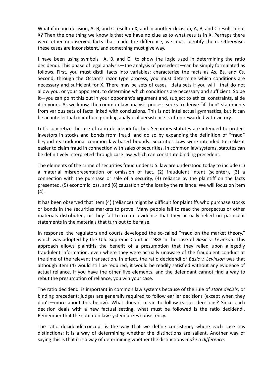What if in one decision, A, B, and C result in X, and in another decision, A, B, and C result in not X? Then the one thing we know is that we have no clue as to what results in X. Perhaps there were other unobserved facts that made the difference; we must identify them. Otherwise, these cases are inconsistent, and something must give way.

I have been using symbols—A, B, and C—to show the logic used in determining the ratio decidendi. This phase of legal analysis—the analysis of precedent—can be simply formulated as follows. First, you must distill facts into variables: characterize the facts as As, Bs, and Cs. Second, through the Occam's razor type process, you must determine which conditions are necessary and sufficient for X. There may be sets of cases—data sets if you will—that do not allow you, or your opponent, to determine which conditions are necessary and sufficient. So be it—you can point this out in your opponent's argument and, subject to ethical constraints, elide it in yours. As we know, the common law analysis process seeks to derive "if-then" statements from various sets of facts linked with conclusions. This is not intellectual gymnastics, but it can be an intellectual marathon: grinding analytical persistence is often rewarded with victory.

Let's concretize the use of ratio decidendi further. Securities statutes are intended to protect investors in stocks and bonds from fraud, and do so by expanding the definition of "fraud" beyond its traditional common law-based bounds. Securities laws were intended to make it easier to claim fraud in connection with sales of securities. In common law systems, statutes can be definitively interpreted through case law, which can constitute binding precedent.

The elements of the crime of securities fraud under U.S. law are understood today to include (1) a material misrepresentation or omission of fact, (2) fraudulent intent (scienter), (3) a connection with the purchase or sale of a security, (4) reliance by the plaintiff on the facts presented, (5) economic loss, and (6) causation of the loss by the reliance. We will focus on item (4).

It has been observed that item (4) (reliance) might be difficult for plaintiffs who purchase stocks or bonds in the securities markets to prove. Many people fail to read the prospectus or other materials distributed, or they fail to create evidence that they actually relied on particular statements in the materials that turn out to be false.

In response, the regulators and courts developed the so-called "fraud on the market theory," which was adopted by the U.S. Supreme Court in 1988 in the case of *Basic v. Levinson*. This approach allows plaintiffs the benefit of a presumption that they relied upon allegedly fraudulent information, even where they were actually unaware of the fraudulent conduct at the time of the relevant transaction. In effect, the ratio decidendi of *Basic v. Levinson* was that although item (4) would still be required, it would be readily satisfied without any evidence of actual reliance. If you have the other five elements, and the defendant cannot find a way to rebut the presumption of reliance, you win your case.

The ratio decidendi is important in common law systems because of the rule of *stare decisis*, or binding precedent: judges are generally required to follow earlier decisions (except when they don't—more about this below). What does it mean to follow earlier decisions? Since each decision deals with a new factual setting, what must be followed is the ratio decidendi. Remember that the common law system prizes consistency.

The ratio decidendi concept is the way that we define consistency where each case has distinctions: it is a way of determining whether the distinctions are salient. Another way of saying this is that it is a way of determining whether the distinctions *make a difference*.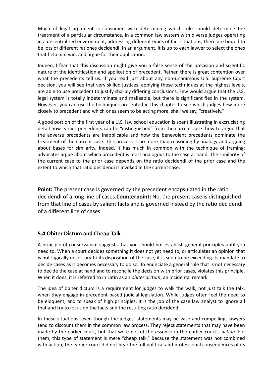Much of legal argument is consumed with determining which rule should determine the treatment of a particular circumstance. In a common law system with diverse judges operating in a decentralized environment, addressing different types of fact situations, there are bound to be lots of different rationes decidendi. In an argument, it is up to each lawyer to select the ones that help him win, and argue for their application.

Indeed, I fear that this discussion might give you a false sense of the precision and scientific nature of the identification and application of precedent. Rather, there is great contention over what the precedents tell us. If you read just about any non-unanimous U.S. Supreme Court decision, you will see that very skilled justices, applying these techniques at the highest levels, are able to use precedent to justify sharply differing conclusions. Few would argue that the U.S. legal system is totally indeterminate and malleable, but there is significant flex in the system. However, you can use the techniques presented in this chapter to see which judges hew more closely to precedent and which ones seem to be acting more, shall we say, "creatively."

A good portion of the first year of a U.S. law school education is spent illustrating in excruciating detail how earlier precedents can be "distinguished" from the current case: how to argue that the adverse precedents are inapplicable and how the benevolent precedents dominate the treatment of the current case. This process is no more than reasoning by analogy and arguing about bases for similarity. Indeed, it has much in common with the technique of framing: advocates argue about which precedent is most analogous to the case at hand. The similarity of the current case to the prior case depends on the ratio decidendi of the prior case and the extent to which that ratio decidendi is invoked in the current case.

**Point:** The present case is governed by the precedent encapsulated in the ratio decidendi of a long line of cases.**Counterpoint:** No, the present case is distinguished from that line of cases by salient facts and is governed instead by the ratio decidendi of a different line of cases.

#### **5.4 Obiter Dictum and Cheap Talk**

A principle of conservatism suggests that you should not establish general principles until you need to. When a court decides something it does not yet need to, or articulates an opinion that is not logically necessary to its disposition of the case, it is seen to be exceeding its mandate to decide cases as it becomes necessary to do so. To enunciate a general rule that is not necessary to decide the case at hand and to reconcile the decision with prior cases, violates this principle. When it does, it is referred to in Latin as an *obiter dictum*, an incidental remark.

The idea of obiter dictum is a requirement for judges to walk the walk, not just talk the talk, when they engage in precedent-based judicial legislation. While judges often feel the need to be eloquent, and to speak of high principles, it is the job of the case law analyst to ignore all that and try to focus on the facts and the resulting ratio decidendi.

In these situations, even though the judges' statements may be wise and compelling, lawyers tend to discount them in the common law process. They reject statements that may have been made by the earlier court, but that were not of the essence in the earlier court's *action*. For them, this type of statement is mere "cheap talk." Because the statement was not combined with action, the earlier court did not bear the full political and professional consequences of its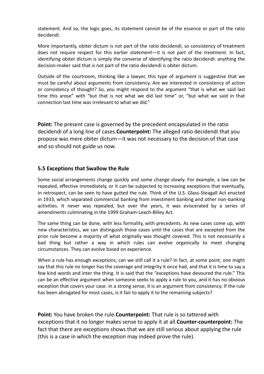statement. And so, the logic goes, its statement cannot be of the essence or part of the ratio decidendi.

More importantly, obiter dictum is not part of the ratio decidendi, so consistency of treatment does not require respect for this earlier *statement*—it is not part of the *treatment*. In fact, identifying obiter dictum is simply the converse of identifying the ratio decidendi: anything the decision-maker said that is not part of the ratio decidendi is obiter dictum.

Outside of the courtroom, thinking like a lawyer, this type of argument is suggestive that we must be careful about arguments from consistency. Are we interested in consistency of action or consistency of thought? So, you might respond to the argument "that is what we said last time this arose" with "but that is not what we did last time" or, "but what we said in that connection last time was irrelevant to what we did."

**Point:** The present case is governed by the precedent encapsulated in the ratio decidendi of a long line of cases.**Counterpoint:** The alleged ratio decidendi that you propose was mere obiter dictum—it was not necessary to the decision of that case and so should not guide us now.

#### **5.5 Exceptions that Swallow the Rule**

Some social arrangements change quickly and some change slowly. For example, a law can be repealed, effective immediately, or it can be subjected to increasing exceptions that eventually, in retrospect, can be seen to have gutted the rule. Think of the U.S. Glass-Steagall Act enacted in 1933, which separated commercial banking from investment banking and other non-banking activities. It never was repealed, but over the years, it was eviscerated by a series of amendments culminating in the 1999 Graham-Leach-Bliley Act.

The same thing can be done, with less formality, with precedents. As new cases come up, with new characteristics, we can distinguish those cases until the cases that are excepted from the prior rule become a majority of what originally was thought covered. This is not necessarily a bad thing but rather a way in which rules can evolve organically to meet changing circumstances. They can evolve based on experience.

When a rule has enough exceptions, can we still call it a rule? In fact, at some point, one might say that this rule no longer has the coverage and integrity it once had, and that it is time to say a few kind words and inter the thing. It is said that the "exceptions have devoured the rule." This can be an effective argument when someone seeks to apply a rule to you, and it has no obvious exception that covers your case. In a strong sense, it is an argument from consistency. If the rule has been abrogated for most cases, is it fair to apply it to the remaining subjects?

**Point:** You have broken the rule.**Counterpoint:** That rule is so tattered with exceptions that it no longer makes sense to apply it at all.**Counter-counterpoint:** The fact that there are exceptions shows that we are still serious about applying the rule (this is a case in which the exception may indeed prove the rule).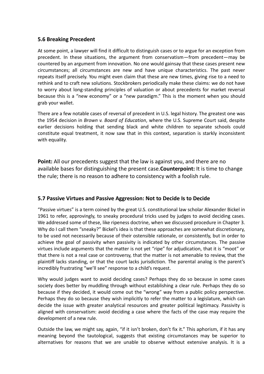#### **5.6 Breaking Precedent**

At some point, a lawyer will find it difficult to distinguish cases or to argue for an exception from precedent. In these situations, the argument from conservatism—from precedent—may be countered by an argument from innovation. No one would gainsay that these cases present new circumstances; all circumstances are new and have unique characteristics. The past never repeats itself precisely. You might even claim that these are new times, giving rise to a need to rethink and to craft new solutions. Stockbrokers periodically make these claims: we do not have to worry about long-standing principles of valuation or about precedents for market reversal because this is a "new economy" or a "new paradigm." This is the moment when you should grab your wallet.

There are a few notable cases of reversal of precedent in U.S. legal history. The greatest one was the 1954 decision in *Brown v. Board of Education*, where the U.S. Supreme Court said, despite earlier decisions holding that sending black and white children to separate schools could constitute equal treatment, it now saw that in this context, separation is starkly inconsistent with equality.

**Point:** All our precedents suggest that the law is against you, and there are no available bases for distinguishing the present case.**Counterpoint:** It is time to change the rule; there is no reason to adhere to consistency with a foolish rule.

#### **5.7 Passive Virtues and Passive Aggression: Not to Decide Is to Decide**

"Passive virtues" is a term coined by the great U.S. constitutional law scholar Alexander Bickel in 1961 to refer, approvingly, to sneaky procedural tricks used by judges to avoid deciding cases. We addressed some of these, like ripeness doctrine, when we discussed procedure in Chapter 3. Why do I call them "sneaky?" Bickel's idea is that these approaches are somewhat discretionary, to be used not necessarily because of their ostensible rationale, or consistently, but in order to achieve the goal of passivity when passivity is indicated by other circumstances. The passive virtues include arguments that the matter is not yet "ripe" for adjudication, that it is "moot" or that there is not a real case or controversy, that the matter is not amenable to review, that the plaintiff lacks standing, or that the court lacks jurisdiction. The parental analog is the parent's incredibly frustrating "we'll see" response to a child's request.

Why would judges want to avoid deciding cases? Perhaps they do so because in some cases society does better by muddling through without establishing a clear rule. Perhaps they do so because if they decided, it would come out the "wrong" way from a public policy perspective. Perhaps they do so because they wish implicitly to refer the matter to a legislature, which can decide the issue with greater analytical resources and greater political legitimacy. Passivity is aligned with conservatism: avoid deciding a case where the facts of the case may require the development of a new rule.

Outside the law, we might say, again, "if it isn't broken, don't fix it." This aphorism, if it has any meaning beyond the tautological, suggests that existing circumstances may be superior to alternatives for reasons that we are unable to observe without extensive analysis. It is a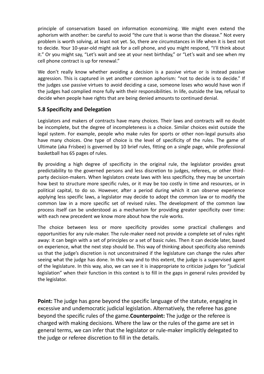principle of conservatism based on information economizing. We might even extend the aphorism with another: be careful to avoid "the cure that is worse than the disease." Not every problem is worth solving, at least not yet. So, there are circumstances in life when it is best not to decide. Your 10-year-old might ask for a cell phone, and you might respond, "I'll think about it." Or you might say, "Let's wait and see at your next birthday," or "Let's wait and see when my cell phone contract is up for renewal."

We don't really know whether avoiding a decision is a passive virtue or is instead passive aggression. This is captured in yet another common aphorism: "not to decide is to decide." If the judges use passive virtues to avoid deciding a case, someone loses who would have won if the judges had complied more fully with their responsibilities. In life, outside the law, refusal to decide when people have rights that are being denied amounts to continued denial.

#### **5.8 Specificity and Delegation**

Legislators and makers of contracts have many choices. Their laws and contracts will no doubt be incomplete, but the degree of incompleteness is a choice. Similar choices exist outside the legal system. For example, people who make rules for sports or other non-legal pursuits also have many choices. One type of choice is the level of specificity of the rules. The game of Ultimate (aka Frisbee) is governed by 10 brief rules, fitting on a single page, while professional basketball has 65 pages of rules.

By providing a high degree of specificity in the original rule, the legislator provides great predictability to the governed persons and less discretion to judges, referees, or other thirdparty decision-makers. When legislators create laws with less specificity, they may be uncertain how best to structure more specific rules, or it may be too costly in time and resources, or in political capital, to do so. However, after a period during which it can observe experience applying less specific laws, a legislator may decide to adopt the common law or to modify the common law in a more specific set of revised rules. The development of the common law process itself can be understood as a mechanism for providing greater specificity over time: with each new precedent we know more about how the rule works.

The choice between less or more specificity provides some practical challenges and opportunities for any rule-maker. The rule-maker need not provide a complete set of rules right away: it can begin with a set of principles or a set of basic rules. Then it can decide later, based on experience, what the next step should be. This way of thinking about specificity also reminds us that the judge's discretion is not unconstrained if the legislature can change the rules after seeing what the judge has done. In this way and to this extent, the judge is a supervised agent of the legislature. In this way, also, we can see it is inappropriate to criticize judges for "judicial legislation" when their function in this context is to fill in the gaps in general rules provided by the legislator.

**Point:** The judge has gone beyond the specific language of the statute, engaging in excessive and undemocratic judicial legislation. Alternatively, the referee has gone beyond the specific rules of the game.**Counterpoint:** The judge or the referee is charged with making decisions. Where the law or the rules of the game are set in general terms, we can infer that the legislator or rule-maker implicitly delegated to the judge or referee discretion to fill in the details.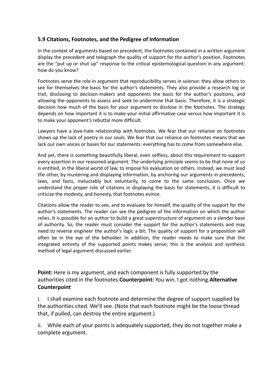### **5.9 Citations, Footnotes, and the Pedigree of Information**

In the context of arguments based on precedent, the footnotes contained in a written argument display the precedent and telegraph the quality of support for the author's position. Footnotes are the "put up or shut up" response to the critical epistemological question in any argument: how do you know?

Footnotes serve the role in argument that reproducibility serves in science: they allow others to see for themselves the basis for the author's statements. They also provide a research log or trail, disclosing to decision-makers and opponents the basis for the author's positions, and allowing the opponents to assess and seek to undermine that basis. Therefore, it is a strategic decision how much of the basis for your argument to disclose in the footnotes. The strategy depends on how important it is to make your initial affirmative case versus how important it is to make your opponent's rebuttal more difficult.

Lawyers have a love-hate relationship with footnotes. We fear that our reliance on footnotes shows up the lack of poetry in our souls. We fear that our reliance on footnotes means that we lack our own voices or bases for our statements: everything has to come from somewhere else.

And yet, there is something beautifully liberal, even selfless, about this requirement to support every assertion in our reasoned argument. The underlying principle seems to be that none of us is entitled, in the liberal world of law, to impose his evaluation on others. Instead, we must lead the other, by mustering and displaying information, by anchoring our arguments in precedents, laws, and facts, ineluctably but voluntarily, to come to the same conclusion. Once we understand the proper role of citations in displaying the basis for statements, it is difficult to criticize the modesty, and honesty, that footnotes evince.

Citations allow the reader to see, and to evaluate for himself, the quality of the support for the author's statements. The reader can see the pedigree of the information on which the author relies. It is possible for an author to build a great superstructure of argument on a slender base of authority. So, the reader must consider the support for the author's statements and may need to reverse engineer the author's logic a bit. The quality of support for a proposition will often be in the eye of the beholder. In addition, the reader needs to make sure that the integrated entirety of the supported points makes sense; this is the analysis and synthesis method of legal argument discussed earlier.

**Point:** Here is my argument, and each component is fully supported by the authorities cited in the footnotes.**Counterpoint:** You win. I got nothing.**Alternative Counterpoint**

i. I shall examine each footnote and determine the degree of support supplied by the authorities cited. We'll see. (Note that each footnote might be the loose thread that, if pulled, can destroy the entire argument.)

ii. While each of your points is adequately supported, they do not together make a complete argument.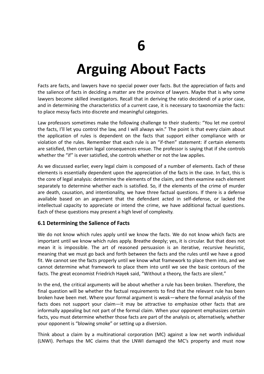**6**

# **Arguing About Facts**

Facts are facts, and lawyers have no special power over facts. But the appreciation of facts and the salience of facts in deciding a matter are the province of lawyers. Maybe that is why some lawyers become skilled investigators. Recall that in deriving the ratio decidendi of a prior case, and in determining the characteristics of a current case, it is necessary to taxonomize the facts: to place messy facts into discrete and meaningful categories.

Law professors sometimes make the following challenge to their students: "You let me control the facts, I'll let you control the law, and I will always win." The point is that every claim about the application of rules is dependent on the facts that support either compliance with or violation of the rules. Remember that each rule is an "if-then" statement: if certain elements are satisfied, then certain legal consequences ensue. The professor is saying that if she controls whether the "if" is ever satisfied, she controls whether or not the law applies.

As we discussed earlier, every legal claim is composed of a number of elements. Each of these elements is essentially dependent upon the appreciation of the facts in the case. In fact, this is the core of legal analysis: determine the elements of the claim, and then examine each element separately to determine whether each is satisfied. So, if the elements of the crime of murder are death, causation, and intentionality, we have three factual questions. If there is a defense available based on an argument that the defendant acted in self-defense, or lacked the intellectual capacity to appreciate or intend the crime, we have additional factual questions. Each of these questions may present a high level of complexity.

### **6.1 Determining the Salience of Facts**

We do not know which rules apply until we know the facts. We do not know which facts are important until we know which rules apply. Breathe deeply; yes, it is circular. But that does not mean it is impossible. The art of reasoned persuasion is an iterative, recursive heuristic, meaning that we must go back and forth between the facts and the rules until we have a good fit. We cannot see the facts properly until we know what framework to place them into, and we cannot determine what framework to place them into until we see the basic contours of the facts. The great economist Friedrich Hayek said, "Without a theory, the facts are silent."

In the end, the critical arguments will be about whether a rule has been broken. Therefore, the final question will be whether the factual requirements to find that the relevant rule has been broken have been met. Where your formal argument is weak—where the formal analysis of the facts does not support your claim—it may be attractive to emphasize other facts that are informally appealing but not part of the formal claim. When your opponent emphasizes certain facts, you must determine whether those facts are part of the analysis or, alternatively, whether your opponent is "blowing smoke" or setting up a diversion.

Think about a claim by a multinational corporation (MC) against a low net worth individual (LNWI). Perhaps the MC claims that the LNWI damaged the MC's property and must now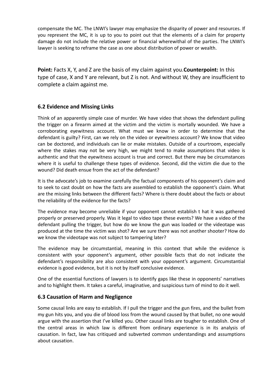compensate the MC. The LNWI's lawyer may emphasize the disparity of power and resources. If you represent the MC, it is up to you to point out that the elements of a claim for property damage do not include the relative power or financial wherewithal of the parties. The LNWI's lawyer is seeking to reframe the case as one about distribution of power or wealth.

**Point:** Facts X, Y, and Z are the basis of my claim against you.**Counterpoint:** In this type of case, X and Y are relevant, but Z is not. And without W, they are insufficient to complete a claim against me.

### **6.2 Evidence and Missing Links**

Think of an apparently simple case of murder. We have video that shows the defendant pulling the trigger on a firearm aimed at the victim and the victim is mortally wounded. We have a corroborating eyewitness account. What must we know in order to determine that the defendant is guilty? First, can we rely on the video or eyewitness account? We know that video can be doctored, and individuals can lie or make mistakes. Outside of a courtroom, especially where the stakes may not be very high, we might tend to make assumptions that video is authentic and that the eyewitness account is true and correct. But there may be circumstances where it is useful to challenge these types of evidence. Second, did the victim die due to the wound? Did death ensue from the act of the defendant?

It is the advocate's job to examine carefully the factual components of his opponent's claim and to seek to cast doubt on how the facts are assembled to establish the opponent's claim. What are the missing links between the different facts? Where is there doubt about the facts or about the reliability of the evidence for the facts?

The evidence may become unreliable if your opponent cannot establish t hat it was gathered properly or preserved properly. Was it legal to video tape these events? We have a video of the defendant pulling the trigger, but how do we know the gun was loaded or the videotape was produced at the time the victim was shot? Are we sure there was not another shooter? How do we know the videotape was not subject to tampering later?

The evidence may be circumstantial, meaning in this context that while the evidence is consistent with your opponent's argument, other possible facts that do not indicate the defendant's responsibility are also consistent with your opponent's argument. Circumstantial evidence is good evidence, but it is not by itself conclusive evidence.

One of the essential functions of lawyers is to identify gaps like these in opponents' narratives and to highlight them. It takes a careful, imaginative, and suspicious turn of mind to do it well.

### **6.3 Causation of Harm and Negligence**

Some causal links are easy to establish. If I pull the trigger and the gun fires, and the bullet from my gun hits you, and you die of blood loss from the wound caused by that bullet, no one would argue with the assertion that I've killed you. Other causal links are tougher to establish. One of the central areas in which law is different from ordinary experience is in its analysis of causation. In fact, law has critiqued and subverted common understandings and assumptions about causation.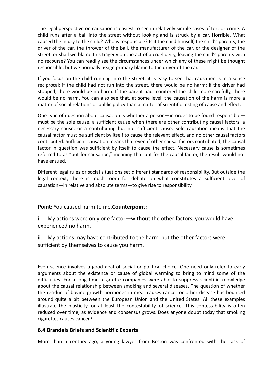The legal perspective on causation is easiest to see in relatively simple cases of tort or crime. A child runs after a ball into the street without looking and is struck by a car. Horrible. What caused the injury to the child? Who is responsible? Is it the child himself, the child's parents, the driver of the car, the thrower of the ball, the manufacturer of the car, or the designer of the street, or shall we blame this tragedy on the act of a cruel deity, leaving the child's parents with no recourse? You can readily see the circumstances under which any of these might be thought responsible, but we normally assign primary blame to the driver of the car.

If you focus on the child running into the street, it is easy to see that causation is in a sense reciprocal: if the child had not run into the street, there would be no harm; if the driver had stopped, there would be no harm. If the parent had monitored the child more carefully, there would be no harm. You can also see that, at some level, the causation of the harm is more a matter of social relations or public policy than a matter of scientific testing of cause and effect.

One type of question about causation is whether a person—in order to be found responsible must be the sole cause, a sufficient cause when there are other contributing causal factors, a necessary cause, or a contributing but not sufficient cause. Sole causation means that the causal factor must be sufficient by itself to cause the relevant effect, and no other causal factors contributed. Sufficient causation means that even if other causal factors contributed, the causal factor in question was sufficient by itself to cause the effect. Necessary cause is sometimes referred to as "but-for causation," meaning that but for the causal factor, the result would not have ensued.

Different legal rules or social situations set different standards of responsibility. But outside the legal context, there is much room for debate on what constitutes a sufficient level of causation—in relative and absolute terms—to give rise to responsibility.

### **Point:** You caused harm to me.**Counterpoint:**

i. My actions were only one factor—without the other factors, you would have experienced no harm.

ii. My actions may have contributed to the harm, but the other factors were sufficient by themselves to cause you harm.

Even science involves a good deal of social or political choice. One need only refer to early arguments about the existence or cause of global warming to bring to mind some of the difficulties. For a long time, cigarette companies were able to suppress scientific knowledge about the causal relationship between smoking and several diseases. The question of whether the residue of bovine growth hormones in meat causes cancer or other disease has bounced around quite a bit between the European Union and the United States. All these examples illustrate the plasticity, or at least the contestability, of science. This contestability is often reduced over time, as evidence and consensus grows. Does anyone doubt today that smoking cigarettes causes cancer?

### **6.4 Brandeis Briefs and Scientific Experts**

More than a century ago, a young lawyer from Boston was confronted with the task of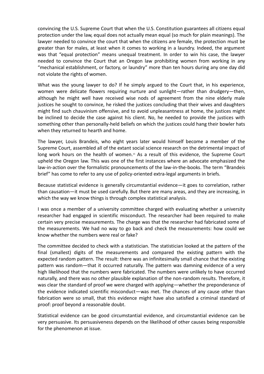convincing the U.S. Supreme Court that when the U.S. Constitution guarantees all citizens equal protection under the law, equal does not actually mean equal (so much for plain meanings). The lawyer needed to convince the court that when the citizens are female, the protection must be greater than for males, at least when it comes to working in a laundry. Indeed, the argument was that "equal protection" means unequal treatment. In order to win his case, the lawyer needed to convince the Court that an Oregon law prohibiting women from working in any "mechanical establishment, or factory, or laundry" more than ten hours during any one day did not violate the rights of women.

What was the young lawyer to do? If he simply argued to the Court that, in his experience, women were delicate flowers requiring nurture and sunlight—rather than drudgery—then, although he might well have received wise nods of agreement from the nine elderly male justices he sought to convince, he risked the justices concluding that their wives and daughters might find such chauvinism offensive, and to avoid unpleasantness at home, the justices might be inclined to decide the case against his client. No, he needed to provide the justices with something other than personally-held beliefs on which the justices could hang their bowler hats when they returned to hearth and home.

The lawyer, Louis Brandeis, who eight years later would himself become a member of the Supreme Court, assembled all of the extant social science research on the detrimental impact of long work hours on the health of women.<sup>15</sup> As a result of this evidence, the Supreme Court upheld the Oregon law. This was one of the first instances where an advocate emphasized the law-in-action over the formalistic pronouncements of the law-in-the-books. The term "Brandeis brief" has come to refer to any use of policy-oriented extra-legal arguments in briefs.

Because statistical evidence is generally circumstantial evidence—it goes to correlation, rather than causation—it must be used carefully. But there are many areas, and they are increasing, in which the way we know things is through complex statistical analysis.

I was once a member of a university committee charged with evaluating whether a university researcher had engaged in scientific misconduct. The researcher had been required to make certain very precise measurements. The charge was that the researcher had fabricated some of the measurements. We had no way to go back and check the measurements: how could we know whether the numbers were real or fake?

The committee decided to check with a statistician. The statistician looked at the pattern of the final (smallest) digits of the measurements and compared the existing pattern with the expected random pattern. The result: there was an infinitesimally small chance that the existing pattern was random—that it occurred naturally. The pattern was damning evidence of a very high likelihood that the numbers were fabricated. The numbers were unlikely to have occurred naturally, and there was no other plausible explanation of the non-random results. Therefore, it was clear the standard of proof we were charged with applying—whether the preponderance of the evidence indicated scientific misconduct—was met. The chances of any cause other than fabrication were so small, that this evidence might have also satisfied a criminal standard of proof: proof beyond a reasonable doubt.

Statistical evidence can be good circumstantial evidence, and circumstantial evidence can be very persuasive. Its persuasiveness depends on the likelihood of other causes being responsible for the phenomenon at issue.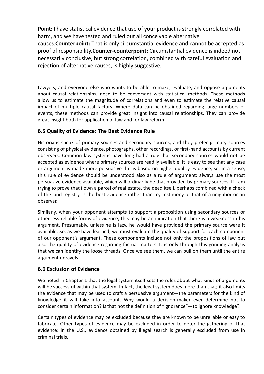**Point:** I have statistical evidence that use of your product is strongly correlated with harm, and we have tested and ruled out all conceivable alternative causes.**Counterpoint:** That is only circumstantial evidence and cannot be accepted as proof of responsibility.**Counter-counterpoint:** Circumstantial evidence is indeed not necessarily conclusive, but strong correlation, combined with careful evaluation and rejection of alternative causes, is highly suggestive.

Lawyers, and everyone else who wants to be able to make, evaluate, and oppose arguments about causal relationships, need to be conversant with statistical methods. These methods allow us to estimate the magnitude of correlations and even to estimate the relative causal impact of multiple causal factors. Where data can be obtained regarding large numbers of events, these methods can provide great insight into causal relationships. They can provide great insight both for application of law and for law reform.

### **6.5 Quality of Evidence: The Best Evidence Rule**

Historians speak of primary sources and secondary sources, and they prefer primary sources consisting of physical evidence, photographs, other recordings, or first-hand accounts by current observers. Common law systems have long had a rule that secondary sources would not be accepted as evidence where primary sources are readily available. It is easy to see that any case or argument is made more persuasive if it is based on higher quality evidence, so, in a sense, this rule of evidence should be understood also as a rule of argument: always use the most persuasive evidence available, which will ordinarily be that provided by primary sources. If I am trying to prove that I own a parcel of real estate, the deed itself, perhaps combined with a check of the land registry, is the best evidence rather than my testimony or that of a neighbor or an observer.

Similarly, when your opponent attempts to support a proposition using secondary sources or other less reliable forms of evidence, this may be an indication that there is a weakness in his argument. Presumably, unless he is lazy, he would have provided the primary source were it available. So, as we have learned, we must evaluate the quality of support for each component of our opponent's argument. These components include not only the propositions of law but also the quality of evidence regarding factual matters. It is only through this grinding analysis that we can identify the loose threads. Once we see them, we can pull on them until the entire argument unravels.

### **6.6 Exclusion of Evidence**

We noted in Chapter 1 that the legal system itself sets the rules about what kinds of arguments will be successful within that system. In fact, the legal system does more than that; it also limits the evidence that may be used to craft a persuasive argument—the parameters for the kind of knowledge it will take into account. Why would a decision-maker ever determine not to consider certain information? Is that not the definition of "ignorance"—to ignore knowledge?

Certain types of evidence may be excluded because they are known to be unreliable or easy to fabricate. Other types of evidence may be excluded in order to deter the gathering of that evidence: in the U.S., evidence obtained by illegal search is generally excluded from use in criminal trials.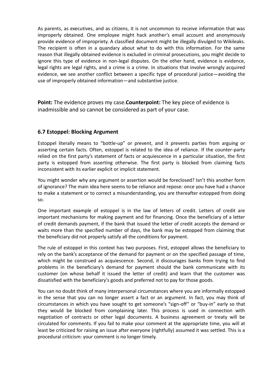As parents, as executives, and as citizens, it is not uncommon to receive information that was improperly obtained. One employee might hack another's email account and anonymously provide evidence of impropriety. A classified document might be illegally divulged to Wikileaks. The recipient is often in a quandary about what to do with this information. For the same reason that illegally obtained evidence is excluded in criminal prosecutions, you might decide to ignore this type of evidence in non-legal disputes. On the other hand, evidence is evidence, legal rights are legal rights, and a crime is a crime. In situations that involve wrongly acquired evidence, we see another conflict between a specific type of procedural justice—avoiding the use of improperly obtained information—and substantive justice.

**Point:** The evidence proves my case.**Counterpoint:** The key piece of evidence is inadmissible and so cannot be considered as part of your case.

### **6.7 Estoppel: Blocking Argument**

Estoppel literally means to "bottle-up" or prevent, and it prevents parties from arguing or asserting certain facts. Often, estoppel is related to the idea of reliance. If the counter-party relied on the first party's statement of facts or acquiescence in a particular situation, the first party is estopped from asserting otherwise. The first party is blocked from claiming facts inconsistent with its earlier explicit or implicit statement.

You might wonder why any argument or assertion would be foreclosed? Isn't this another form of ignorance? The main idea here seems to be reliance and repose: once you have had a chance to make a statement or to correct a misunderstanding, you are thereafter estopped from doing so.

One important example of estoppel is in the law of letters of credit. Letters of credit are important mechanisms for making payment and for financing. Once the beneficiary of a letter of credit demands payment, if the bank that issued the letter of credit accepts the demand or waits more than the specified number of days, the bank may be estopped from claiming that the beneficiary did not properly satisfy all the conditions for payment.

The rule of estoppel in this context has two purposes. First, estoppel allows the beneficiary to rely on the bank's acceptance of the demand for payment or on the specified passage of time, which might be construed as acquiescence. Second, it discourages banks from trying to find problems in the beneficiary's demand for payment should the bank communicate with its customer (on whose behalf it issued the letter of credit) and learn that the customer was dissatisfied with the beneficiary's goods and preferred not to pay for those goods.

You can no doubt think of many interpersonal circumstances where you are informally estopped in the sense that you can no longer assert a fact or an argument. In fact, you may think of circumstances in which you have sought to get someone's "sign-off" or "buy-in" early so that they would be blocked from complaining later. This process is used in connection with negotiation of contracts or other legal documents. A business agreement or treaty will be circulated for comments. If you fail to make your comment at the appropriate time, you will at least be criticized for raising an issue after everyone (rightfully) assumed it was settled. This is a procedural criticism: your comment is no longer timely.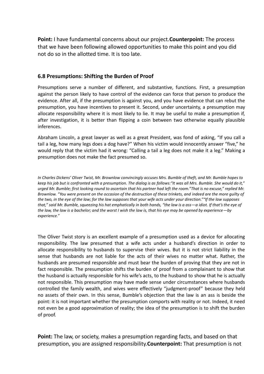**Point:** I have fundamental concerns about our project.**Counterpoint:** The process that we have been following allowed opportunities to make this point and you did not do so in the allotted time. It is too late.

### **6.8 Presumptions: Shifting the Burden of Proof**

Presumptions serve a number of different, and substantive, functions. First, a presumption against the person likely to have control of the evidence can force that person to produce the evidence. After all, if the presumption is against you, and you have evidence that can rebut the presumption, you have incentives to present it. Second, under uncertainty, a presumption may allocate responsibility where it is most likely to lie. It may be useful to make a presumption if, after investigation, it is better than flipping a coin between two otherwise equally plausible inferences.

Abraham Lincoln, a great lawyer as well as a great President, was fond of asking, "If you call a tail a leg, how many legs does a dog have?" When his victim would innocently answer "five," he would reply that the victim had it wrong: "Calling a tail a leg does not make it a leg." Making a presumption does not make the fact presumed so.

*In Charles Dickens' Oliver Twist, Mr. Brownlow convincingly accuses Mrs. Bumble of theft, and Mr. Bumble hopes to keep his job but is confronted with a presumption. The dialog is as follows:"It was all Mrs. Bumble. She would do it," urged Mr. Bumble; first looking round to ascertain that his partner had left the room."That is no excuse," replied Mr. Brownlow. "You were present on the occasion of the destruction of these trinkets, and indeed are the more guilty of the two, in the eye of the law; for the law supposes that your wife acts under your direction.""If the law supposes that," said Mr. Bumble, squeezing his hat emphatically in both hands, "the law is a ass—a idiot. If that's the eye of the law, the law is a bachelor; and the worst I wish the law is, that his eye may be opened by experience—by experience."*

The Oliver Twist story is an excellent example of a presumption used as a device for allocating responsibility. The law presumed that a wife acts under a husband's direction in order to allocate responsibility to husbands to supervise their wives. But it is not strict liability in the sense that husbands are not liable for the acts of their wives no matter what. Rather, the husbands are presumed responsible and must bear the burden of proving that they are not in fact responsible. The presumption shifts the burden of proof from a complainant to show that the husband is actually responsible for his wife's acts, to the husband to show that he is actually not responsible. This presumption may have made sense under circumstances where husbands controlled the family wealth, and wives were effectively "judgment-proof" because they held no assets of their own. In this sense, Bumble's objection that the law is an ass is beside the point: it is not important whether the presumption comports with reality or not. Indeed, it need not even be a good approximation of reality; the idea of the presumption is to shift the burden of proof.

**Point:** The law, or society, makes a presumption regarding facts, and based on that presumption, you are assigned responsibility.**Counterpoint:** That presumption is not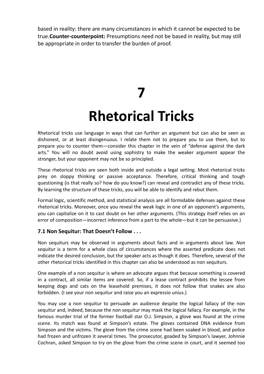based in reality: there are many circumstances in which it cannot be expected to be true.**Counter-counterpoint:** Presumptions need not be based in reality, but may still be appropriate in order to transfer the burden of proof.

**7**

# **Rhetorical Tricks**

Rhetorical tricks use language in ways that can further an argument but can also be seen as dishonest, or at least disingenuous. I relate them not to prepare you to use them, but to prepare you to counter them—consider this chapter in the vein of "defense against the dark arts." You will no doubt avoid using sophistry to make the weaker argument appear the stronger, but your opponent may not be so principled.

These rhetorical tricks are seen both inside and outside a legal setting. Most rhetorical tricks prey on sloppy thinking or passive acceptance. Therefore, critical thinking and tough questioning (is that really so? how do you know?) can reveal and contradict any of these tricks. By learning the structure of these tricks, you will be able to identify and rebut them.

Formal logic, scientific method, and statistical analysis are all formidable defenses against these rhetorical tricks. Moreover, once you reveal the weak logic in one of an opponent's arguments, you can capitalize on it to cast doubt on her other arguments. (This strategy itself relies on an error of composition—incorrect inference from a part to the whole—but it can be persuasive.)

### **7.1 Non Sequitur: That Doesn't Follow . . .**

Non sequiturs may be observed in arguments about facts and in arguments about law. *Non sequitur* is a term for a whole class of circumstances where the asserted predicate does not indicate the desired conclusion, but the speaker acts as though it does. Therefore, several of the other rhetorical tricks identified in this chapter can also be understood as non sequiturs.

One example of a non sequitur is where an advocate argues that because something is covered in a contract, all similar items are covered. So, if a lease contract prohibits the lessee from keeping dogs and cats on the leasehold premises, it does not follow that snakes are also forbidden. (I see your non sequitur and raise you an expressio unius.)

You may use a non sequitur to persuade an audience despite the logical fallacy of the non sequitur and, indeed, because the non sequitur may mask the logical fallacy. For example, in the famous murder trial of the former football star O.J. Simpson, a glove was found at the crime scene. Its match was found at Simpson's estate. The gloves contained DNA evidence from Simpson and the victims. The glove from the crime scene had been soaked in blood, and police had frozen and unfrozen it several times. The prosecutor, goaded by Simpson's lawyer, Johnnie Cochran, asked Simpson to try on the glove from the crime scene in court, and it seemed too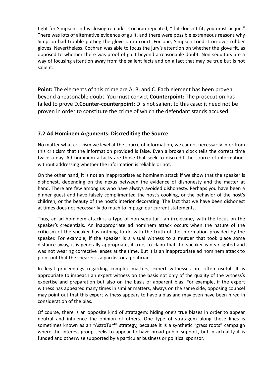tight for Simpson. In his closing remarks, Cochran repeated, "If it doesn't fit, you must acquit." There was lots of alternative evidence of guilt, and there were possible extraneous reasons why Simpson had trouble putting the glove on in court. For one, Simpson tried it on over rubber gloves. Nevertheless, Cochran was able to focus the jury's attention on whether the glove fit, as opposed to whether there was proof of guilt beyond a reasonable doubt. Non sequiturs are a way of focusing attention away from the salient facts and on a fact that may be true but is not salient.

**Point:** The elements of this crime are A, B, and C. Each element has been proven beyond a reasonable doubt. You must convict.**Counterpoint:** The prosecution has failed to prove D.**Counter-counterpoint:** D is not salient to this case: it need not be proven in order to constitute the crime of which the defendant stands accused.

### **7.2 Ad Hominem Arguments: Discrediting the Source**

No matter what criticism we level at the source of information, we cannot necessarily infer from this criticism that the information provided is false. Even a broken clock tells the correct time twice a day. Ad hominem attacks are those that seek to discredit the source of information, without addressing whether the information is reliable or not.

On the other hand, it is not an inappropriate ad hominem attack if we show that the speaker is dishonest, depending on the nexus between the evidence of dishonesty and the matter at hand. There are few among us who have always avoided dishonesty. Perhaps you have been a dinner guest and have falsely complimented the host's cooking, or the behavior of the host's children, or the beauty of the host's interior decorating. The fact that we have been dishonest at times does not necessarily do much to impugn our current statements.

Thus, an ad hominem attack is a type of non sequitur—an irrelevancy with the focus on the speaker's credentials. An inappropriate ad hominem attack occurs when the nature of the criticism of the speaker has nothing to do with the truth of the information provided by the speaker. For example, if the speaker is a visual witness to a murder that took place some distance away, it is generally appropriate, if true, to claim that the speaker is nearsighted and was not wearing corrective lenses at the time. But it is an inappropriate ad hominem attack to point out that the speaker is a pacifist or a politician.

In legal proceedings regarding complex matters, expert witnesses are often useful. It is appropriate to impeach an expert witness on the basis not only of the quality of the witness's expertise and preparation but also on the basis of apparent bias. For example, if the expert witness has appeared many times in similar matters, always on the same side, opposing counsel may point out that this expert witness appears to have a bias and may even have been hired in consideration of the bias.

Of course, there is an opposite kind of stratagem: hiding one's true biases in order to appear neutral and influence the opinion of others. One type of stratagem along these lines is sometimes known as an "AstroTurf" strategy, because it is a synthetic "grass roots" campaign where the interest group seeks to appear to have broad public support, but in actuality it is funded and otherwise supported by a particular business or political sponsor.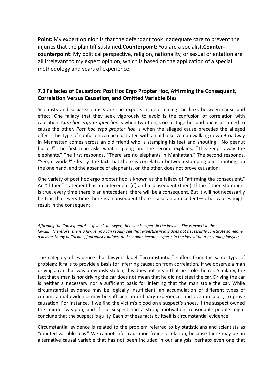**Point:** My expert opinion is that the defendant took inadequate care to prevent the injuries that the plaintiff sustained.**Counterpoint:** You are a socialist.**Countercounterpoint:** My political perspective, religion, nationality, or sexual orientation are all irrelevant to my expert opinion, which is based on the application of a special methodology and years of experience.

### **7.3 Fallacies of Causation: Post Hoc Ergo Propter Hoc, Affirming the Consequent, Correlation Versus Causation, and Omitted Variable Bias**

Scientists and social scientists are the experts in determining the links between cause and effect. One fallacy that they seek vigorously to avoid is the confusion of correlation with causation. *Cum hoc ergo propter hoc* is when two things occur together and one is assumed to cause the other. *Post hoc ergo propter hoc* is when the alleged cause precedes the alleged effect. This type of confusion can be illustrated with an old joke. A man walking down Broadway in Manhattan comes across an old friend who is stamping his feet and shouting, "No peanut butter!" The first man asks what is going on. The second explains, "This keeps away the elephants." The first responds, "There are no elephants in Manhattan." The second responds, "See, it works!" Clearly, the fact that there is correlation between stamping and shouting, on the one hand, and the absence of elephants, on the other, does not prove causation.

One variety of post hoc ergo propter hoc is known as the fallacy of "affirming the consequent." An "if-then" statement has an antecedent (if) and a consequent (then). If the if-then statement is true, every time there is an antecedent, there will be a consequent. But it will not necessarily be true that every time there is a consequent there is also an antecedent—other causes might result in the consequent.

*Affirming the Consequent:i. If she is a lawyer, then she is expert in the law.ii. She is expert in the law.iii. Therefore, she is a lawyer.You can readily see that expertise in law does not necessarily constitute someone a lawyer. Many politicians, journalists, judges, and scholars become experts in the law without becoming lawyers.*

The category of evidence that lawyers label "circumstantial" suffers from the same type of problem: it fails to provide a basis for inferring causation from correlation. If we observe a man driving a car that was previously stolen, this does not mean that he stole the car. Similarly, the fact that a man is *not* driving the car does not mean that he did not steal the car. Driving the car is neither a necessary nor a sufficient basis for inferring that the man stole the car. While circumstantial evidence may be logically insufficient, an accumulation of different types of circumstantial evidence may be sufficient in ordinary experience, and even in court, to prove causation. For instance, if we find the victim's blood on a suspect's shoes, if the suspect owned the murder weapon, and if the suspect had a strong motivation, reasonable people might conclude that the suspect is guilty. Each of these facts by itself is circumstantial evidence.

Circumstantial evidence is related to the problem referred to by statisticians and scientists as "omitted variable bias." We cannot infer causation from correlation, because there may be an alternative causal variable that has not been included in our analysis, perhaps even one that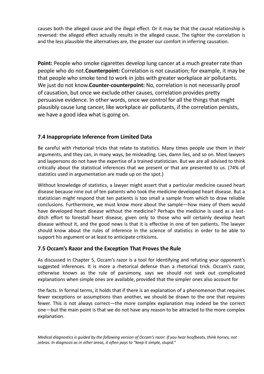causes both the alleged cause and the illegal effect. Or it may be that the causal relationship is reversed: the alleged effect actually results in the alleged cause. The tighter the correlation is and the less plausible the alternatives are, the greater our comfort in inferring causation.

**Point:** People who smoke cigarettes develop lung cancer at a much greater rate than people who do not.**Counterpoint:** Correlation is not causation; for example, it may be that people who smoke tend to work in jobs with greater workplace air pollutants. We just do not know.**Counter-counterpoint:** No, correlation is not necessarily proof of causation, but once we exclude other causes, correlation provides pretty persuasive evidence. In other words, once we control for all the things that might plausibly cause lung cancer, like workplace air pollutants, if the correlation persists, we have a good idea what is going on.

## **7.4 Inappropriate Inference from Limited Data**

Be careful with rhetorical tricks that relate to statistics. Many times people use them in their arguments, and they can, in many ways, be misleading. Lies, damn lies, and so on. Most lawyers and laypersons do not have the expertise of a trained statistician. But we are all advised to think critically about the statistical inferences that we present or that are presented to us. (74% of statistics used in argumentation are made up on the spot.)

Without knowledge of statistics, a lawyer might assert that a particular medicine caused heart disease because nine out of ten patients who took the medicine developed heart disease. But a statistician might respond that ten patients is too small a sample from which to draw reliable conclusions. Furthermore, we must know more about the sample—how many of them would have developed heart disease without the medicine? Perhaps the medicine is used as a lastditch effort to forestall heart disease, given only to those who will certainly develop heart disease without it, and the good news is that it is effective in one of ten patients. The lawyer should know about the rules of inference in the science of statistics in order to be able to support his argument or at least to anticipate criticisms.

## **7.5 Occam's Razor and the Exception That Proves the Rule**

As discussed in Chapter 5, Occam's razor is a tool for identifying and refuting your opponent's suggested inferences. It is more a rhetorical defense than a rhetorical trick. Occam's razor, otherwise known as the rule of parsimony, says we should not seek out complicated explanations when simple ones are available, provided that the simpler ones also account for

the facts. In formal terms, it holds that if there is an explanation of a phenomenon that requires fewer exceptions or assumptions than another, we should be drawn to the one that requires fewer. This is not always correct—the more complex explanation may indeed be the correct one—but the main point is that we do not have any reason to be attracted to the more complex explanation.

*Medical diagnostics is guided by the following version of Occam's razor: If you hear hoofbeats, think horses, not zebras. In diagnosis as in other areas, it often pays to "keep it simple, stupid."*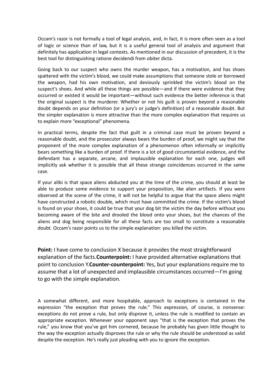Occam's razor is not formally a tool of legal analysis, and, in fact, it is more often seen as a tool of logic or science than of law, but it is a useful general tool of analysis and argument that definitely has application in legal contexts. As mentioned in our discussion of precedent, it is the best tool for distinguishing ratione decidendi from obiter dicta.

Going back to our suspect who owns the murder weapon, has a motivation, and has shoes spattered with the victim's blood, we could make assumptions that someone stole or borrowed the weapon, had his own motivation, and deviously sprinkled the victim's blood on the suspect's shoes. And while all these things are possible—and if there were evidence that they occurred or existed it would be important—without such evidence the better inference is that the original suspect is the murderer. Whether or not his guilt is proven beyond a reasonable doubt depends on your definition (or a jury's or judge's definition) of a reasonable doubt. But the simpler explanation is more attractive than the more complex explanation that requires us to explain more "exceptional" phenomena.

In practical terms, despite the fact that guilt in a criminal case must be proven beyond a reasonable doubt, and the prosecutor always bears the burden of proof, we might say that the proponent of the more complex explanation of a phenomenon often informally or implicitly bears something like a burden of proof. If there is a lot of good circumstantial evidence, and the defendant has a separate, arcane, and implausible explanation for each one, judges will implicitly ask whether it is possible that all these strange coincidences occurred in the same case.

If your alibi is that space aliens abducted you at the time of the crime, you should at least be able to produce some evidence to support your proposition, like alien artifacts. If you were observed at the scene of the crime, it will not be helpful to argue that the space aliens might have constructed a robotic double, which must have committed the crime. If the victim's blood is found on your shoes, it could be true that your dog bit the victim the day before without you becoming aware of the bite and drooled the blood onto your shoes, but the chances of the aliens and dog being responsible for all these facts are too small to constitute a reasonable doubt. Occam's razor points us to the simple explanation: you killed the victim.

**Point:** I have come to conclusion X because it provides the most straightforward explanation of the facts.**Counterpoint:** I have provided alternative explanations that point to conclusion Y.**Counter-counterpoint:** Yes, but your explanations require me to assume that a lot of unexpected and implausible circumstances occurred—I'm going to go with the simple explanation.

A somewhat different, and more hospitable, approach to exceptions is contained in the expression "the exception that proves the rule." This expression, of course, is nonsense: exceptions do not prove a rule, but only disprove it, unless the rule is modified to contain an appropriate exception. Whenever your opponent says "that is the exception that proves the rule," you know that you've got him cornered, because he probably has given little thought to the way the exception actually disproves the rule or why the rule should be understood as valid despite the exception. He's really just pleading with you to ignore the exception.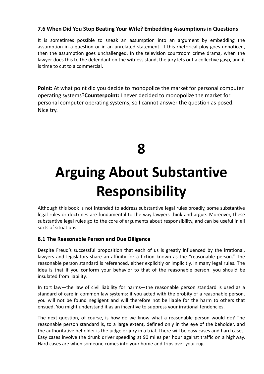### **7.6 When Did You Stop Beating Your Wife? Embedding Assumptions in Questions**

It is sometimes possible to sneak an assumption into an argument by embedding the assumption in a question or in an unrelated statement. If this rhetorical ploy goes unnoticed, then the assumption goes unchallenged. In the television courtroom crime drama, when the lawyer does this to the defendant on the witness stand, the jury lets out a collective gasp, and it is time to cut to a commercial.

**Point:** At what point did you decide to monopolize the market for personal computer operating systems?**Counterpoint:** I never decided to monopolize the market for personal computer operating systems, so I cannot answer the question as posed. Nice try.

**8**

# **Arguing About Substantive Responsibility**

Although this book is not intended to address substantive legal rules broadly, some substantive legal rules or doctrines are fundamental to the way lawyers think and argue. Moreover, these substantive legal rules go to the core of arguments about responsibility, and can be useful in all sorts of situations.

### **8.1 The Reasonable Person and Due Diligence**

Despite Freud's successful proposition that each of us is greatly influenced by the irrational, lawyers and legislators share an affinity for a fiction known as the "reasonable person." The reasonable person standard is referenced, either explicitly or implicitly, in many legal rules. The idea is that if you conform your behavior to that of the reasonable person, you should be insulated from liability.

In tort law—the law of civil liability for harms—the reasonable person standard is used as a standard of care in common law systems: if you acted with the probity of a reasonable person, you will not be found negligent and will therefore not be liable for the harm to others that ensued. You might understand it as an incentive to suppress your irrational tendencies.

The next question, of course, is how do we know what a reasonable person would do? The reasonable person standard is, to a large extent, defined only in the eye of the beholder, and the authoritative beholder is the judge or jury in a trial. There will be easy cases and hard cases. Easy cases involve the drunk driver speeding at 90 miles per hour against traffic on a highway. Hard cases are when someone comes into your home and trips over your rug.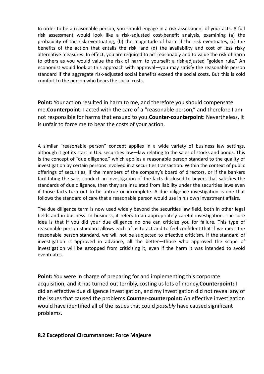In order to be a reasonable person, you should engage in a risk assessment of your acts. A full risk assessment would look like a risk-adjusted cost-benefit analysis, examining (a) the probability of the risk eventuating, (b) the magnitude of harm if the risk eventuates, (c) the benefits of the action that entails the risk, and (d) the availability and cost of less risky alternative measures. In effect, you are required to act reasonably and to value the risk of harm to others as you would value the risk of harm to yourself: a risk-adjusted "golden rule." An economist would look at this approach with approval—you may satisfy the reasonable person standard if the aggregate risk-adjusted social benefits exceed the social costs. But this is cold comfort to the person who bears the social costs.

**Point:** Your action resulted in harm to me, and therefore you should compensate me.**Counterpoint:** I acted with the care of a "reasonable person," and therefore I am not responsible for harms that ensued to you.**Counter-counterpoint:** Nevertheless, it is unfair to force me to bear the costs of your action.

A similar "reasonable person" concept applies in a wide variety of business law settings, although it got its start in U.S. securities law—law relating to the sales of stocks and bonds. This is the concept of "due diligence," which applies a reasonable person standard to the quality of investigation by certain persons involved in a securities transaction. Within the context of public offerings of securities, if the members of the company's board of directors, or if the bankers facilitating the sale, conduct an investigation of the facts disclosed to buyers that satisfies the standards of due diligence, then they are insulated from liability under the securities laws even if those facts turn out to be untrue or incomplete. A due diligence investigation is one that follows the standard of care that a reasonable person would use in his own investment affairs.

The due diligence term is now used widely beyond the securities law field, both in other legal fields and in business. In business, it refers to an appropriately careful investigation. The core idea is that if you did your due diligence no one can criticize you for failure. This type of reasonable person standard allows each of us to act and to feel confident that if we meet the reasonable person standard, we will not be subjected to effective criticism. If the standard of investigation is approved in advance, all the better—those who approved the scope of investigation will be estopped from criticizing it, even if the harm it was intended to avoid eventuates.

**Point:** You were in charge of preparing for and implementing this corporate acquisition, and it has turned out terribly, costing us lots of money.**Counterpoint:** I did an effective due diligence investigation, and my investigation did not reveal any of the issues that caused the problems.**Counter-counterpoint:** An effective investigation would have identified all of the issues that could *possibly* have caused significant problems.

## **8.2 Exceptional Circumstances: Force Majeure**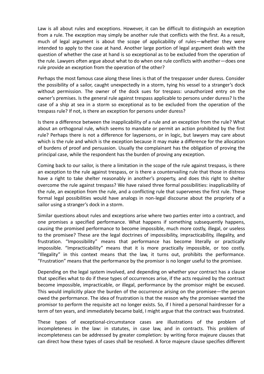Law is all about rules and exceptions. However, it can be difficult to distinguish an exception from a rule. The exception may simply be another rule that conflicts with the first. As a result, much of legal argument is about the scope of applicability of rules—whether they were intended to apply to the case at hand. Another large portion of legal argument deals with the question of whether the case at hand is so exceptional as to be excluded from the operation of the rule. Lawyers often argue about what to do when one rule conflicts with another—does one rule provide an exception from the operation of the other?

Perhaps the most famous case along these lines is that of the trespasser under duress. Consider the possibility of a sailor, caught unexpectedly in a storm, tying his vessel to a stranger's dock without permission. The owner of the dock sues for trespass: unauthorized entry on the owner's premises. Is the general rule against trespass applicable to persons under duress? Is the case of a ship at sea in a storm so exceptional as to be excluded from the operation of the trespass rule? If not, is there an exception for persons under duress?

Is there a difference between the inapplicability of a rule and an exception from the rule? What about an orthogonal rule, which seems to mandate or permit an action prohibited by the first rule? Perhaps there is not a difference for laypersons, or in logic, but lawyers may care about which is the rule and which is the exception because it may make a difference for the allocation of burdens of proof and persuasion. Usually the complainant has the obligation of proving the principal case, while the respondent has the burden of proving any exception.

Coming back to our sailor, is there a limitation in the scope of the rule against trespass, is there an exception to the rule against trespass, or is there a countervailing rule that those in distress have a right to take shelter reasonably in another's property, and does this right to shelter overcome the rule against trespass? We have raised three formal possibilities: inapplicability of the rule, an exception from the rule, and a conflicting rule that supervenes the first rule. These formal legal possibilities would have analogs in non-legal discourse about the propriety of a sailor using a stranger's dock in a storm.

Similar questions about rules and exceptions arise where two parties enter into a contract, and one promises a specified performance. What happens if something subsequently happens, causing the promised performance to become impossible, much more costly, illegal, or useless to the promisee? These are the legal doctrines of impossibility, impracticability, illegality, and frustration. "Impossibility" means that performance has become literally or practically impossible. "Impracticability" means that it is more practically impossible, or too costly. "Illegality" in this context means that the law, it turns out, prohibits the performance. "Frustration" means that the performance by the promisor is no longer useful to the promisee.

Depending on the legal system involved, and depending on whether your contract has a clause that specifies what to do if these types of occurrences arise, if the acts required by the contract become impossible, impracticable, or illegal, performance by the promisor might be excused. This would implicitly place the burden of the occurrence arising on the promisee—the person owed the performance. The idea of frustration is that the reason why the promisee wanted the promisor to perform the requisite act no longer exists. So, if I hired a personal hairdresser for a term of ten years, and immediately became bald, I might argue that the contract was frustrated.

These types of exceptional-circumstance cases are illustrations of the problem of incompleteness in the law: in statutes, in case law, and in contracts. This problem of incompleteness can be addressed by greater completion: by writing force majeure clauses that can direct how these types of cases shall be resolved. A force majeure clause specifies different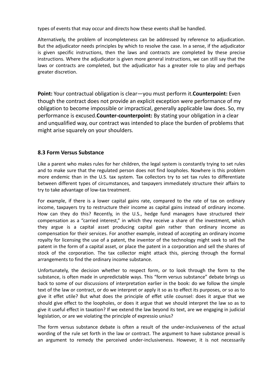types of events that may occur and directs how these events shall be handled.

Alternatively, the problem of incompleteness can be addressed by reference to adjudication. But the adjudicator needs principles by which to resolve the case. In a sense, if the adjudicator is given specific instructions, then the laws and contracts are completed by these precise instructions. Where the adjudicator is given more general instructions, we can still say that the laws or contracts are completed, but the adjudicator has a greater role to play and perhaps greater discretion.

**Point:** Your contractual obligation is clear—you must perform it.**Counterpoint:** Even though the contract does not provide an explicit exception were performance of my obligation to become impossible or impractical, generally applicable law does. So, my performance is excused.**Counter-counterpoint:** By stating your obligation in a clear and unqualified way, our contract was intended to place the burden of problems that might arise squarely on your shoulders.

### **8.3 Form Versus Substance**

Like a parent who makes rules for her children, the legal system is constantly trying to set rules and to make sure that the regulated person does not find loopholes. Nowhere is this problem more endemic than in the U.S. tax system. Tax collectors try to set tax rules to differentiate between different types of circumstances, and taxpayers immediately structure their affairs to try to take advantage of low-tax treatment.

For example, if there is a lower capital gains rate, compared to the rate of tax on ordinary income, taxpayers try to restructure their income as capital gains instead of ordinary income. How can they do this? Recently, in the U.S., hedge fund managers have structured their compensation as a "carried interest," in which they receive a share of the investment, which they argue is a capital asset producing capital gain rather than ordinary income as compensation for their services. For another example, instead of accepting an ordinary income royalty for licensing the use of a patent, the inventor of the technology might seek to sell the patent in the form of a capital asset, or place the patent in a corporation and sell the shares of stock of the corporation. The tax collector might attack this, piercing through the formal arrangements to find the ordinary income substance.

Unfortunately, the decision whether to respect form, or to look through the form to the substance, is often made in unpredictable ways. This "form versus substance" debate brings us back to some of our discussions of interpretation earlier in the book: do we follow the simple text of the law or contract, or do we interpret or apply it so as to effect its purposes, or so as to give it effet utile? But what does the principle of effet utile counsel: does it argue that we should give effect to the loopholes, or does it argue that we should interpret the law so as to give it useful effect in taxation? If we extend the law beyond its text, are we engaging in judicial legislation, or are we violating the principle of expressio unius?

The form versus substance debate is often a result of the under-inclusiveness of the actual wording of the rule set forth in the law or contract. The argument to have substance prevail is an argument to remedy the perceived under-inclusiveness. However, it is not necessarily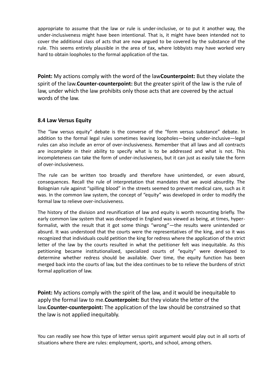appropriate to assume that the law or rule is under-inclusive, or to put it another way, the under-inclusiveness might have been intentional. That is, it might have been intended not to cover the additional class of acts that are now argued to be covered by the substance of the rule. This seems entirely plausible in the area of tax, where lobbyists may have worked very hard to obtain loopholes to the formal application of the tax.

**Point:** My actions comply with the word of the law**Counterpoint:** But they violate the spirit of the law.**Counter-counterpoint:** But the greater spirit of the law is the rule of law, under which the law prohibits only those acts that are covered by the actual words of the law.

### **8.4 Law Versus Equity**

The "law versus equity" debate is the converse of the "form versus substance" debate. In addition to the formal legal rules sometimes leaving loopholes—being under-inclusive—legal rules can also include an error of over-inclusiveness. Remember that all laws and all contracts are incomplete in their ability to specify what is to be addressed and what is not. This incompleteness can take the form of under-inclusiveness, but it can just as easily take the form of over-inclusiveness.

The rule can be written too broadly and therefore have unintended, or even absurd, consequences. Recall the rule of interpretation that mandates that we avoid absurdity. The Bolognian rule against "spilling blood" in the streets seemed to prevent medical care, such as it was. In the common law system, the concept of "equity" was developed in order to modify the formal law to relieve over-inclusiveness.

The history of the division and reunification of law and equity is worth recounting briefly. The early common law system that was developed in England was viewed as being, at times, hyperformalist, with the result that it got some things "wrong"—the results were unintended or absurd. It was understood that the courts were the representatives of the king, and so it was recognized that individuals could petition the king for redress where the application of the strict letter of the law by the courts resulted in what the petitioner felt was inequitable. As this petitioning became institutionalized, specialized courts of "equity" were developed to determine whether redress should be available. Over time, the equity function has been merged back into the courts of law, but the idea continues to be to relieve the burdens of strict formal application of law.

**Point:** My actions comply with the spirit of the law, and it would be inequitable to apply the formal law to me.**Counterpoint:** But they violate the letter of the law.**Counter-counterpoint:** The application of the law should be constrained so that the law is not applied inequitably.

You can readily see how this type of letter versus spirit argument would play out in all sorts of situations where there are rules: employment, sports, and school, among others.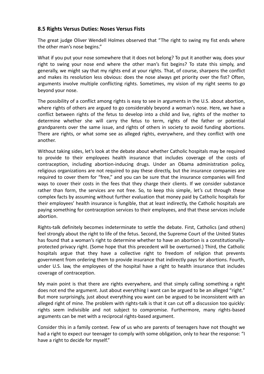### **8.5 Rights Versus Duties: Noses Versus Fists**

The great judge Oliver Wendell Holmes observed that "The right to swing my fist ends where the other man's nose begins."

What if you put your nose somewhere that it does not belong? To put it another way, does your right to swing your nose end where the other man's fist begins? To state this simply, and generally, we might say that my rights end at your rights. That, of course, sharpens the conflict and makes its resolution less obvious: does the nose always get priority over the fist? Often, arguments involve multiple conflicting rights. Sometimes, my vision of my right seems to go beyond your nose.

The possibility of a conflict among rights is easy to see in arguments in the U.S. about abortion, where rights of others are argued to go considerably beyond a woman's nose. Here, we have a conflict between rights of the fetus to develop into a child and live, rights of the mother to determine whether she will carry the fetus to term, rights of the father or potential grandparents over the same issue, and rights of others in society to avoid funding abortions. There are rights, or what some see as alleged rights, everywhere, and they conflict with one another.

Without taking sides, let's look at the debate about whether Catholic hospitals may be required to provide to their employees health insurance that includes coverage of the costs of contraception, including abortion-inducing drugs. Under an Obama administration policy, religious organizations are not required to pay these directly, but the insurance companies are required to cover them for "free," and you can be sure that the insurance companies will find ways to cover their costs in the fees that they charge their clients. If we consider substance rather than form, the services are not free. So, to keep this simple, let's cut through these complex facts by assuming without further evaluation that money paid by Catholic hospitals for their employees' health insurance is fungible, that at least indirectly, the Catholic hospitals are paying something for contraception services to their employees, and that these services include abortion.

Rights-talk definitely becomes indeterminate to settle the debate. First, Catholics (and others) feel strongly about the right to life of the fetus. Second, the Supreme Court of the United States has found that a woman's right to determine whether to have an abortion is a constitutionallyprotected privacy right. (Some hope that this precedent will be overturned.) Third, the Catholic hospitals argue that they have a collective right to freedom of religion that prevents government from ordering them to provide insurance that indirectly pays for abortions. Fourth, under U.S. law, the employees of the hospital have a right to health insurance that includes coverage of contraception.

My main point is that there are rights everywhere, and that simply calling something a right does not end the argument. Just about everything I want can be argued to be an alleged "right." But more surprisingly, just about everything you want can be argued to be inconsistent with an alleged right of mine. The problem with rights-talk is that it can cut off a discussion too quickly: rights seem indivisible and not subject to compromise. Furthermore, many rights-based arguments can be met with a reciprocal rights-based argument.

Consider this in a family context. Few of us who are parents of teenagers have not thought we had a right to expect our teenager to comply with some obligation, only to hear the response: "I have a right to decide for myself."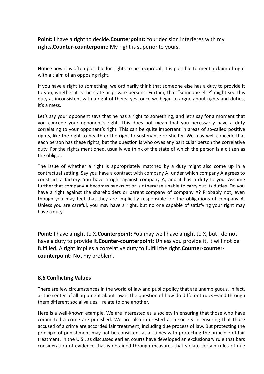**Point:** I have a right to decide.**Counterpoint:** Your decision interferes with my rights.**Counter-counterpoint:** My right is superior to yours.

Notice how it is often possible for rights to be reciprocal: it is possible to meet a claim of right with a claim of an opposing right.

If you have a right to something, we ordinarily think that someone else has a duty to provide it to you, whether it is the state or private persons. Further, that "someone else" might see this duty as inconsistent with a right of theirs: yes, once we begin to argue about rights and duties, it's a mess.

Let's say your opponent says that he has a right to something, and let's say for a moment that you concede your opponent's right. This does not mean that you necessarily have a duty correlating to your opponent's right. This can be quite important in areas of so-called positive rights, like the right to health or the right to sustenance or shelter. We may well concede that each person has these rights, but the question is who owes any particular person the correlative duty. For the rights mentioned, usually we think of the state of which the person is a citizen as the obligor.

The issue of whether a right is appropriately matched by a duty might also come up in a contractual setting. Say you have a contract with company A, under which company A agrees to construct a factory. You have a right against company A, and it has a duty to you. Assume further that company A becomes bankrupt or is otherwise unable to carry out its duties. Do you have a right against the shareholders or parent company of company A? Probably not, even though you may feel that they are implicitly responsible for the obligations of company A. Unless you are careful, you may have a right, but no one capable of satisfying your right may have a duty.

**Point:** I have a right to X. **Counterpoint:** You may well have a right to X, but I do not have a duty to provide it.**Counter-counterpoint:** Unless you provide it, it will not be fulfilled. A right implies a correlative duty to fulfill the right.**Counter-countercounterpoint:** Not my problem.

### **8.6 Conflicting Values**

There are few circumstances in the world of law and public policy that are unambiguous. In fact, at the center of all argument about law is the question of how do different rules—and through them different social values—relate to one another.

Here is a well-known example. We are interested as a society in ensuring that those who have committed a crime are punished. We are also interested as a society in ensuring that those accused of a crime are accorded fair treatment, including due process of law. But protecting the principle of punishment may not be consistent at all times with protecting the principle of fair treatment. In the U.S., as discussed earlier, courts have developed an exclusionary rule that bars consideration of evidence that is obtained through measures that violate certain rules of due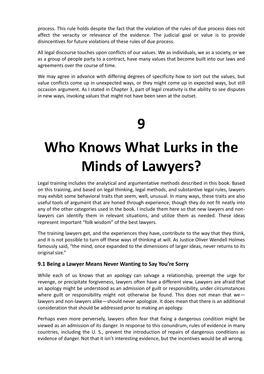process. This rule holds despite the fact that the violation of the rules of due process does not affect the veracity or relevance of the evidence. The judicial goal or value is to provide disincentives for future violations of these rules of due process.

All legal discourse touches upon conflicts of our values. We as individuals, we as a society, or we as a group of people party to a contract, have many values that become built into our laws and agreements over the course of time.

We may agree in advance with differing degrees of specificity how to sort out the values, but value conflicts come up in unexpected ways, or they might come up in expected ways, but still occasion argument. As I stated in Chapter 3, part of legal creativity is the ability to see disputes in new ways, invoking values that might not have been seen at the outset.

# **9**

# **Who Knows What Lurks in the Minds of Lawyers?**

Legal training includes the analytical and argumentative methods described in this book. Based on this training, and based on legal thinking, legal methods, and substantive legal rules, lawyers may exhibit some behavioral traits that seem, well, unusual. In many ways, these traits are also useful tools of argument that are honed through experience, though they do not fit neatly into any of the other categories used in the book. I include them here so that new lawyers and nonlawyers can identify them in relevant situations, and utilize them as needed. These ideas represent important "folk wisdom" of the best lawyers.

The training lawyers get, and the experiences they have, contribute to the way that they think, and it is not possible to turn off these ways of thinking at will. As Justice Oliver Wendell Holmes famously said, "the mind, once expanded to the dimensions of larger ideas, never returns to its original size."

### **9.1 Being a Lawyer Means Never Wanting to Say You're Sorry**

While each of us knows that an apology can salvage a relationship, preempt the urge for revenge, or precipitate forgiveness, lawyers often have a different view. Lawyers are afraid that an apology might be understood as an admission of guilt or responsibility, under circumstances where guilt or responsibility might not otherwise be found. This does not mean that we $$ lawyers and non-lawyers alike—should never apologize. It does mean that there is an additional consideration that should be addressed prior to making an apology.

Perhaps even more perversely, lawyers often fear that fixing a dangerous condition might be viewed as an admission of its danger. In response to this conundrum, rules of evidence in many countries, including the U. S., prevent the introduction of repairs of dangerous conditions as evidence of danger. Not that it isn't interesting evidence, but the incentives would be all wrong.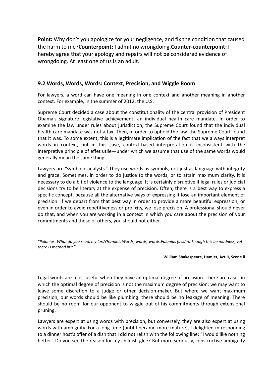**Point:** Why don't you apologize for your negligence, and fix the condition that caused the harm to me?**Counterpoint:** I admit no wrongdoing.**Counter-counterpoint:** I hereby agree that your apology and repairs will not be considered evidence of wrongdoing. At least one of us is an adult.

### **9.2 Words, Words, Words: Context, Precision, and Wiggle Room**

For lawyers, a word can have one meaning in one context and another meaning in another context. For example, in the summer of 2012, the U.S.

Supreme Court decided a case about the constitutionality of the central provision of President Obama's signature legislative achievement: an individual health care mandate. In order to examine the law under rules about jurisdiction, the Supreme Court found that the individual health care mandate was not a tax. Then, in order to uphold the law, the Supreme Court found that it was. To some extent, this is a legitimate implication of the fact that we always interpret words in context, but in this case, context-based interpretation is inconsistent with the interpretive principle of effet utile—under which we assume that use of the same words would generally mean the same thing.

Lawyers are "symbolic analysts." They use words as symbols, not just as language with integrity and grace. Sometimes, in order to do justice to the words, or to attain maximum clarity, it is necessary to do a bit of violence to the language. It is certainly disruptive if legal rules or judicial decisions try to be literary at the expense of precision. Often, there is a best way to express a specific concept, because all the alternative ways of expressing it lose an important element of precision. If we depart from that best way in order to provide a more beautiful expression, or even in order to avoid repetitiveness or prolixity, we lose precision. A professional should never do that, and when you are working in a context in which you care about the precision of your commitments and those of others, you should not either.

*"Polonius: What do you read, my lord?Hamlet: Words, words, words.Polonius [aside]: Though this be madness, yet there is method in't."*

### **William Shakespeare, Hamlet, Act II, Scene ii**

Legal words are most useful when they have an optimal degree of precision. There are cases in which the optimal degree of precision is not the maximum degree of precision: we may want to leave some discretion to a judge or other decision-maker. But where we want maximum precision, our words should be like plumbing: there should be no leakage of meaning. There should be no room for our opponent to wiggle out of his commitments through extensional pruning.

Lawyers are expert at using words with precision, but conversely, they are also expert at using words with ambiguity. For a long time (until I became more mature), I delighted in responding to a dinner host's offer of a dish that I did not relish with the following line: "I would like nothing better." Do you see the reason for my childish glee? But more seriously, constructive ambiguity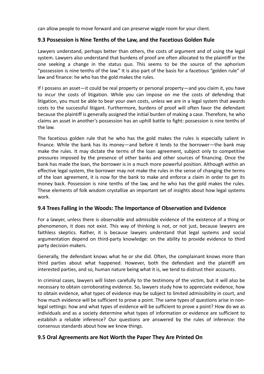can allow people to move forward and can preserve wiggle room for your client.

### **9.3 Possession is Nine Tenths of the Law, and the Facetious Golden Rule**

Lawyers understand, perhaps better than others, the costs of argument and of using the legal system. Lawyers also understand that burdens of proof are often allocated to the plaintiff or the one seeking a change in the status quo. This seems to be the source of the aphorism "possession is nine tenths of the law." It is also part of the basis for a facetious "golden rule" of law and finance: he who has the gold makes the rules.

If I possess an asset—it could be real property or personal property—and you claim it, you have to incur the costs of litigation. While you can impose on me the costs of defending that litigation, you must be able to bear your own costs, unless we are in a legal system that awards costs to the successful litigant. Furthermore, burdens of proof will often favor the defendant because the plaintiff is generally assigned the initial burden of making a case. Therefore, he who claims an asset in another's possession has an uphill battle to fight: possession is nine tenths of the law.

The facetious golden rule that he who has the gold makes the rules is especially salient in finance. While the bank has its money—and before it lends to the borrower—the bank may make the rules. It may dictate the terms of the loan agreement, subject only to competitive pressures imposed by the presence of other banks and other sources of financing. Once the bank has made the loan, the borrower is in a much more powerful position. Although within an effective legal system, the borrower may not make the rules in the sense of changing the terms of the loan agreement, it is now for the bank to make and enforce a claim in order to get its money back. Possession is nine tenths of the law, and he who has the gold makes the rules. These elements of folk wisdom crystallize an important set of insights about how legal systems work.

### **9.4 Trees Falling in the Woods: The Importance of Observation and Evidence**

For a lawyer, unless there is observable and admissible evidence of the existence of a thing or phenomenon, it does not exist. This way of thinking is not, or not just, because lawyers are faithless skeptics. Rather, it is because lawyers understand that legal systems and social argumentation depend on third-party knowledge: on the ability to provide evidence to third party decision-makers.

Generally, the defendant knows what he or she did. Often, the complainant knows more than third parties about what happened. However, both the defendant and the plaintiff are interested parties, and so, human nature being what it is, we tend to distrust their accounts.

In criminal cases, lawyers will listen carefully to the testimony of the victim, but it will also be necessary to obtain corroborating evidence. So, lawyers study how to appreciate evidence, how to obtain evidence, what types of evidence may be subject to limited admissibility in court, and how much evidence will be sufficient to prove a point. The same types of questions arise in nonlegal settings: how and what types of evidence will be sufficient to prove a point? How do we as individuals and as a society determine what types of information or evidence are sufficient to establish a reliable inference? Our questions are answered by the rules of inference: the consensus standards about how we know things.

### **9.5 Oral Agreements are Not Worth the Paper They Are Printed On**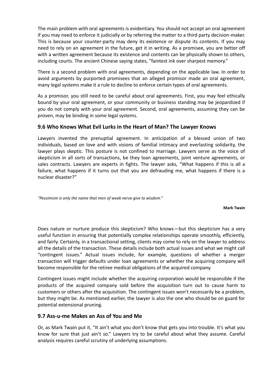The main problem with oral agreements is evidentiary. You should not accept an oral agreement if you may need to enforce it judicially or by referring the matter to a third party decision-maker. This is because your counter-party may deny its existence or dispute its contents. If you may need to rely on an agreement in the future, get it in writing. As a promisee, you are better off with a written agreement because its existence and contents can be physically shown to others, including courts. The ancient Chinese saying states, "faintest ink over sharpest memory."

There is a second problem with oral agreements, depending on the applicable law. In order to avoid arguments by purported promisees that an alleged promisor made an oral agreement, many legal systems make it a rule to decline to enforce certain types of oral agreements.

As a promisor, you still need to be careful about oral agreements. First, you may feel ethically bound by your oral agreement, or your community or business standing may be jeopardized if you do not comply with your oral agreement. Second, oral agreements, assuming they can be proven, may be binding in some legal systems.

### **9.6 Who Knows What Evil Lurks in the Heart of Man? The Lawyer Knows**

Lawyers invented the prenuptial agreement. In anticipation of a blessed union of two individuals, based on love and with visions of familial intimacy and everlasting solidarity, the lawyer plays skeptic. This posture is not confined to marriage. Lawyers serve as the voice of skepticism in all sorts of transactions, be they loan agreements, joint venture agreements, or sales contracts. Lawyers are experts in fights. The lawyer asks, "What happens if this is all a failure, what happens if it turns out that you are defrauding me, what happens if there is a nuclear disaster?"

*"Pessimism is only the name that men of weak nerve give to wisdom."*

### **Mark Twain**

Does nature or nurture produce this skepticism? Who knows—but this skepticism has a very useful function in ensuring that potentially complex relationships operate smoothly, efficiently, and fairly. Certainly, in a transactional setting, clients may come to rely on the lawyer to address all the details of the transaction. These details include both actual issues and what we might call "contingent issues." Actual issues include, for example, questions of whether a merger transaction will trigger defaults under loan agreements or whether the acquiring company will become responsible for the retiree medical obligations of the acquired company.

Contingent issues might include whether the acquiring corporation would be responsible if the products of the acquired company sold before the acquisition turn out to cause harm to customers or others after the acquisition. The contingent issues won't necessarily be a problem, but they might be. As mentioned earlier, the lawyer is also the one who should be on guard for potential extensional pruning.

### **9.7 Ass-u-me Makes an Ass of You and Me**

Or, as Mark Twain put it, "It ain't what you don't know that gets you into trouble. It's what you know for sure that just ain't so." Lawyers try to be careful about what they assume. Careful analysis requires careful scrutiny of underlying assumptions.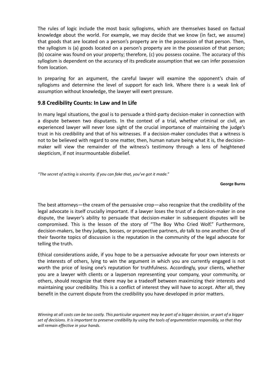The rules of logic include the most basic syllogisms, which are themselves based on factual knowledge about the world. For example, we may decide that we know (in fact, we assume) that goods that are located on a person's property are in the possession of that person. Then, the syllogism is (a) goods located on a person's property are in the possession of that person; (b) cocaine was found on your property; therefore, (c) you possess cocaine. The accuracy of this syllogism is dependent on the accuracy of its predicate assumption that we can infer possession from location.

In preparing for an argument, the careful lawyer will examine the opponent's chain of syllogisms and determine the level of support for each link. Where there is a weak link of assumption without knowledge, the lawyer will exert pressure.

### **9.8 Credibility Counts: In Law and In Life**

In many legal situations, the goal is to persuade a third-party decision-maker in connection with a dispute between two disputants. In the context of a trial, whether criminal or civil, an experienced lawyer will never lose sight of the crucial importance of maintaining the judge's trust in his credibility and that of his witnesses. If a decision-maker concludes that a witness is not to be believed with regard to one matter, then, human nature being what it is, the decisionmaker will view the remainder of the witness's testimony through a lens of heightened skepticism, if not insurmountable disbelief.

*"The secret of acting is sincerity. If you can fake that, you've got it made."*

#### **George Burns**

The best attorneys—the cream of the persuasive crop—also recognize that the credibility of the legal advocate is itself crucially important. If a lawyer loses the trust of a decision-maker in one dispute, the lawyer's ability to persuade that decision-maker in subsequent disputes will be compromised. This is the lesson of the story of "The Boy Who Cried Wolf." Furthermore, decision-makers, be they judges, bosses, or prospective partners, *do* talk to one another. One of their favorite topics of discussion is the reputation in the community of the legal advocate for telling the truth.

Ethical considerations aside, if you hope to be a persuasive advocate for your own interests or the interests of others, lying to win the argument in which you are currently engaged is not worth the price of losing one's reputation for truthfulness. Accordingly, your clients, whether you are a lawyer with clients or a layperson representing your company, your community, or others, should recognize that there may be a tradeoff between maximizing their interests and maintaining your credibility. This is a conflict of interest they will have to accept. After all, they benefit in the current dispute from the credibility you have developed in prior matters.

*Winning at all costs can be too costly. This particular argument may be part of a bigger decision, or part of a bigger set of decisions. It is important to preserve credibility by using the tools of argumentation responsibly, so that they will remain effective in your hands.*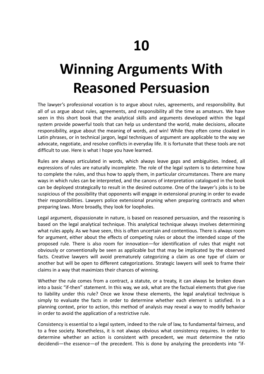# **Winning Arguments With Reasoned Persuasion**

The lawyer's professional vocation is to argue about rules, agreements, and responsibility. But all of us argue about rules, agreements, and responsibility all the time as amateurs. We have seen in this short book that the analytical skills and arguments developed within the legal system provide powerful tools that can help us understand the world, make decisions, allocate responsibility, argue about the meaning of words, and win! While they often come cloaked in Latin phrases, or in technical jargon, legal techniques of argument are applicable to the way we advocate, negotiate, and resolve conflicts in everyday life. It is fortunate that these tools are not difficult to use. Here is what I hope you have learned.

Rules are always articulated in words, which always leave gaps and ambiguities. Indeed, all expressions of rules are naturally incomplete. The role of the legal system is to determine how to complete the rules, and thus how to apply them, in particular circumstances. There are many ways in which rules can be interpreted, and the canons of interpretation catalogued in the book can be deployed strategically to result in the desired outcome. One of the lawyer's jobs is to be suspicious of the possibility that opponents will engage in extensional pruning in order to evade their responsibilities. Lawyers police extensional pruning when preparing contracts and when preparing laws. More broadly, they look for loopholes.

Legal argument, dispassionate in nature, is based on reasoned persuasion, and the reasoning is based on the legal analytical technique. This analytical technique always involves determining what rules apply. As we have seen, this is often uncertain and contentious. There is always room for argument, either about the effects of competing rules or about the intended scope of the proposed rule. There is also room for innovation—for identification of rules that might not obviously or conventionally be seen as applicable but that may be implicated by the observed facts. Creative lawyers will avoid prematurely categorizing a claim as one type of claim or another but will be open to different categorizations. Strategic lawyers will seek to frame their claims in a way that maximizes their chances of winning.

Whether the rule comes from a contract, a statute, or a treaty, it can always be broken down into a basic "if-then" statement. In this way, we ask, what are the factual elements that give rise to liability under this rule? Once we know these elements, the legal analytical technique is simply to evaluate the facts in order to determine whether each element is satisfied. In a planning context, prior to action, this method of analysis may reveal a way to modify behavior in order to avoid the application of a restrictive rule.

Consistency is essential to a legal system, indeed to the rule of law, to fundamental fairness, and to a free society. Nonetheless, it is not always obvious what consistency requires. In order to determine whether an action is consistent with precedent, we must determine the ratio decidendi—the essence—of the precedent. This is done by analyzing the precedents into "if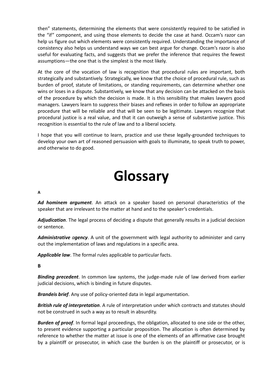then" statements, determining the elements that were consistently required to be satisfied in the "if" component, and using those elements to decide the case at hand. Occam's razor can help us figure out which elements were consistently required. Understanding the importance of consistency also helps us understand ways we can best argue for change. Occam's razor is also useful for evaluating facts, and suggests that we prefer the inference that requires the fewest assumptions—the one that is the simplest is the most likely.

At the core of the vocation of law is recognition that procedural rules are important, both strategically and substantively. Strategically, we know that the choice of procedural rule, such as burden of proof, statute of limitations, or standing requirements, can determine whether one wins or loses in a dispute. Substantively, we know that any decision can be attacked on the basis of the procedure by which the decision is made. It is this sensibility that makes lawyers good managers. Lawyers learn to suppress their biases and reflexes in order to follow an appropriate procedure that will be reliable and that will be seen to be legitimate. Lawyers recognize that procedural justice is a real value, and that it can outweigh a sense of substantive justice. This recognition is essential to the rule of law and to a liberal society.

I hope that you will continue to learn, practice and use these legally-grounded techniques to develop your own art of reasoned persuasion with goals to illuminate, to speak truth to power, and otherwise to do good.

# **Glossary**

### **A**

*Ad hominem argument*. An attack on a speaker based on personal characteristics of the speaker that are irrelevant to the matter at hand and to the speaker's credentials.

*Adjudication*. The legal process of deciding a dispute that generally results in a judicial decision or sentence.

*Administrative agency*. A unit of the government with legal authority to administer and carry out the implementation of laws and regulations in a specific area.

*Applicable law*. The formal rules applicable to particular facts.

### **B**

*Binding precedent*. In common law systems, the judge-made rule of law derived from earlier judicial decisions, which is binding in future disputes.

*Brandeis brief*. Any use of policy-oriented data in legal argumentation.

*British rule of interpretation*. A rule of interpretation under which contracts and statutes should not be construed in such a way as to result in absurdity.

*Burden of proof*. In formal legal proceedings, the obligation, allocated to one side or the other, to present evidence supporting a particular proposition. The allocation is often determined by reference to whether the matter at issue is one of the elements of an affirmative case brought by a plaintiff or prosecutor, in which case the burden is on the plaintiff or prosecutor, or is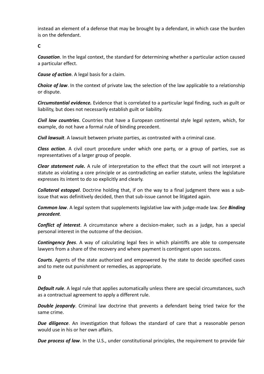instead an element of a defense that may be brought by a defendant, in which case the burden is on the defendant.

**C**

*Causation*. In the legal context, the standard for determining whether a particular action caused a particular effect.

*Cause of action*. A legal basis for a claim.

**Choice of law**. In the context of private law, the selection of the law applicable to a relationship or dispute.

*Circumstantial evidence.* Evidence that is correlated to a particular legal finding, such as guilt or liability, but does not necessarily establish guilt or liability.

*Civil law countries*. Countries that have a European continental style legal system, which, for example, do not have a formal rule of binding precedent.

*Civil lawsuit*. A lawsuit between private parties, as contrasted with a criminal case.

*Class action*. A civil court procedure under which one party, or a group of parties, sue as representatives of a larger group of people.

*Clear statement rule.* A rule of interpretation to the effect that the court will not interpret a statute as violating a core principle or as contradicting an earlier statute, unless the legislature expresses its intent to do so explicitly and clearly.

*Collateral estoppel*. Doctrine holding that, if on the way to a final judgment there was a subissue that was definitively decided, then that sub-issue cannot be litigated again.

*Common law*. A legal system that supplements legislative law with judge-made law. *See Binding precedent.*

*Conflict of interest*. A circumstance where a decision-maker, such as a judge, has a special personal interest in the outcome of the decision.

*Contingency fees*. A way of calculating legal fees in which plaintiffs are able to compensate lawyers from a share of the recovery and where payment is contingent upon success.

*Courts*. Agents of the state authorized and empowered by the state to decide specified cases and to mete out punishment or remedies, as appropriate.

**D**

*Default rule*. A legal rule that applies automatically unless there are special circumstances, such as a contractual agreement to apply a different rule.

*Double jeopardy*. Criminal law doctrine that prevents a defendant being tried twice for the same crime.

*Due diligence*. An investigation that follows the standard of care that a reasonable person would use in his or her own affairs.

**Due process of law**. In the U.S., under constitutional principles, the requirement to provide fair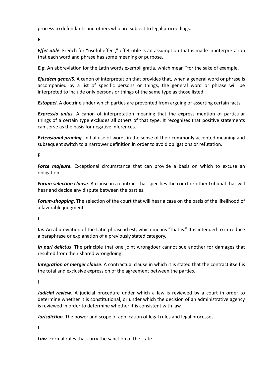process to defendants and others who are subject to legal proceedings.

**E**

*Effet utile*. French for "useful effect," effet utile is an assumption that is made in interpretation that each word and phrase has some meaning or purpose.

*E.g.* An abbreviation for the Latin words exempli gratia, which mean "for the sake of example."

*Ejusdem generi***S**. A canon of interpretation that provides that, when a general word or phrase is accompanied by a list of specific persons or things, the general word or phrase will be interpreted to include only persons or things of the same type as those listed.

*Estoppel*. A doctrine under which parties are prevented from arguing or asserting certain facts.

*Expressio unius*. A canon of interpretation meaning that the express mention of particular things of a certain type excludes all others of that type. It recognizes that positive statements can serve as the basis for negative inferences.

*Extensional pruning*. Initial use of words in the sense of their commonly accepted meaning and subsequent switch to a narrower definition in order to avoid obligations or refutation.

**F**

*Force majeure.* Exceptional circumstance that can provide a basis on which to excuse an obligation.

*Forum selection clause*. A clause in a contract that specifies the court or other tribunal that will hear and decide any dispute between the parties.

*Forum-shopping*. The selection of the court that will hear a case on the basis of the likelihood of a favorable judgment.

**I**

*I.e.* An abbreviation of the Latin phrase id est, which means "that is." It is intended to introduce a paraphrase or explanation of a previously stated category.

*In pari delictus*. The principle that one joint wrongdoer cannot sue another for damages that resulted from their shared wrongdoing.

*Integration or merger clause*. A contractual clause in which it is stated that the contract itself is the total and exclusive expression of the agreement between the parties.

**J**

*Judicial review*. A judicial procedure under which a law is reviewed by a court in order to determine whether it is constitutional, or under which the decision of an administrative agency is reviewed in order to determine whether it is consistent with law.

*Jurisdiction*. The power and scope of application of legal rules and legal processes.

**L**

*Law*. Formal rules that carry the sanction of the state.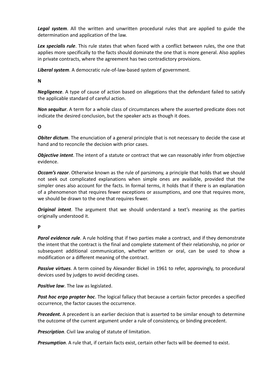*Legal system*. All the written and unwritten procedural rules that are applied to guide the determination and application of the law.

*Lex specialis rule*. This rule states that when faced with a conflict between rules, the one that applies more specifically to the facts should dominate the one that is more general. Also applies in private contracts, where the agreement has two contradictory provisions.

*Liberal system*. A democratic rule-of-law-based system of government.

**N**

*Negligence*. A type of cause of action based on allegations that the defendant failed to satisfy the applicable standard of careful action.

*Non sequitur*. A term for a whole class of circumstances where the asserted predicate does not indicate the desired conclusion, but the speaker acts as though it does.

**O**

*Obiter dictum*. The enunciation of a general principle that is not necessary to decide the case at hand and to reconcile the decision with prior cases.

*Objective intent*. The intent of a statute or contract that we can reasonably infer from objective evidence.

*Occam's razor*. Otherwise known as the rule of parsimony, a principle that holds that we should not seek out complicated explanations when simple ones are available, provided that the simpler ones also account for the facts. In formal terms, it holds that if there is an explanation of a phenomenon that requires fewer exceptions or assumptions, and one that requires more, we should be drawn to the one that requires fewer.

*Original intent*. The argument that we should understand a text's meaning as the parties originally understood it.

**P**

*Parol evidence rule*. A rule holding that if two parties make a contract, and if they demonstrate the intent that the contract is the final and complete statement of their relationship, no prior or subsequent additional communication, whether written or oral, can be used to show a modification or a different meaning of the contract.

*Passive virtues*. A term coined by Alexander Bickel in 1961 to refer, approvingly, to procedural devices used by judges to avoid deciding cases.

*Positive law*. The law as legislated.

*Post hoc ergo propter hoc*. The logical fallacy that because a certain factor precedes a specified occurrence, the factor causes the occurrence.

*Precedent.* A precedent is an earlier decision that is asserted to be similar enough to determine the outcome of the current argument under a rule of consistency, or binding precedent.

*Prescription*. Civil law analog of statute of limitation.

*Presumption*. A rule that, if certain facts exist, certain other facts will be deemed to exist.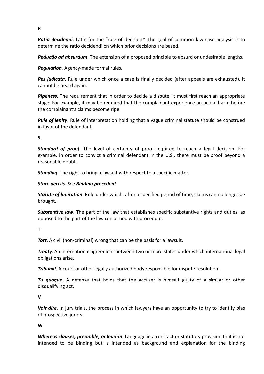*Ratio decidendi*. Latin for the "rule of decision." The goal of common law case analysis is to determine the ratio decidendi on which prior decisions are based.

*Reductio ad absurdum*. The extension of a proposed principle to absurd or undesirable lengths.

*Regulation.* Agency-made formal rules.

*Res judicata*. Rule under which once a case is finally decided (after appeals are exhausted), it cannot be heard again.

*Ripeness*. The requirement that in order to decide a dispute, it must first reach an appropriate stage. For example, it may be required that the complainant experience an actual harm before the complainant's claims become ripe.

*Rule of lenity*. Rule of interpretation holding that a vague criminal statute should be construed in favor of the defendant.

**S**

*Standard of proof*. The level of certainty of proof required to reach a legal decision. For example, in order to convict a criminal defendant in the U.S., there must be proof beyond a reasonable doubt.

*Standing*. The right to bring a lawsuit with respect to a specific matter.

*Stare decisis*. *See Binding precedent*.

*Statute of limitation*. Rule under which, after a specified period of time, claims can no longer be brought.

**Substantive law**. The part of the law that establishes specific substantive rights and duties, as opposed to the part of the law concerned with procedure.

**T**

*Tort*. A civil (non-criminal) wrong that can be the basis for a lawsuit.

*Treaty*. An international agreement between two or more states under which international legal obligations arise.

*Tribunal*. A court or other legally authorized body responsible for dispute resolution.

*Tu quoque*. A defense that holds that the accuser is himself guilty of a similar or other disqualifying act.

**V**

*Voir dire*. In jury trials, the process in which lawyers have an opportunity to try to identify bias of prospective jurors.

**W**

*Whereas clauses, preamble, or lead-in*: Language in a contract or statutory provision that is not intended to be binding but is intended as background and explanation for the binding

**R**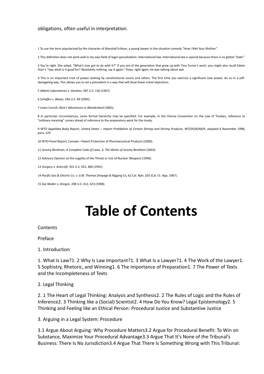### obligations, often useful in interpretation.

1 To use the term popularized by the character of Marshall Eriksen, a young lawyer in the situation comedy "How I Met Your Mother."

2 This definition does not work well in my own field of legal specialization: international law. International law is special because there is no global "state."

3 You're right. She asked, "What's love got to do with it?" If you are of the generation that grew up with Tina Turner's work, you might also recall Edwin Starr's "law, what is it good for? Absolutely nothing, say it again." Oops, right again, he was talking about war.

4 This is an important trick of power-seeking by constitutional courts and others. The first time you exercise a significant new power, do so in a selfabnegating way. This allows you to set a precedent in a way that will draw fewer initial objections.

5 *Abbott Laboratories v. Gardner,* 387 U.S. 136 (1967).

6 *Schaffer v. Weast*, 546 U.S. 49 (2005).

7 Lewis Carroll, *Alice's Adventures in Wonderland* (1865).

8 In particular circumstances, some formal hierarchy may be specified. For example, in the Vienna Convention on the Law of Treaties, reference to "ordinary meaning" comes ahead of reference to the preparatory work for the treaty.

9 WTO Appellate Body Report, *United States – Import Prohibition of Certain Shrimp and Shrimp Products,* WT/DS58/AB/R, adopted 6 November 1998, para. 129.

10 WTO Panel Report, Canada—Patent Protection of Pharmaceutical Products (2000).

11 Jeremy Bentham, *A Complete Code of Laws, 3, The Works of Jeremy Bentham* (1843).

12 Advisory Opinion on the Legality of the Threat or Use of Nuclear Weapons (1996).

13 *Gregory v. Ashcroft,* 501 U.S. 452, 460 (1991).

14 *Pacific Gas & Electric Co. v. G.W. Thomas Drayage & Rigging Co,* 62 Cal. Rptr. 203 (Cal. Ct. App. 1967).

15 *See Muller v. Oregon*, 208 U.S. 412, 423 (1908).

# **Table of Contents**

Contents

Preface

1. Introduction

1. What Is Law?1. 2 Why Is Law Important?1. 3 What Is a Lawyer?1. 4 The Work of the Lawyer1. 5 Sophistry, Rhetoric, and Winning1. 6 The Importance of Preparation1. 7 The Power of Texts and the Incompleteness of Texts

2. Legal Thinking

2. 1 The Heart of Legal Thinking: Analysis and Synthesis2. 2 The Rules of Logic and the Rules of Inference2. 3 Thinking like a (Social) Scientist2. 4 How Do You Know? Legal Epistemology2. 5 Thinking and Feeling like an Ethical Person: Procedural Justice and Substantive Justice

3. Arguing in a Legal System: Procedure

3.1 Argue About Arguing: Why Procedure Matters3.2 Argue for Procedural Benefit: To Win on Substance, Maximize Your Procedural Advantage3.3 Argue That It's None of the Tribunal's Business: There Is No Jurisdiction3.4 Argue That There Is Something Wrong with This Tribunal: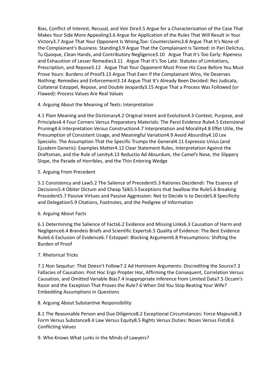Bias, Conflict of Interest, Recusal, and Voir Dire3.5 Argue for a Characterization of the Case That Makes Your Side More Appealing3.6 Argue for Application of the Rules That Will Result in Your Victory3.7 Argue That Your Opponent Is Wrong,Too: Counterclaims3.8 Argue That It's None of the Complainant's Business: Standing3.9 Argue That the Complainant Is Tainted: In Pari Delictus, Tu Quoque, Clean Hands, and Contributory Negligence3.10 Argue That It's Too Early: Ripeness and Exhaustion of Lesser Remedies3.11 Argue That It's Too Late: Statutes of Limitations, Prescription, and Repose3.12 Argue That Your Opponent Must Prove His Case Before You Must Prove Yours: Burdens of Proof3.13 Argue That Even If the Complainant Wins, He Deserves Nothing: Remedies and Enforcement3.14 Argue That It's Already Been Decided: Res Judicata, Collateral Estoppel, Repose, and Double Jeopardy3.15 Argue That a Process Was Followed (or Flawed): Process Values Are Real Values

### 4. Arguing About the Meaning of Texts: Interpretation

4.1 Plain Meaning and the Dictionary4.2 Original Intent and Evolution4.3 Context, Purpose, and Principles4.4 Four Corners Versus Preparatory Materials: The Parol Evidence Rule4.5 Extensional Pruning4.6 Interpretation Versus Construction4.7 Interpretation and Morality4.8 Effet Utile, the Presumption of Consistent Usage, and Meaningful Variation4.9 Avoid Absurdity4.10 Lex Specialis: The Assumption That the Specific Trumps the General4.11 Expressio Unius (and Ejusdem Generis): Examples Matter4.12 Clear Statement Rules, Interpretation Against the Draftsman, and the Rule of Lenity4.13 Reductio Ad Absurdum, the Camel's Nose, the Slippery Slope, the Parade of Horribles, and the Thin Entering Wedge

### 5. Arguing From Precedent

5.1 Consistency and Law5.2 The Salience of Precedent5.3 Rationes Decidendi: The Essence of Decisions5.4 Obiter Dictum and Cheap Talk5.5 Exceptions that Swallow the Rule5.6 Breaking Precedent5.7 Passive Virtues and Passive Aggression: Not to Decide Is to Decide5.8 Specificity and Delegation5.9 Citations, Footnotes, and the Pedigree of Information

### 6. Arguing About Facts

6.1 Determining the Salience of Facts6.2 Evidence and Missing Links6.3 Causation of Harm and Negligence6.4 Brandeis Briefs and Scientific Experts6.5 Quality of Evidence: The Best Evidence Rule6.6 Exclusion of Evidence6.7 Estoppel: Blocking Argument6.8 Presumptions: Shifting the Burden of Proof

### 7. Rhetorical Tricks

7.1 Non Sequitur: That Doesn't Follow7.2 Ad Hominem Arguments: Discrediting the Source7.3 Fallacies of Causation: Post Hoc Ergo Propter Hoc, Affirming the Consequent, Correlation Versus Causation, and Omitted Variable Bias7.4 Inappropriate Inference from Limited Data7.5 Occam's Razor and the Exception That Proves the Rule7.6 When Did You Stop Beating Your Wife? Embedding Assumptions in Questions

### 8. Arguing About Substantive Responsibility

8.1 The Reasonable Person and Due Diligence8.2 Exceptional Circumstances: Force Majeure8.3 Form Versus Substance8.4 Law Versus Equity8.5 Rights Versus Duties: Noses Versus Fists8.6 Conflicting Values

9. Who Knows What Lurks in the Minds of Lawyers?